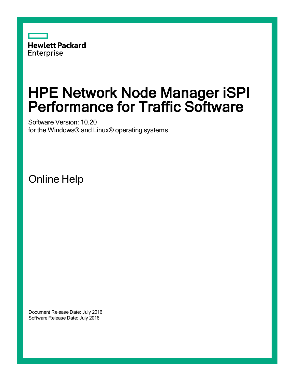

# HPE Network Node Manager iSPI Performance for Traffic Software

Software Version: 10.20 for the Windows® and Linux® operating systems

Online Help

Document Release Date: July 2016 Software Release Date: July 2016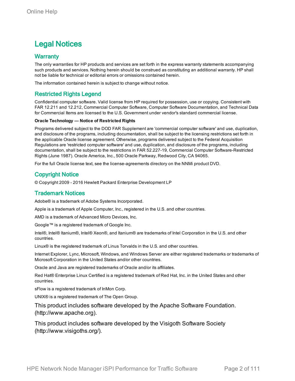### Legal Notices

#### **Warranty**

The only warranties for HP products and services are set forth in the express warranty statements accompanying such products and services. Nothing herein should be construed as constituting an additional warranty. HP shall not be liable for technical or editorial errors or omissions contained herein.

The information contained herein is subject to change without notice.

#### Restricted Rights Legend

Confidential computer software. Valid license from HP required for possession, use or copying. Consistent with FAR 12.211 and 12.212, Commercial Computer Software, Computer Software Documentation, and Technical Data for Commercial Items are licensed to the U.S. Government under vendor's standard commercial license.

#### **Oracle Technology — Notice of Restricted Rights**

Programs delivered subject to the DOD FAR Supplement are 'commercial computer software' and use, duplication, and disclosure of the programs, including documentation, shall be subject to the licensing restrictions set forth in the applicable Oracle license agreement. Otherwise, programs delivered subject to the Federal Acquisition Regulations are 'restricted computer software' and use, duplication, and disclosure of the programs, including documentation, shall be subject to the restrictions in FAR 52.227-19, Commercial Computer Software-Restricted Rights (June 1987). Oracle America, Inc., 500 Oracle Parkway, Redwood City, CA 94065.

For the full Oracle license text, see the license-agreements directory on the NNMi product DVD.

#### Copyright Notice

© Copyright 2009 - 2016 Hewlett Packard Enterprise Development LP

#### Trademark Notices

Adobe® is a trademark of Adobe Systems Incorporated.

Apple is a trademark of Apple Computer, Inc., registered in the U.S. and other countries.

AMD is a trademark of Advanced Micro Devices, Inc.

Google™ is a registered trademark of Google Inc.

Intel®, Intel® Itanium®, Intel® Xeon®, and Itanium® are trademarks of Intel Corporation in the U.S. and other countries.

Linux® is the registered trademark of Linus Torvalds in the U.S. and other countries.

Internet Explorer, Lync, Microsoft, Windows, and Windows Server are either registered trademarks or trademarks of Microsoft Corporation in the United States and/or other countries.

Oracle and Java are registered trademarks of Oracle and/or its affiliates.

Red Hat® Enterprise Linux Certified is a registered trademark of Red Hat, Inc. in the United States and other countries.

sFlow is a registered trademark of InMon Corp.

UNIX® is a registered trademark of The Open Group.

This product includes software developed by the Apache Software Foundation. (http://www.apache.org).

This product includes software developed by the Visigoth Software Society (http://www.visigoths.org/).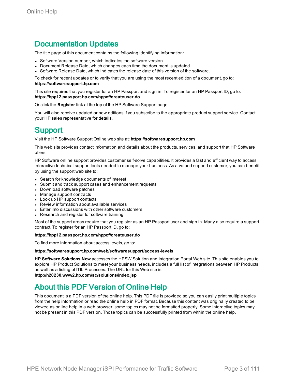### Documentation Updates

The title page of this document contains the following identifying information:

- Software Version number, which indicates the software version.
- Document Release Date, which changes each time the document is updated.
- Software Release Date, which indicates the release date of this version of the software.

To check for recent updates or to verify that you are using the most recent edition of a document, go to: **https://softwaresupport.hp.com**

This site requires that you register for an HP Passport and sign in. To register for an HP Passport ID, go to: **https://hpp12.passport.hp.com/hppcf/createuser.do**

Or click the **Register** link at the top of the HP Software Support page.

You will also receive updated or new editions if you subscribe to the appropriate product support service. Contact your HP sales representative for details.

### Support

Visit the HP Software Support Online web site at: **https://softwaresupport.hp.com**

This web site provides contact information and details about the products, services, and support that HP Software offers.

HP Software online support provides customer self-solve capabilities. It provides a fast and efficient way to access interactive technical support tools needed to manage your business. As a valued support customer, you can benefit by using the support web site to:

- Search for knowledge documents of interest
- Submit and track support cases and enhancement requests
- Download software patches
- Manage support contracts
- Look up HP support contacts
- Review information about available services
- Enter into discussions with other software customers
- Research and register for software training

Most of the support areas require that you register as an HP Passport user and sign in. Many also require a support contract. To register for an HP Passport ID, go to:

#### **https://hpp12.passport.hp.com/hppcf/createuser.do**

To find more information about access levels, go to:

#### **https://softwaresupport.hp.com/web/softwaresupport/access-levels**

**HP Software Solutions Now** accesses the HPSW Solution and Integration Portal Web site. This site enables you to explore HP Product Solutions to meet your business needs, includes a full list of Integrations between HP Products, as well as a listing of ITIL Processes. The URL for this Web site is **http://h20230.www2.hp.com/sc/solutions/index.jsp**

### About this PDF Version of Online Help

This document is a PDF version of the online help. This PDF file is provided so you can easily print multiple topics from the help information or read the online help in PDF format. Because this content was originally created to be viewed as online help in a web browser, some topics may not be formatted properly. Some interactive topics may not be present in this PDF version. Those topics can be successfully printed from within the online help.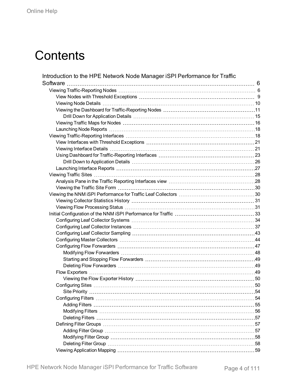# **Contents**

| Introduction to the HPE Network Node Manager iSPI Performance for Traffic |     |
|---------------------------------------------------------------------------|-----|
| Software                                                                  |     |
|                                                                           |     |
|                                                                           |     |
|                                                                           |     |
|                                                                           |     |
|                                                                           |     |
|                                                                           |     |
|                                                                           |     |
|                                                                           |     |
|                                                                           |     |
|                                                                           |     |
|                                                                           |     |
|                                                                           |     |
|                                                                           |     |
|                                                                           |     |
|                                                                           |     |
|                                                                           |     |
|                                                                           |     |
|                                                                           |     |
|                                                                           |     |
|                                                                           |     |
|                                                                           |     |
|                                                                           |     |
|                                                                           |     |
|                                                                           |     |
|                                                                           |     |
|                                                                           |     |
|                                                                           |     |
|                                                                           |     |
|                                                                           |     |
|                                                                           |     |
|                                                                           |     |
|                                                                           | .54 |
|                                                                           |     |
|                                                                           |     |
|                                                                           |     |
| Deleting Filters ……………………………………………………………………………………57                       |     |
|                                                                           |     |
|                                                                           |     |
|                                                                           |     |
|                                                                           |     |
|                                                                           |     |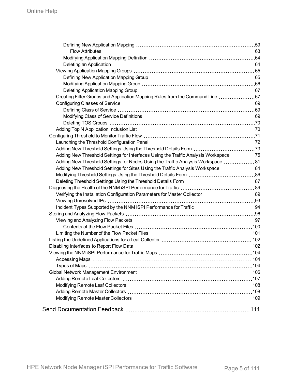| Creating Filter Groups and Application Mapping Rules from the Command Line 67        |  |
|--------------------------------------------------------------------------------------|--|
|                                                                                      |  |
|                                                                                      |  |
|                                                                                      |  |
|                                                                                      |  |
|                                                                                      |  |
|                                                                                      |  |
|                                                                                      |  |
|                                                                                      |  |
| Adding New Threshold Settings for Interfaces Using the Traffic Analysis Workspace 75 |  |
| Adding New Threshold Settings for Nodes Using the Traffic Analysis Workspace  81     |  |
| Adding New Threshold Settings for Sites Using the Traffic Analysis Workspace  84     |  |
|                                                                                      |  |
|                                                                                      |  |
|                                                                                      |  |
| Verifying the Installation Configuration Parameters for Master Collector  89         |  |
|                                                                                      |  |
|                                                                                      |  |
|                                                                                      |  |
|                                                                                      |  |
|                                                                                      |  |
|                                                                                      |  |
|                                                                                      |  |
|                                                                                      |  |
|                                                                                      |  |
|                                                                                      |  |
|                                                                                      |  |
|                                                                                      |  |
|                                                                                      |  |
|                                                                                      |  |
|                                                                                      |  |
|                                                                                      |  |
|                                                                                      |  |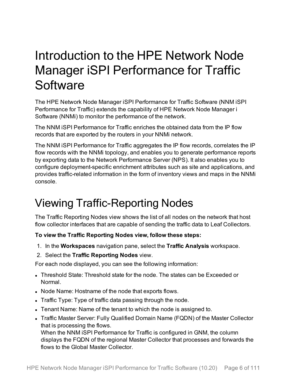# <span id="page-5-0"></span>Introduction to the HPE Network Node Manager iSPI Performance for Traffic **Software**

The HPE Network Node Manager iSPI Performance for Traffic Software (NNM iSPI Performance for Traffic) extends the capability of HPE Network Node Manager i Software (NNMi) to monitor the performance of the network.

The NNM iSPI Performance for Traffic enriches the obtained data from the IP flow records that are exported by the routers in your NNMi network.

The NNM iSPI Performance for Traffic aggregates the IP flow records, correlates the IP flow records with the NNMi topology, and enables you to generate performance reports by exporting data to the Network Performance Server (NPS). It also enables you to configure deployment-specific enrichment attributes such as site and applications, and provides traffic-related information in the form of inventory views and maps in the NNMi console.

## <span id="page-5-1"></span>Viewing Traffic-Reporting Nodes

The Traffic Reporting Nodes view shows the list of all nodes on the network that host flow collector interfaces that are capable of sending the traffic data to Leaf Collectors.

**To view the Traffic Reporting Nodes view, follow these steps:**

- 1. In the **Workspaces** navigation pane, select the **Traffic Analysis** workspace.
- 2. Select the **Traffic Reporting Nodes** view.

For each node displayed, you can see the following information:

- Threshold State: Threshold state for the node. The states can be Exceeded or Normal.
- Node Name: Hostname of the node that exports flows.
- Traffic Type: Type of traffic data passing through the node.
- Tenant Name: Name of the tenant to which the node is assigned to.
- Traffic Master Server: Fully Qualified Domain Name (FQDN) of the Master Collector that is processing the flows.

When the NNM iSPI Performance for Traffic is configured in GNM, the column displays the FQDN of the regional Master Collector that processes and forwards the flows to the Global Master Collector.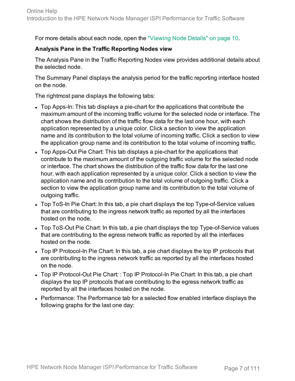For more details about each node, open the ["Viewing](#page-9-0) Node Details" on page 10.

### **Analysis Pane in the Traffic Reporting Nodes view**

The Analysis Pane in the Traffic Reporting Nodes view provides additional details about the selected node.

The Summary Panel displays the analysis period for the traffic reporting interface hosted on the node.

The rightmost pane displays the following tabs:

- Top Apps-In: This tab displays a pie-chart for the applications that contribute the maximum amount of the incoming traffic volume for the selected node or interface. The chart shows the distribution of the traffic flow data for the last one hour, with each application represented by a unique color. Click a section to view the application name and its contribution to the total volume of incoming traffic. Click a section to view the application group name and its contribution to the total volume of incoming traffic.
- Top Apps-Out Pie Chart: This tab displays a pie-chart for the applications that contribute to the maximum amount of the outgoing traffic volume for the selected node or interface. The chart shows the distribution of the traffic flow data for the last one hour, with each application represented by a unique color. Click a section to view the application name and its contribution to the total volume of outgoing traffic. Click a section to view the application group name and its contribution to the total volume of outgoing traffic.
- Top ToS-In Pie Chart: In this tab, a pie chart displays the top Type-of-Service values that are contributing to the ingress network traffic as reported by all the interfaces hosted on the node.
- Top ToS-Out Pie Chart: In this tab, a pie chart displays the top Type-of-Service values that are contributing to the egress network traffic as reported by all the interfaces hosted on the node.
- Top IP Protocol-In Pie Chart: In this tab, a pie chart displays the top IP protocols that are contributing to the ingress network traffic as reported by all the interfaces hosted on the node.
- Top IP Protocol-Out Pie Chart: : Top IP Protocol-In Pie Chart: In this tab, a pie chart displays the top IP protocols that are contributing to the egress network traffic as reported by all the interfaces hosted on the node.
- Performance: The Performance tab for a selected flow enabled interface displays the following graphs for the last one day: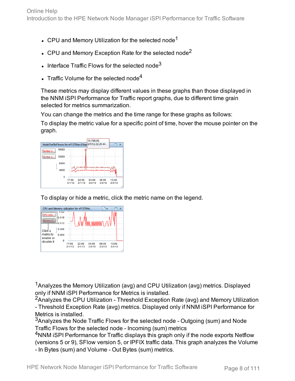- CPU and Memory Utilization for the selected node<sup>1</sup>
- CPU and Memory Exception Rate for the selected node<sup>2</sup>
- $\cdot$  Interface Traffic Flows for the selected node<sup>3</sup>
- Traffic Volume for the selected node<sup>4</sup>

These metrics may display different values in these graphs than those displayed in the NNM iSPI Performance for Traffic report graphs, due to different time grain selected for metrics summarization.

You can change the metrics and the time range for these graphs as follows:

To display the metric value for a specific point of time, hover the mouse pointer on the graph.



To display or hide a metric, click the metric name on the legend.



<sup>1</sup> Analyzes the Memory Utilization (avg) and CPU Utilization (avg) metrics. Displayed only if NNM iSPI Performance for Metrics is installed.

<sup>2</sup>Analyzes the CPU Utilization - Threshold Exception Rate (avg) and Memory Utilization - Threshold Exception Rate (avg) metrics. Displayed only if NNM iSPI Performance for Metrics is installed.

<sup>3</sup>Analyzes the Node Traffic Flows for the selected node - Outgoing (sum) and Node Traffic Flows for the selected node - Incoming (sum) metrics

<sup>4</sup>NNM iSPI Performance for Traffic displays this graph only if the node exports Netflow (versions 5 or 9), SFlow version 5, or IPFIX traffic data. This graph analyzes the Volume - In Bytes (sum) and Volume - Out Bytes (sum) metrics.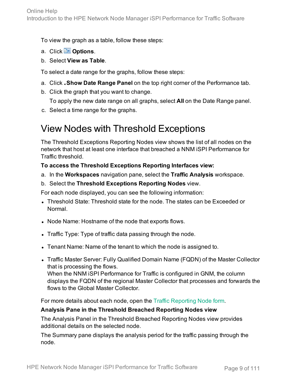To view the graph as a table, follow these steps:

- a. Click **Options**.
- b. Select **View as Table**.

To select a date range for the graphs, follow these steps:

- a. Click **Show Date Range Panel** on the top right corner of the Performance tab.
- b. Click the graph that you want to change.

To apply the new date range on all graphs, select **All** on the Date Range panel.

<span id="page-8-0"></span>c. Select a time range for the graphs.

### View Nodes with Threshold Exceptions

The Threshold Exceptions Reporting Nodes view shows the list of all nodes on the network that host at least one interface that breached a NNM iSPI Performance for Traffic threshold.

### **To access the Threshold Exceptions Reporting Interfaces view:**

- a. In the **Workspaces** navigation pane, select the **Traffic Analysis** workspace.
- b. Select the **Threshold Exceptions Reporting Nodes** view.

For each node displayed, you can see the following information:

- Threshold State: Threshold state for the node. The states can be Exceeded or Normal.
- Node Name: Hostname of the node that exports flows.
- Traffic Type: Type of traffic data passing through the node.
- Tenant Name: Name of the tenant to which the node is assigned to.
- Traffic Master Server: Fully Qualified Domain Name (FQDN) of the Master Collector that is processing the flows.

When the NNM iSPI Performance for Traffic is configured in GNM, the column displays the FQDN of the regional Master Collector that processes and forwards the flows to the Global Master Collector.

For more details about each node, open the Traffic [Reporting](#page-9-0) Node form.

### **Analysis Pane in the Threshold Breached Reporting Nodes view**

The Analysis Panel in the Threshold Breached Reporting Nodes view provides additional details on the selected node.

The Summary pane displays the analysis period for the traffic passing through the node.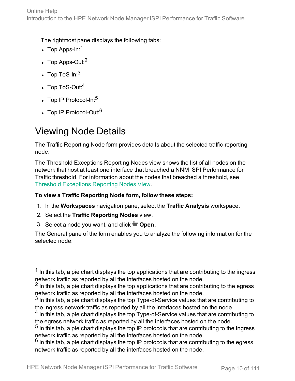The rightmost pane displays the following tabs:

- $\cdot$  Top Apps-In:<sup>1</sup>
- $\cdot$  Top Apps-Out: $^2$
- $\cdot$  Top ToS-In: $^3$
- $\cdot$  Top ToS-Out:<sup>4</sup>
- $\cdot$  Top IP Protocol-In: $5$
- <span id="page-9-0"></span> $\cdot$  Top IP Protocol-Out:  $6$

## Viewing Node Details

The Traffic Reporting Node form provides details about the selected traffic-reporting node.

The Threshold Exceptions Reporting Nodes view shows the list of all nodes on the network that host at least one interface that breached a NNM iSPI Performance for Traffic threshold. For information about the nodes that breached a threshold, see Threshold [Exceptions](#page-8-0) Reporting Nodes View.

### **To view a Traffic Reporting Node form, follow these steps:**

- 1. In the **Workspaces** navigation pane, select the **Traffic Analysis** workspace.
- 2. Select the **Traffic Reporting Nodes** view.
- 3. Select a node you want, and click **Open.**

The General pane of the form enables you to analyze the following information for the selected node:

 $<sup>1</sup>$  In this tab, a pie chart displays the top applications that are contributing to the ingress</sup> network traffic as reported by all the interfaces hosted on the node.

 $<sup>2</sup>$  In this tab, a pie chart displays the top applications that are contributing to the egress</sup> network traffic as reported by all the interfaces hosted on the node.

 $3$  In this tab, a pie chart displays the top Type-of-Service values that are contributing to the ingress network traffic as reported by all the interfaces hosted on the node.

<sup>4</sup> In this tab, a pie chart displays the top Type-of-Service values that are contributing to the egress network traffic as reported by all the interfaces hosted on the node.

 $<sup>5</sup>$  In this tab, a pie chart displays the top IP protocols that are contributing to the ingress</sup> network traffic as reported by all the interfaces hosted on the node.

 $<sup>6</sup>$  In this tab, a pie chart displays the top IP protocols that are contributing to the egress</sup> network traffic as reported by all the interfaces hosted on the node.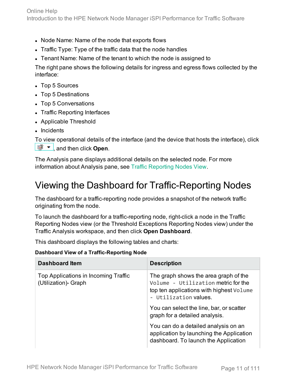- Node Name: Name of the node that exports flows
- Traffic Type: Type of the traffic data that the node handles
- Tenant Name: Name of the tenant to which the node is assigned to

The right pane shows the following details for ingress and egress flows collected by the interface:

- Top 5 Sources
- Top 5 Destinations
- Top 5 Conversations
- Traffic Reporting Interfaces
- Applicable Threshold
- Incidents

To view operational details of the interface (and the device that hosts the interface), click **<u><sup>■</sup>** ▼</del>, and then click Open.</u>

The Analysis pane displays additional details on the selected node. For more information about Analysis pane, see Traffic [Reporting](#page-5-1) Nodes View.

## <span id="page-10-0"></span>Viewing the Dashboard for Traffic-Reporting Nodes

The dashboard for a traffic-reporting node provides a snapshot of the network traffic originating from the node.

To launch the dashboard for a traffic-reporting node, right-click a node in the Traffic Reporting Nodes view (or the Threshold Exceptions Reporting Nodes view) under the Traffic Analysis workspace, and then click **Open Dashboard**.

This dashboard displays the following tables and charts:

**Dashboard View of a Traffic-Reporting Node**

| <b>Dashboard Item</b>                                       | <b>Description</b>                                                                                                                                |
|-------------------------------------------------------------|---------------------------------------------------------------------------------------------------------------------------------------------------|
| Top Applications in Incoming Traffic<br>(Utilization) Graph | The graph shows the area graph of the<br>Volume - Utilization metric for the<br>top ten applications with highest Volume<br>- Utilization values. |
|                                                             | You can select the line, bar, or scatter<br>graph for a detailed analysis.                                                                        |
|                                                             | You can do a detailed analysis on an<br>application by launching the Application<br>dashboard. To launch the Application                          |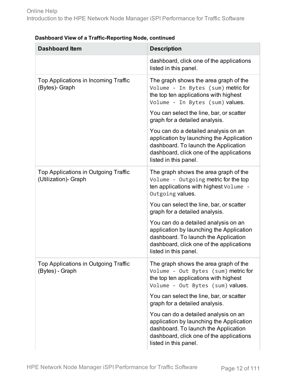| <b>Dashboard Item</b>                                       | <b>Description</b>                                                                                                                                                                            |
|-------------------------------------------------------------|-----------------------------------------------------------------------------------------------------------------------------------------------------------------------------------------------|
|                                                             | dashboard, click one of the applications<br>listed in this panel.                                                                                                                             |
| Top Applications in Incoming Traffic<br>(Bytes)- Graph      | The graph shows the area graph of the<br>Volume - In Bytes (sum) metric for<br>the top ten applications with highest<br>Volume - In Bytes (sum) values.                                       |
|                                                             | You can select the line, bar, or scatter<br>graph for a detailed analysis.                                                                                                                    |
|                                                             | You can do a detailed analysis on an<br>application by launching the Application<br>dashboard. To launch the Application<br>dashboard, click one of the applications<br>listed in this panel. |
| Top Applications in Outgoing Traffic<br>(Utilization) Graph | The graph shows the area graph of the<br>Volume - Outgoing metric for the top<br>ten applications with highest Volume -<br>Outgoing values.                                                   |
|                                                             | You can select the line, bar, or scatter<br>graph for a detailed analysis.                                                                                                                    |
|                                                             | You can do a detailed analysis on an<br>application by launching the Application<br>dashboard. To launch the Application<br>dashboard, click one of the applications<br>listed in this panel. |
| Top Applications in Outgoing Traffic<br>(Bytes) - Graph     | The graph shows the area graph of the<br>Volume - Out Bytes (sum) metric for<br>the top ten applications with highest<br>Volume - Out Bytes (sum) values.                                     |
|                                                             | You can select the line, bar, or scatter<br>graph for a detailed analysis.                                                                                                                    |
|                                                             | You can do a detailed analysis on an<br>application by launching the Application<br>dashboard. To launch the Application<br>dashboard, click one of the applications<br>listed in this panel. |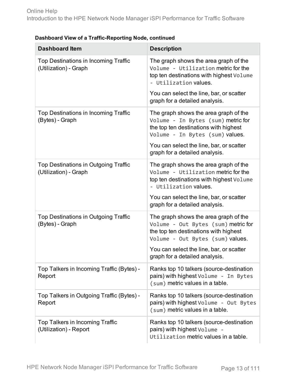| <b>Dashboard Item</b>                                         | <b>Description</b>                                                                                                                                        |
|---------------------------------------------------------------|-----------------------------------------------------------------------------------------------------------------------------------------------------------|
| Top Destinations in Incoming Traffic<br>(Utilization) - Graph | The graph shows the area graph of the<br>Volume - Utilization metric for the<br>top ten destinations with highest Volume<br>- Utilization values.         |
|                                                               | You can select the line, bar, or scatter<br>graph for a detailed analysis.                                                                                |
| Top Destinations in Incoming Traffic<br>(Bytes) - Graph       | The graph shows the area graph of the<br>Volume - In Bytes (sum) metric for<br>the top ten destinations with highest<br>Volume - In Bytes (sum) values.   |
|                                                               | You can select the line, bar, or scatter<br>graph for a detailed analysis.                                                                                |
| Top Destinations in Outgoing Traffic<br>(Utilization) - Graph | The graph shows the area graph of the<br>Volume - Utilization metric for the<br>top ten destinations with highest Volume<br>- Utilization values.         |
|                                                               | You can select the line, bar, or scatter<br>graph for a detailed analysis.                                                                                |
| Top Destinations in Outgoing Traffic<br>(Bytes) - Graph       | The graph shows the area graph of the<br>Volume - Out Bytes (sum) metric for<br>the top ten destinations with highest<br>Volume - Out Bytes (sum) values. |
|                                                               | You can select the line, bar, or scatter<br>graph for a detailed analysis.                                                                                |
| Top Talkers in Incoming Traffic (Bytes) -<br>Report           | Ranks top 10 talkers (source-destination<br>pairs) with highest Volume - In Bytes<br>(sum) metric values in a table.                                      |
| Top Talkers in Outgoing Traffic (Bytes) -<br>Report           | Ranks top 10 talkers (source-destination<br>pairs) with highest Volume - Out Bytes<br>(sum) metric values in a table.                                     |
| Top Talkers in Incoming Traffic<br>(Utilization) - Report     | Ranks top 10 talkers (source-destination<br>pairs) with highest Volume -<br>Utilization metric values in a table.                                         |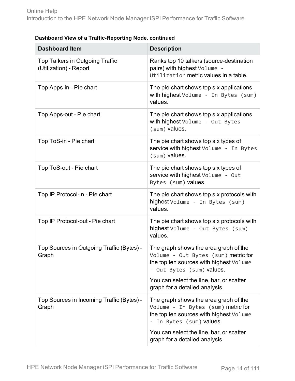| <b>Dashboard Item</b>                                            | <b>Description</b>                                                                                                                                   |
|------------------------------------------------------------------|------------------------------------------------------------------------------------------------------------------------------------------------------|
| <b>Top Talkers in Outgoing Traffic</b><br>(Utilization) - Report | Ranks top 10 talkers (source-destination<br>pairs) with highest Volume -<br>Utilization metric values in a table.                                    |
| Top Apps-in - Pie chart                                          | The pie chart shows top six applications<br>with highest Volume - In Bytes (sum)<br>values.                                                          |
| Top Apps-out - Pie chart                                         | The pie chart shows top six applications<br>with highest Volume - Out Bytes<br>(sum) values.                                                         |
| Top ToS-in - Pie chart                                           | The pie chart shows top six types of<br>service with highest Volume - In Bytes<br>(sum) values.                                                      |
| Top ToS-out - Pie chart                                          | The pie chart shows top six types of<br>service with highest Volume - Out<br>Bytes (sum) values.                                                     |
| Top IP Protocol-in - Pie chart                                   | The pie chart shows top six protocols with<br>highest Volume - In Bytes (sum)<br>values.                                                             |
| Top IP Protocol-out - Pie chart                                  | The pie chart shows top six protocols with<br>highest Volume - Out Bytes (sum)<br>values.                                                            |
| Top Sources in Outgoing Traffic (Bytes) -<br>Graph               | The graph shows the area graph of the<br>Volume - Out Bytes (sum) metric for<br>the top ten sources with highest Volume<br>- Out Bytes (sum) values. |
|                                                                  | You can select the line, bar, or scatter<br>graph for a detailed analysis.                                                                           |
| Top Sources in Incoming Traffic (Bytes) -<br>Graph               | The graph shows the area graph of the<br>Volume - In Bytes (sum) metric for<br>the top ten sources with highest Volume<br>- In Bytes (sum) values.   |
|                                                                  | You can select the line, bar, or scatter<br>graph for a detailed analysis.                                                                           |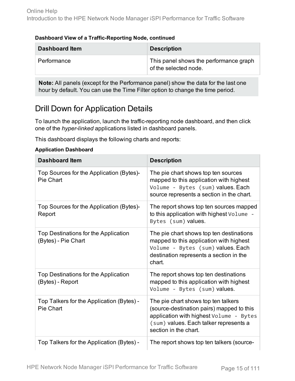| <b>Dashboard Item</b> | <b>Description</b>                                              |
|-----------------------|-----------------------------------------------------------------|
| Performance           | This panel shows the performance graph<br>of the selected node. |

**Note:** All panels (except for the Performance panel) show the data for the last one hour by default. You can use the Time Filter option to change the time period.

### <span id="page-14-0"></span>Drill Down for Application Details

To launch the application, launch the traffic-reporting node dashboard, and then click one of the *hyper-linked* applications listed in dashboard panels.

This dashboard displays the following charts and reports:

#### **Application Dashboard**

| <b>Dashboard Item</b>                                       | <b>Description</b>                                                                                                                                                                             |
|-------------------------------------------------------------|------------------------------------------------------------------------------------------------------------------------------------------------------------------------------------------------|
| Top Sources for the Application (Bytes)-<br>Pie Chart       | The pie chart shows top ten sources<br>mapped to this application with highest<br>Volume - Bytes (sum) values. Each<br>source represents a section in the chart.                               |
| Top Sources for the Application (Bytes)-<br>Report          | The report shows top ten sources mapped<br>to this application with highest Volume -<br>Bytes (sum) values.                                                                                    |
| Top Destinations for the Application<br>(Bytes) - Pie Chart | The pie chart shows top ten destinations<br>mapped to this application with highest<br>Volume - Bytes (sum) values. Each<br>destination represents a section in the<br>chart.                  |
| Top Destinations for the Application<br>(Bytes) - Report    | The report shows top ten destinations<br>mapped to this application with highest<br>Volume - Bytes (sum) values.                                                                               |
| Top Talkers for the Application (Bytes) -<br>Pie Chart      | The pie chart shows top ten talkers<br>(source-destination pairs) mapped to this<br>application with highest Volume - Bytes<br>(sum) values. Each talker represents a<br>section in the chart. |
| Top Talkers for the Application (Bytes) -                   | The report shows top ten talkers (source-                                                                                                                                                      |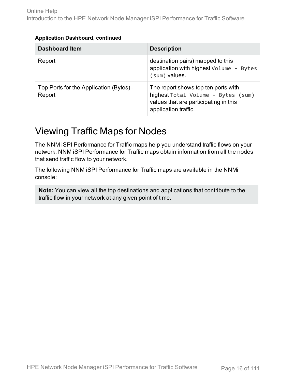#### **Application Dashboard, continued**

| <b>Dashboard Item</b>                             | <b>Description</b>                                                                                                                         |
|---------------------------------------------------|--------------------------------------------------------------------------------------------------------------------------------------------|
| Report                                            | destination pairs) mapped to this<br>application with highest Volume - Bytes<br>(sum) values.                                              |
| Top Ports for the Application (Bytes) -<br>Report | The report shows top ten ports with<br>highest Total Volume - Bytes (sum)<br>values that are participating in this<br>application traffic. |

### <span id="page-15-0"></span>Viewing Traffic Maps for Nodes

The NNM iSPI Performance for Traffic maps help you understand traffic flows on your network. NNM iSPI Performance for Traffic maps obtain information from all the nodes that send traffic flow to your network.

The following NNM iSPI Performance for Traffic maps are available in the NNMi console:

**Note:** You can view all the top destinations and applications that contribute to the traffic flow in your network at any given point of time.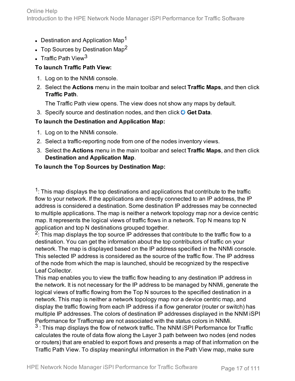- Destination and Application Map<sup>1</sup>
- Top Sources by Destination Map<sup>2</sup>
- Traffic Path View<sup>3</sup>

### **To launch Traffic Path View:**

- 1. Log on to the NNMi console.
- 2. Select the **Actions** menu in the main toolbar and select **Traffic Maps**, and then click **Traffic Path**.

The Traffic Path view opens. The view does not show any maps by default.

3. Specify source and destination nodes, and then click **Get Data**.

### **To launch the Destination and Application Map:**

- 1. Log on to the NNMi console.
- 2. Select a traffic-reporting node from one of the nodes inventory views.
- 3. Select the **Actions** menu in the main toolbar and select **Traffic Maps**, and then click **Destination and Application Map**.

### **To launch the Top Sources by Destination Map:**

 $1$ : This map displays the top destinations and applications that contribute to the traffic flow to your network. If the applications are directly connected to an IP address, the IP address is considered a destination. Some destination IP addresses may be connected to multiple applications. The map is neither a network topology map nor a device centric map. It represents the logical views of traffic flows in a network. Top N means top N application and top N destinations grouped together.

 $2$ : This map displays the top source IP addresses that contribute to the traffic flow to a destination. You can get the information about the top contributors of traffic on your network. The map is displayed based on the IP address specified in the NNMi console. This selected IP address is considered as the source of the traffic flow. The IP address of the node from which the map is launched, should be recognized by the respective Leaf Collector.

This map enables you to view the traffic flow heading to any destination IP address in the network. It is not necessary for the IP address to be managed by NNMi, generate the logical views of traffic flowing from the Top N sources to the specified destination in a network. This map is neither a network topology map nor a device centric map, and display the traffic flowing from each IP address if a flow generator (router or switch) has multiple IP addresses. The colors of destination IP addresses displayed in the NNM iSPI Performance for Trafficmap are not associated with the status colors in NNMi.

 $3$ : This map displays the flow of network traffic. The NNM iSPI Performance for Traffic calculates the route of data flow along the Layer 3 path between two nodes (end nodes or routers) that are enabled to export flows and presents a map of that information on the Traffic Path View. To display meaningful information in the Path View map, make sure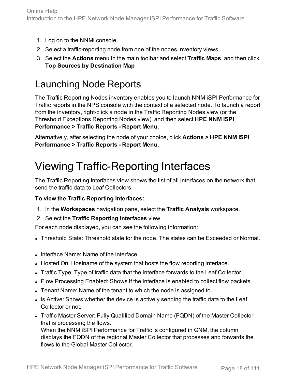- 1. Log on to the NNMi console.
- 2. Select a traffic-reporting node from one of the nodes inventory views.
- 3. Select the **Actions** menu in the main toolbar and select **Traffic Maps**, and then click **Top Sources by Destination Map**

### <span id="page-17-0"></span>Launching Node Reports

The Traffic Reporting Nodes inventory enables you to launch NNM iSPI Performance for Traffic reports in the NPS console with the context of a selected node. To launch a report from the inventory, right-click a node in the Traffic Reporting Nodes view (or the Threshold Exceptions Reporting Nodes view), and then select **HPE NNM iSPI Performance > Traffic Reports - Report Menu**.

Alternatively, after selecting the node of your choice, click **Actions > HPE NNM iSPI Performance > Traffic Reports - Report Menu**.

## <span id="page-17-1"></span>Viewing Traffic-Reporting Interfaces

The Traffic Reporting Interfaces view shows the list of all interfaces on the network that send the traffic data to Leaf Collectors.

### **To view the Traffic Reporting Interfaces:**

- 1. In the **Workspaces** navigation pane, select the **Traffic Analysis** workspace.
- 2. Select the **Traffic Reporting Interfaces** view.

For each node displayed, you can see the following information:

- Threshold State: Threshold state for the node. The states can be Exceeded or Normal.
- Interface Name: Name of the interface.
- Hosted On: Hostname of the system that hosts the flow reporting interface.
- Traffic Type: Type of traffic data that the interface forwards to the Leaf Collector.
- Flow Processing Enabled: Shows if the interface is enabled to collect flow packets.
- I Tenant Name: Name of the tenant to which the node is assigned to.
- Is Active: Shows whether the device is actively sending the traffic data to the Leaf Collector or not.
- Traffic Master Server: Fully Qualified Domain Name (FQDN) of the Master Collector that is processing the flows. When the NNM iSPI Performance for Traffic is configured in GNM, the column

displays the FQDN of the regional Master Collector that processes and forwards the flows to the Global Master Collector.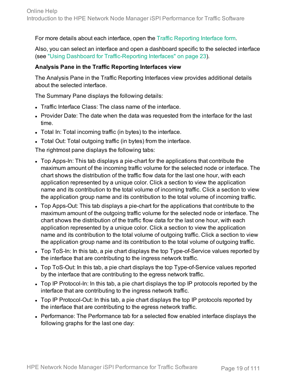For more details about each interface, open the Traffic [Reporting](#page-20-1) Interface form.

Also, you can select an interface and open a dashboard specific to the selected interface (see "Using Dashboard for [Traffic-Reporting](#page-22-0) Interfaces" on page 23).

### **Analysis Pane in the Traffic Reporting Interfaces view**

The Analysis Pane in the Traffic Reporting Interfaces view provides additional details about the selected interface.

The Summary Pane displays the following details:

- Traffic Interface Class: The class name of the interface.
- Provider Date: The date when the data was requested from the interface for the last time.
- Total In: Total incoming traffic (in bytes) to the interface.
- Total Out: Total outgoing traffic (in bytes) from the interface.

The rightmost pane displays the following tabs:

- Top Apps-In: This tab displays a pie-chart for the applications that contribute the maximum amount of the incoming traffic volume for the selected node or interface. The chart shows the distribution of the traffic flow data for the last one hour, with each application represented by a unique color. Click a section to view the application name and its contribution to the total volume of incoming traffic. Click a section to view the application group name and its contribution to the total volume of incoming traffic.
- Top Apps-Out: This tab displays a pie-chart for the applications that contribute to the maximum amount of the outgoing traffic volume for the selected node or interface. The chart shows the distribution of the traffic flow data for the last one hour, with each application represented by a unique color. Click a section to view the application name and its contribution to the total volume of outgoing traffic. Click a section to view the application group name and its contribution to the total volume of outgoing traffic.
- Top ToS-In: In this tab, a pie chart displays the top Type-of-Service values reported by the interface that are contributing to the ingress network traffic.
- Top ToS-Out: In this tab, a pie chart displays the top Type-of-Service values reported by the interface that are contributing to the egress network traffic.
- Top IP Protocol-In: In this tab, a pie chart displays the top IP protocols reported by the interface that are contributing to the ingress network traffic.
- Top IP Protocol-Out: In this tab, a pie chart displays the top IP protocols reported by the interface that are contributing to the egress network traffic.
- Performance: The Performance tab for a selected flow enabled interface displays the following graphs for the last one day: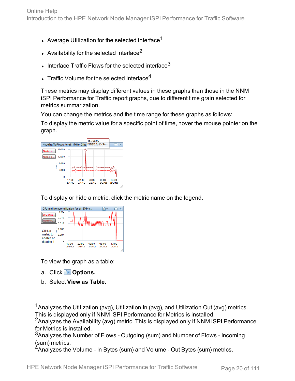- Average Utilization for the selected interface<sup>1</sup>
- Availability for the selected interface<sup>2</sup>
- Interface Traffic Flows for the selected interface<sup>3</sup>
- Traffic Volume for the selected interface<sup>4</sup>

These metrics may display different values in these graphs than those in the NNM iSPI Performance for Traffic report graphs, due to different time grain selected for metrics summarization.

You can change the metrics and the time range for these graphs as follows:

To display the metric value for a specific point of time, hover the mouse pointer on the graph.



To display or hide a metric, click the metric name on the legend.



To view the graph as a table:

- a. Click **PC** Options.
- b. Select **View as Table.**

<sup>1</sup>Analyzes the Utilization (avg), Utilization In (avg), and Utilization Out (avg) metrics. This is displayed only if NNM iSPI Performance for Metrics is installed.

<sup>2</sup> Analyzes the Availability (avg) metric. This is displayed only if NNM iSPI Performance for Metrics is installed.

<sup>3</sup>Analyzes the Number of Flows - Outgoing (sum) and Number of Flows - Incoming (sum) metrics.

<sup>4</sup>Analyzes the Volume - In Bytes (sum) and Volume - Out Bytes (sum) metrics.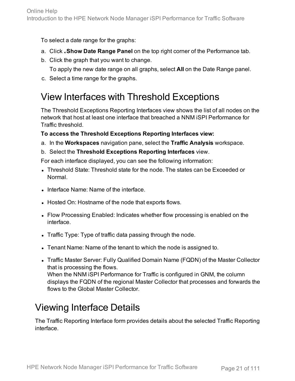To select a date range for the graphs:

- a. Click **Show Date Range Panel** on the top right corner of the Performance tab.
- b. Click the graph that you want to change. To apply the new date range on all graphs, select **All** on the Date Range panel.
- <span id="page-20-0"></span>c. Select a time range for the graphs.

### View Interfaces with Threshold Exceptions

The Threshold Exceptions Reporting Interfaces view shows the list of all nodes on the network that host at least one interface that breached a NNM iSPI Performance for Traffic threshold.

### **To access the Threshold Exceptions Reporting Interfaces view:**

- a. In the **Workspaces** navigation pane, select the **Traffic Analysis** workspace.
- b. Select the **Threshold Exceptions Reporting Interfaces** view.

For each interface displayed, you can see the following information:

- Threshold State: Threshold state for the node. The states can be Exceeded or Normal.
- Interface Name: Name of the interface.
- Hosted On: Hostname of the node that exports flows.
- Flow Processing Enabled: Indicates whether flow processing is enabled on the interface.
- Traffic Type: Type of traffic data passing through the node.
- Tenant Name: Name of the tenant to which the node is assigned to.
- Traffic Master Server: Fully Qualified Domain Name (FQDN) of the Master Collector that is processing the flows. When the NNM iSPI Performance for Traffic is configured in GNM, the column displays the FQDN of the regional Master Collector that processes and forwards the flows to the Global Master Collector.

### <span id="page-20-1"></span>Viewing Interface Details

The Traffic Reporting Interface form provides details about the selected Traffic Reporting interface.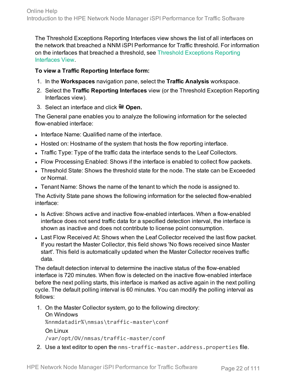The Threshold Exceptions Reporting Interfaces view shows the list of all interfaces on the network that breached a NNM iSPI Performance for Traffic threshold. For information on the interfaces that breached a threshold, see Threshold [Exceptions](#page-20-0) Reporting [Interfaces](#page-20-0) View.

### **To view a Traffic Reporting Interface form:**

- 1. In the **Workspaces** navigation pane, select the **Traffic Analysis** workspace.
- 2. Select the **Traffic Reporting Interfaces** view (or the Threshold Exception Reporting Interfaces view).
- 3. Select an interface and click **Open.**

The General pane enables you to analyze the following information for the selected flow-enabled interface:

- Interface Name: Qualified name of the interface.
- Hosted on: Hostname of the system that hosts the flow reporting interface.
- Traffic Type: Type of the traffic data the interface sends to the Leaf Collectors.
- Flow Processing Enabled: Shows if the interface is enabled to collect flow packets.
- Threshold State: Shows the threshold state for the node. The state can be Exceeded or Normal.
- I Tenant Name: Shows the name of the tenant to which the node is assigned to.

The Activity State pane shows the following information for the selected flow-enabled interface:

- Is Active: Shows active and inactive flow-enabled interfaces. When a flow-enabled interface does not send traffic data for a specified detection interval, the interface is shown as inactive and does not contribute to license point consumption.
- Last Flow Received At: Shows when the Leaf Collector received the last flow packet. If you restart the Master Collector, this field shows 'No flows received since Master start'. This field is automatically updated when the Master Collector receives traffic data.

The default detection interval to determine the inactive status of the flow-enabled interface is 720 minutes. When flow is detected on the inactive flow-enabled interface before the next polling starts, this interface is marked as active again in the next polling cycle. The default polling interval is 60 minutes. You can modify the polling interval as follows:

- 1. On the Master Collector system, go to the following directory: On Windows %nnmdatadir%\nmsas\traffic-master\conf On Linux /var/opt/OV/nmsas/traffic-master/conf
- 2. Use a text editor to open the nms-traffic-master.address.properties file.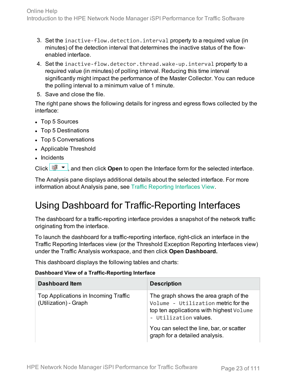- 3. Set the inactive-flow.detection.interval property to a required value (in minutes) of the detection interval that determines the inactive status of the flowenabled interface.
- 4. Set the inactive-flow.detector.thread.wake-up.interval property to a required value (in minutes) of polling interval. Reducing this time interval significantly might impact the performance of the Master Collector. You can reduce the polling interval to a minimum value of 1 minute.
- 5. Save and close the file.

The right pane shows the following details for ingress and egress flows collected by the interface:

- Top 5 Sources
- Top 5 Destinations
- Top 5 Conversations
- Applicable Threshold
- Incidents

Click  $\frac{p}{p+1}$ , and then click **Open** to open the Interface form for the selected interface.

The Analysis pane displays additional details about the selected interface. For more information about Analysis pane, see Traffic [Reporting](#page-17-1) Interfaces View.

### <span id="page-22-0"></span>Using Dashboard for Traffic-Reporting Interfaces

The dashboard for a traffic-reporting interface provides a snapshot of the network traffic originating from the interface.

To launch the dashboard for a traffic-reporting interface, right-click an interface in the Traffic Reporting Interfaces view (or the Threshold Exception Reporting Interfaces view) under the Traffic Analysis workspace, and then click **Open Dashboard.**

This dashboard displays the following tables and charts:

#### **Dashboard View of a Traffic-Reporting Interface**

| <b>Dashboard Item</b>                                         | <b>Description</b>                                                                                                                                |
|---------------------------------------------------------------|---------------------------------------------------------------------------------------------------------------------------------------------------|
| Top Applications in Incoming Traffic<br>(Utilization) - Graph | The graph shows the area graph of the<br>Volume - Utilization metric for the<br>top ten applications with highest Volume<br>- Utilization values. |
|                                                               | You can select the line, bar, or scatter<br>graph for a detailed analysis.                                                                        |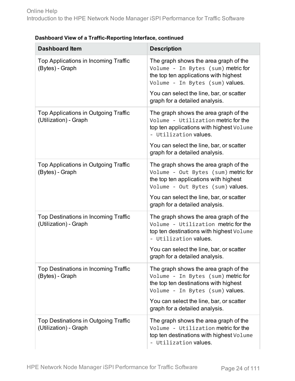| <b>Dashboard Item</b>                                         | <b>Description</b>                                                                                                                                                                                                                      |
|---------------------------------------------------------------|-----------------------------------------------------------------------------------------------------------------------------------------------------------------------------------------------------------------------------------------|
| Top Applications in Incoming Traffic<br>(Bytes) - Graph       | The graph shows the area graph of the<br>Volume - In Bytes (sum) metric for<br>the top ten applications with highest<br>Volume - In Bytes (sum) values.                                                                                 |
|                                                               | You can select the line, bar, or scatter<br>graph for a detailed analysis.                                                                                                                                                              |
| Top Applications in Outgoing Traffic<br>(Utilization) - Graph | The graph shows the area graph of the<br>Volume - Utilization metric for the<br>top ten applications with highest Volume<br>- Utilization values.<br>You can select the line, bar, or scatter<br>graph for a detailed analysis.         |
| Top Applications in Outgoing Traffic<br>(Bytes) - Graph       | The graph shows the area graph of the<br>Volume - Out Bytes (sum) metric for<br>the top ten applications with highest<br>Volume - Out Bytes (sum) values.<br>You can select the line, bar, or scatter<br>graph for a detailed analysis. |
| Top Destinations in Incoming Traffic<br>(Utilization) - Graph | The graph shows the area graph of the<br>Volume - Utilization metric for the<br>top ten destinations with highest Volume<br>- Utilization values.<br>You can select the line, bar, or scatter<br>graph for a detailed analysis.         |
| Top Destinations in Incoming Traffic<br>(Bytes) - Graph       | The graph shows the area graph of the<br>Volume - In Bytes (sum) metric for<br>the top ten destinations with highest<br>Volume - In Bytes (sum) values.<br>You can select the line, bar, or scatter<br>graph for a detailed analysis.   |
| Top Destinations in Outgoing Traffic<br>(Utilization) - Graph | The graph shows the area graph of the<br>Volume - Utilization metric for the<br>top ten destinations with highest Volume<br>- Utilization values.                                                                                       |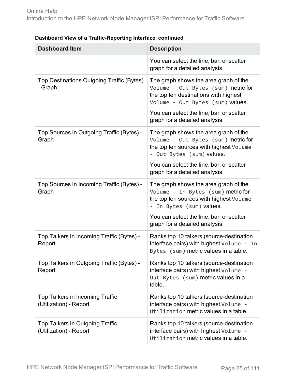| <b>Dashboard Item</b>                                            | <b>Description</b>                                                                                                                                        |
|------------------------------------------------------------------|-----------------------------------------------------------------------------------------------------------------------------------------------------------|
|                                                                  | You can select the line, bar, or scatter<br>graph for a detailed analysis.                                                                                |
| Top Destinations Outgoing Traffic (Bytes)<br>- Graph             | The graph shows the area graph of the<br>Volume - Out Bytes (sum) metric for<br>the top ten destinations with highest<br>Volume - Out Bytes (sum) values. |
|                                                                  | You can select the line, bar, or scatter<br>graph for a detailed analysis.                                                                                |
| Top Sources in Outgoing Traffic (Bytes) -<br>Graph               | The graph shows the area graph of the<br>Volume - Out Bytes (sum) metric for<br>the top ten sources with highest Volume<br>- Out Bytes (sum) values.      |
|                                                                  | You can select the line, bar, or scatter<br>graph for a detailed analysis.                                                                                |
| Top Sources in Incoming Traffic (Bytes) -<br>Graph               | The graph shows the area graph of the<br>Volume - In Bytes (sum) metric for<br>the top ten sources with highest Volume<br>- In Bytes (sum) values.        |
|                                                                  | You can select the line, bar, or scatter<br>graph for a detailed analysis.                                                                                |
| Top Talkers in Incoming Traffic (Bytes) -<br>Report              | Ranks top 10 talkers (source-destination<br>interface pairs) with highest Volume - In<br>Bytes (sum) metric values in a table.                            |
| Top Talkers in Outgoing Traffic (Bytes) -<br>Report              | Ranks top 10 talkers (source-destination<br>interface pairs) with highest Volume -<br>Out Bytes (sum) metric values in a<br>table.                        |
| <b>Top Talkers in Incoming Traffic</b><br>(Utilization) - Report | Ranks top 10 talkers (source-destination<br>interface pairs) with highest Volume -<br>Utilization metric values in a table.                               |
| Top Talkers in Outgoing Traffic<br>(Utilization) - Report        | Ranks top 10 talkers (source-destination<br>interface pairs) with highest Volume -<br>Utilization metric values in a table.                               |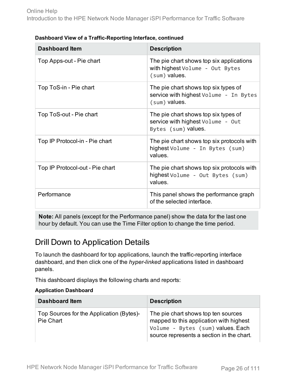| <b>Dashboard Item</b>           | <b>Description</b>                                                                               |
|---------------------------------|--------------------------------------------------------------------------------------------------|
| Top Apps-out - Pie chart        | The pie chart shows top six applications<br>with highest Volume - Out Bytes<br>(sum) values.     |
| Top ToS-in - Pie chart          | The pie chart shows top six types of<br>service with highest Volume - In Bytes<br>(sum) values.  |
| Top ToS-out - Pie chart         | The pie chart shows top six types of<br>service with highest Volume - Out<br>Bytes (sum) values. |
| Top IP Protocol-in - Pie chart  | The pie chart shows top six protocols with<br>highest Volume - In Bytes (sum)<br>values.         |
| Top IP Protocol-out - Pie chart | The pie chart shows top six protocols with<br>highest Volume - Out Bytes (sum)<br>values.        |
| Performance                     | This panel shows the performance graph<br>of the selected interface.                             |

**Note:** All panels (except for the Performance panel) show the data for the last one hour by default. You can use the Time Filter option to change the time period.

### <span id="page-25-0"></span>Drill Down to Application Details

To launch the dashboard for top applications, launch the traffic-reporting interface dashboard, and then click one of the *hyper-linked* applications listed in dashboard panels.

This dashboard displays the following charts and reports:

#### **Application Dashboard**

| <b>Dashboard Item</b>                                 | <b>Description</b>                                                                                                                                               |
|-------------------------------------------------------|------------------------------------------------------------------------------------------------------------------------------------------------------------------|
| Top Sources for the Application (Bytes)-<br>Pie Chart | The pie chart shows top ten sources<br>mapped to this application with highest<br>Volume - Bytes (sum) values. Each<br>source represents a section in the chart. |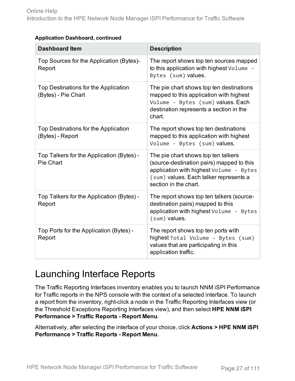| <b>Dashboard Item</b>                                       | <b>Description</b>                                                                                                                                                                             |  |
|-------------------------------------------------------------|------------------------------------------------------------------------------------------------------------------------------------------------------------------------------------------------|--|
| Top Sources for the Application (Bytes)-<br>Report          | The report shows top ten sources mapped<br>to this application with highest Volume -<br>Bytes (sum) values.                                                                                    |  |
| Top Destinations for the Application<br>(Bytes) - Pie Chart | The pie chart shows top ten destinations<br>mapped to this application with highest<br>Volume - Bytes (sum) values. Each<br>destination represents a section in the<br>chart.                  |  |
| Top Destinations for the Application<br>(Bytes) - Report    | The report shows top ten destinations<br>mapped to this application with highest<br>Volume - Bytes (sum) values.                                                                               |  |
| Top Talkers for the Application (Bytes) -<br>Pie Chart      | The pie chart shows top ten talkers<br>(source-destination pairs) mapped to this<br>application with highest Volume - Bytes<br>(sum) values. Each talker represents a<br>section in the chart. |  |
| Top Talkers for the Application (Bytes) -<br>Report         | The report shows top ten talkers (source-<br>destination pairs) mapped to this<br>application with highest Volume - Bytes<br>(sum) values.                                                     |  |
| Top Ports for the Application (Bytes) -<br>Report           | The report shows top ten ports with<br>highest Total Volume - Bytes (sum)<br>values that are participating in this<br>application traffic.                                                     |  |

### **Application Dashboard, continued**

### <span id="page-26-0"></span>Launching Interface Reports

The Traffic Reporting Interfaces inventory enables you to launch NNM iSPI Performance for Traffic reports in the NPS console with the context of a selected interface. To launch a report from the inventory, right-click a node in the Traffic Reporting Interfaces view (or the Threshold Exceptions Reporting Interfaces view), and then select **HPE NNM iSPI Performance > Traffic Reports - Report Menu**.

Alternatively, after selecting the interface of your choice, click **Actions > HPE NNM iSPI Performance > Traffic Reports - Report Menu**.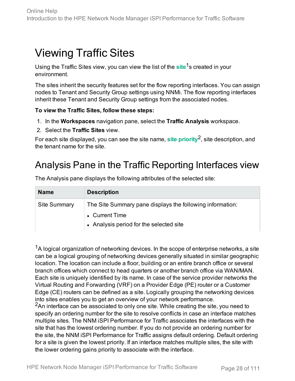## <span id="page-27-0"></span>Viewing Traffic Sites

Using the Traffic Sites view, you can view the list of the **site**1s created in your environment.

The sites inherit the security features set for the flow reporting interfaces. You can assign nodes to Tenant and Security Group settings using NNMi. The flow reporting interfaces inherit these Tenant and Security Group settings from the associated nodes.

### **To view the Traffic Sites, follow these steps:**

- 1. In the **Workspaces** navigation pane, select the **Traffic Analysis** workspace.
- 2. Select the **Traffic Sites** view.

For each site displayed, you can see the site name, **site priority**2, site description, and the tenant name for the site.

### <span id="page-27-1"></span>Analysis Pane in the Traffic Reporting Interfaces view

| <b>Name</b>         | <b>Description</b>                                        |
|---------------------|-----------------------------------------------------------|
| <b>Site Summary</b> | The Site Summary pane displays the following information: |
|                     | • Current Time<br>• Analysis period for the selected site |

The Analysis pane displays the following attributes of the selected site:

 $1A$  logical organization of networking devices. In the scope of enterprise networks, a site can be a logical grouping of networking devices generally situated in similar geographic location. The location can include a floor, building or an entire branch office or several branch offices which connect to head quarters or another branch office via WAN/MAN. Each site is uniquely identified by its name. In case of the service provider networks the Virtual Routing and Forwarding (VRF) on a Provider Edge (PE) router or a Customer Edge (CE) routers can be defined as a site. Logically grouping the networking devices into sites enables you to get an overview of your network performance.

<sup>2</sup>An interface can be associated to only one site. While creating the site, you need to specify an ordering number for the site to resolve conflicts in case an interface matches multiple sites. The NNM iSPI Performance for Traffic associates the interfaces with the site that has the lowest ordering number. If you do not provide an ordering number for the site, the NNM iSPI Performance for Traffic assigns default ordering. Default ordering for a site is given the lowest priority. If an interface matches multiple sites, the site with the lower ordering gains priority to associate with the interface.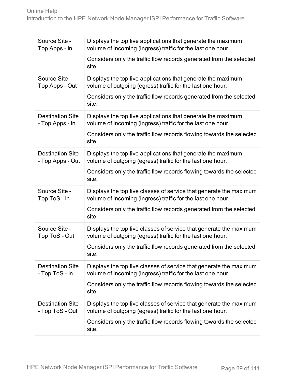| Source Site -<br>Top Apps - In              | Displays the top five applications that generate the maximum<br>volume of incoming (ingress) traffic for the last one hour.       |
|---------------------------------------------|-----------------------------------------------------------------------------------------------------------------------------------|
|                                             | Considers only the traffic flow records generated from the selected<br>site.                                                      |
| Source Site -<br>Top Apps - Out             | Displays the top five applications that generate the maximum<br>volume of outgoing (egress) traffic for the last one hour.        |
|                                             | Considers only the traffic flow records generated from the selected<br>site.                                                      |
| <b>Destination Site</b><br>- Top Apps - In  | Displays the top five applications that generate the maximum<br>volume of incoming (ingress) traffic for the last one hour.       |
|                                             | Considers only the traffic flow records flowing towards the selected<br>site.                                                     |
| <b>Destination Site</b><br>- Top Apps - Out | Displays the top five applications that generate the maximum<br>volume of outgoing (egress) traffic for the last one hour.        |
|                                             | Considers only the traffic flow records flowing towards the selected<br>site.                                                     |
| Source Site -<br>Top ToS - In               | Displays the top five classes of service that generate the maximum<br>volume of incoming (ingress) traffic for the last one hour. |
|                                             | Considers only the traffic flow records generated from the selected<br>site.                                                      |
| Source Site -<br>Top ToS - Out              | Displays the top five classes of service that generate the maximum<br>volume of outgoing (egress) traffic for the last one hour.  |
|                                             | Considers only the traffic flow records generated from the selected<br>site.                                                      |
| <b>Destination Site</b><br>- Top ToS - In   | Displays the top five classes of service that generate the maximum<br>volume of incoming (ingress) traffic for the last one hour. |
|                                             | Considers only the traffic flow records flowing towards the selected<br>site.                                                     |
| <b>Destination Site</b><br>- Top ToS - Out  | Displays the top five classes of service that generate the maximum<br>volume of outgoing (egress) traffic for the last one hour.  |
|                                             | Considers only the traffic flow records flowing towards the selected<br>site.                                                     |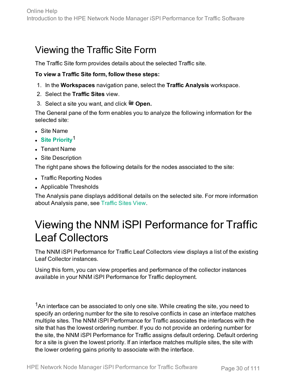## <span id="page-29-0"></span>Viewing the Traffic Site Form

The Traffic Site form provides details about the selected Traffic site.

### **To view a Traffic Site form, follow these steps:**

- 1. In the **Workspaces** navigation pane, select the **Traffic Analysis** workspace.
- 2. Select the **Traffic Sites** view.
- 3. Select a site you want, and click **Open.**

The General pane of the form enables you to analyze the following information for the selected site:

- **.** Site Name
- <sup>l</sup> **Site Priority**1
- Tenant Name
- Site Description

The right pane shows the following details for the nodes associated to the site:

- Traffic Reporting Nodes
- Applicable Thresholds

The Analysis pane displays additional details on the selected site. For more information about Analysis pane, see [Traffic](#page-27-0) Sites View.

## <span id="page-29-1"></span>Viewing the NNM iSPI Performance for Traffic Leaf Collectors

The NNM iSPI Performance for Traffic Leaf Collectors view displays a list of the existing Leaf Collector instances.

Using this form, you can view properties and performance of the collector instances available in your NNM iSPI Performance for Traffic deployment.

 $1$ An interface can be associated to only one site. While creating the site, you need to specify an ordering number for the site to resolve conflicts in case an interface matches multiple sites. The NNM iSPI Performance for Traffic associates the interfaces with the site that has the lowest ordering number. If you do not provide an ordering number for the site, the NNM iSPI Performance for Traffic assigns default ordering. Default ordering for a site is given the lowest priority. If an interface matches multiple sites, the site with the lower ordering gains priority to associate with the interface.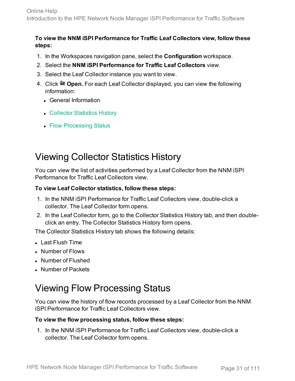### **To view the NNM iSPI Performance for Traffic Leaf Collectors view, follow these steps:**

- 1. In the Workspaces navigation pane, select the **Configuration** workspace.
- 2. Select the **NNM iSPI Performance for Traffic Leaf Collectors** view.
- 3. Select the Leaf Collector instance you want to view.
- 4. Click **Open.** For each Leaf Collector displayed, you can view the following information:
	- General Information
	- Collector [Statistics](#page-30-0) History
	- Flow [Processing](#page-30-1) Status

### <span id="page-30-0"></span>Viewing Collector Statistics History

You can view the list of activities performed by a Leaf Collector from the NNM iSPI Performance for Traffic Leaf Collectors view.

### **To view Leaf Collector statistics, follow these steps:**

- 1. In the NNM iSPI Performance for Traffic Leaf Collectors view, double-click a collector. The Leaf Collector form opens.
- 2. In the Leaf Collector form, go to the Collector Statistics History tab, and then doubleclick an entry. The Collector Statistics History form opens.

The Collector Statistics History tab shows the following details:

- Last Flush Time
- Number of Flows
- Number of Flushed
- <span id="page-30-1"></span>• Number of Packets

### Viewing Flow Processing Status

You can view the history of flow records processed by a Leaf Collector from the NNM iSPI Performance for Traffic Leaf Collectors view.

### **To view the flow processing status, follow these steps:**

1. In the NNM iSPI Performance for Traffic Leaf Collectors view, double-click a collector. The Leaf Collector form opens.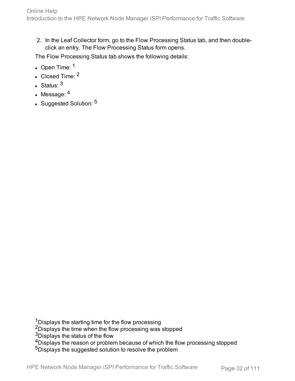2. In the Leaf Collector form, go to the Flow Processing Status tab, and then doubleclick an entry. The Flow Processing Status form opens.

The Flow Processing Status tab shows the following details:

- $\cdot$  Open Time:  $1$
- $\cdot$  Closed Time:  $2$
- Status:  $3$
- $\cdot$  Message:  $4$
- Suggested Solution: 5

<sup>1</sup>Displays the starting time for the flow processing <sup>2</sup>Displays the time when the flow processing was stopped <sup>3</sup>Displays the status of the flow <sup>4</sup>Displays the reason or problem because of which the flow processing stopped 5Displays the suggested solution to resolve the problem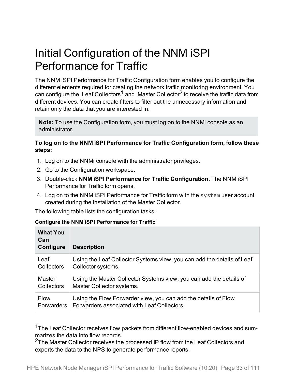## <span id="page-32-0"></span>Initial Configuration of the NNM iSPI Performance for Traffic

The NNM iSPI Performance for Traffic Configuration form enables you to configure the different elements required for creating the network traffic monitoring environment. You can configure the Leaf Collectors<sup>1</sup> and Master Collector<sup>2</sup> to receive the traffic data from different devices. You can create filters to filter out the unnecessary information and retain only the data that you are interested in.

**Note:** To use the Configuration form, you must log on to the NNMi console as an administrator.

### **To log on to the NNM iSPI Performance for Traffic Configuration form, follow these steps:**

- 1. Log on to the NNMi console with the administrator privileges.
- 2. Go to the Configuration workspace.
- 3. Double-click **NNM iSPI Performance for Traffic Configuration.** The NNM iSPI Performance for Traffic form opens.
- 4. Log on to the NNM iSPI Performance for Traffic form with the system user account created during the installation of the Master Collector.

The following table lists the configuration tasks:

#### **Configure the NNM iSPI Performance for Traffic**

| <b>What You</b><br>Can<br>Configure | <b>Description</b>                                                     |
|-------------------------------------|------------------------------------------------------------------------|
| Leaf                                | Using the Leaf Collector Systems view, you can add the details of Leaf |
| <b>Collectors</b>                   | Collector systems.                                                     |
| <b>Master</b>                       | Using the Master Collector Systems view, you can add the details of    |
| <b>Collectors</b>                   | Master Collector systems.                                              |
| <b>Flow</b>                         | Using the Flow Forwarder view, you can add the details of Flow         |
| Forwarders                          | Forwarders associated with Leaf Collectors.                            |

<sup>1</sup>The Leaf Collector receives flow packets from different flow-enabled devices and summarizes the data into flow records.

<sup>2</sup>The Master Collector receives the processed IP flow from the Leaf Collectors and exports the data to the NPS to generate performance reports.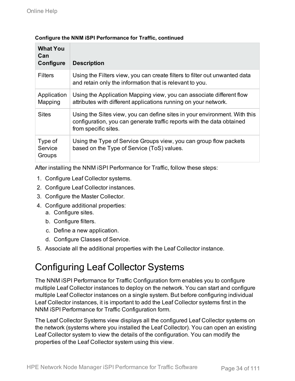| <b>What You</b><br>Can<br>Configure | <b>Description</b>                                                                                                                                                          |
|-------------------------------------|-----------------------------------------------------------------------------------------------------------------------------------------------------------------------------|
| <b>Filters</b>                      | Using the Filters view, you can create filters to filter out unwanted data<br>and retain only the information that is relevant to you.                                      |
| Application<br>Mapping              | Using the Application Mapping view, you can associate different flow<br>attributes with different applications running on your network.                                     |
| <b>Sites</b>                        | Using the Sites view, you can define sites in your environment. With this<br>configuration, you can generate traffic reports with the data obtained<br>from specific sites. |
| Type of<br>Service<br>Groups        | Using the Type of Service Groups view, you can group flow packets<br>based on the Type of Service (ToS) values.                                                             |

### **Configure the NNM iSPI Performance for Traffic, continued**

After installing the NNM iSPI Performance for Traffic, follow these steps:

- 1. Configure Leaf Collector systems.
- 2. Configure Leaf Collector instances.
- 3. Configure the Master Collector.
- 4. Configure additional properties:
	- a. Configure sites.
	- b. Configure filters.
	- c. Define a new application.
	- d. Configure Classes of Service.
- <span id="page-33-0"></span>5. Associate all the additional properties with the Leaf Collector instance.

## Configuring Leaf Collector Systems

The NNM iSPI Performance for Traffic Configuration form enables you to configure multiple Leaf Collector instances to deploy on the network. You can start and configure multiple Leaf Collector instances on a single system. But before configuring individual Leaf Collector instances, it is important to add the Leaf Collector systems first in the NNM iSPI Performance for Traffic Configuration form.

The Leaf Collector Systems view displays all the configured Leaf Collector systems on the network (systems where you installed the Leaf Collector). You can open an existing Leaf Collector system to view the details of the configuration. You can modify the properties of the Leaf Collector system using this view.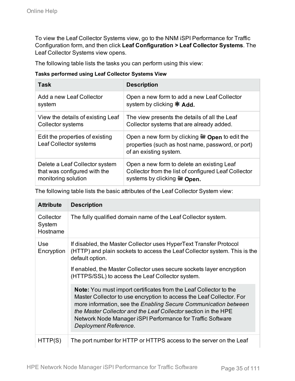To view the Leaf Collector Systems view, go to the NNM iSPI Performance for Traffic Configuration form, and then click **Leaf Configuration > Leaf Collector Systems**. The Leaf Collector Systems view opens.

The following table lists the tasks you can perform using this view:

#### **Tasks performed using Leaf Collector Systems View**

| Task                                                      | <b>Description</b>                                                                                                                         |
|-----------------------------------------------------------|--------------------------------------------------------------------------------------------------------------------------------------------|
| Add a new Leaf Collector                                  | Open a new form to add a new Leaf Collector                                                                                                |
| system                                                    | system by clicking $*$ Add.                                                                                                                |
| View the details of existing Leaf                         | The view presents the details of all the Leaf                                                                                              |
| <b>Collector systems</b>                                  | Collector systems that are already added.                                                                                                  |
| Edit the properties of existing<br>Leaf Collector systems | Open a new form by clicking $\blacksquare$ Open to edit the<br>properties (such as host name, password, or port)<br>of an existing system. |
| Delete a Leaf Collector system                            | Open a new form to delete an existing Leaf                                                                                                 |
| that was configured with the                              | Collector from the list of configured Leaf Collector                                                                                       |
| monitoring solution                                       | systems by clicking $\blacksquare$ Open.                                                                                                   |

The following table lists the basic attributes of the Leaf Collector System view:

| <b>Attribute</b>                | <b>Description</b>                                                                                                                                                                                                                                                                                                                                                           |
|---------------------------------|------------------------------------------------------------------------------------------------------------------------------------------------------------------------------------------------------------------------------------------------------------------------------------------------------------------------------------------------------------------------------|
| Collector<br>System<br>Hostname | The fully qualified domain name of the Leaf Collector system.                                                                                                                                                                                                                                                                                                                |
| Use<br>Encryption               | If disabled, the Master Collector uses HyperText Transfer Protocol<br>(HTTP) and plain sockets to access the Leaf Collector system. This is the<br>default option.<br>If enabled, the Master Collector uses secure sockets layer encryption<br>(HTTPS/SSL) to access the Leaf Collector system.                                                                              |
|                                 | <b>Note:</b> You must import certificates from the Leaf Collector to the<br>Master Collector to use encryption to access the Leaf Collector. For<br>more information, see the Enabling Secure Communication between<br>the Master Collector and the Leaf Collector section in the HPE<br>Network Node Manager iSPI Performance for Traffic Software<br>Deployment Reference. |
| HI IPIST                        | The port number for HTTP or HTTPS access to the server on the Leaf                                                                                                                                                                                                                                                                                                           |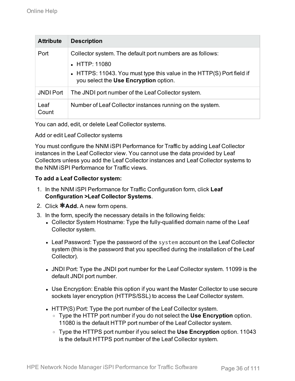| <b>Attribute</b> | <b>Description</b>                                                                                                                                                                                    |
|------------------|-------------------------------------------------------------------------------------------------------------------------------------------------------------------------------------------------------|
| Port             | Collector system. The default port numbers are as follows:<br>$\bullet$ HTTP: 11080<br>• HTTPS: 11043. You must type this value in the HTTP(S) Port field if<br>you select the Use Encryption option. |
| <b>JNDI Port</b> | The JNDI port number of the Leaf Collector system.                                                                                                                                                    |
| Leaf<br>Count    | Number of Leaf Collector instances running on the system.                                                                                                                                             |

You can add, edit, or delete Leaf Collector systems.

Add or edit Leaf Collector systems

You must configure the NNM iSPI Performance for Traffic by adding Leaf Collector instances in the Leaf Collector view. You cannot use the data provided by Leaf Collectors unless you add the Leaf Collector instances and Leaf Collector systems to the NNM iSPI Performance for Traffic views.

### **To add a Leaf Collector system:**

- 1. In the NNM iSPI Performance for Traffic Configuration form, click **Leaf Configuration >Leaf Collector Systems**.
- 2. Click **\*Add.** A new form opens.
- 3. In the form, specify the necessary details in the following fields:
	- Collector System Hostname: Type the fully-qualified domain name of the Leaf Collector system.
	- Leaf Password: Type the password of the system account on the Leaf Collector system (this is the password that you specified during the installation of the Leaf Collector).
	- JNDI Port: Type the JNDI port number for the Leaf Collector system. 11099 is the default JNDI port number.
	- Use Encryption: Enable this option if you want the Master Collector to use secure sockets layer encryption (HTTPS/SSL) to access the Leaf Collector system.
	- HTTP(S) Port: Type the port number of the Leaf Collector system.
		- <sup>o</sup> Type the HTTP port number if you do not select the **Use Encryption** option. 11080 is the default HTTP port number of the Leaf Collector system.
		- <sup>o</sup> Type the HTTPS port number if you select the **Use Encryption** option. 11043 is the default HTTPS port number of the Leaf Collector system.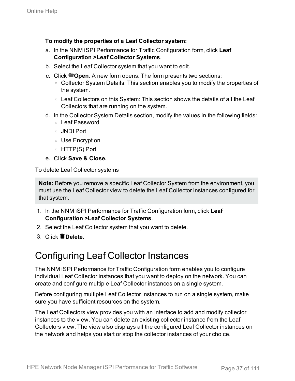#### **To modify the properties of a Leaf Collector system:**

- a. In the NNM iSPI Performance for Traffic Configuration form, click **Leaf Configuration >Leaf Collector Systems**.
- b. Select the Leaf Collector system that you want to edit.
- c. Click **Open**. A new form opens. The form presents two sections:
	- Collector System Details: This section enables you to modify the properties of the system.
	- Leaf Collectors on this System: This section shows the details of all the Leaf Collectors that are running on the system.
- d. In the Collector System Details section, modify the values in the following fields:
	- <sup>o</sup> Leaf Password
	- <sup>o</sup> JNDI Port
	- <sup>o</sup> Use Encryption
	- <sup>o</sup> HTTP(S) Port
- e. Click **Save & Close.**

To delete Leaf Collector systems

**Note:** Before you remove a specific Leaf Collector System from the environment, you must use the Leaf Collector view to delete the Leaf Collector instances configured for that system.

- 1. In the NNM iSPI Performance for Traffic Configuration form, click **Leaf Configuration >Leaf Collector Systems**.
- 2. Select the Leaf Collector system that you want to delete.
- <span id="page-36-0"></span>3. Click **Delete**.

## Configuring Leaf Collector Instances

The NNM iSPI Performance for Traffic Configuration form enables you to configure individual Leaf Collector instances that you want to deploy on the network. You can create and configure multiple Leaf Collector instances on a single system.

Before configuring multiple Leaf Collector instances to run on a single system, make sure you have sufficient resources on the system.

The Leaf Collectors view provides you with an interface to add and modify collector instances to the view. You can delete an existing collector instance from the Leaf Collectors view. The view also displays all the configured Leaf Collector instances on the network and helps you start or stop the collector instances of your choice.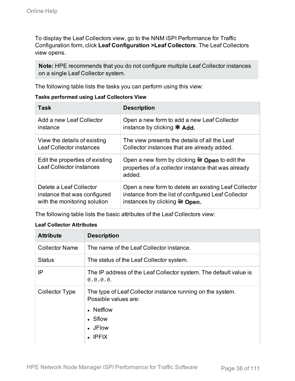To display the Leaf Collectors view, go to the NNM iSPI Performance for Traffic Configuration form, click **Leaf Configuration >Leaf Collectors**. The Leaf Collectors view opens.

**Note:** HPE recommends that you do not configure multiple Leaf Collector instances on a single Leaf Collector system.

The following table lists the tasks you can perform using this view:

| <b>Tasks performed using Leaf Collectors View</b> |
|---------------------------------------------------|
|---------------------------------------------------|

| Task                                                               | <b>Description</b>                                                                                                           |
|--------------------------------------------------------------------|------------------------------------------------------------------------------------------------------------------------------|
| Add a new Leaf Collector                                           | Open a new form to add a new Leaf Collector                                                                                  |
| instance                                                           | instance by clicking $*$ Add.                                                                                                |
| View the details of existing                                       | The view presents the details of all the Leaf                                                                                |
| <b>Leaf Collector instances</b>                                    | Collector instances that are already added.                                                                                  |
| Edit the properties of existing<br><b>Leaf Collector instances</b> | Open a new form by clicking $\blacksquare$ Open to edit the<br>properties of a collector instance that was already<br>added. |
| Delete a Leaf Collector                                            | Open a new form to delete an existing Leaf Collector                                                                         |
| instance that was configured                                       | instance from the list of configured Leaf Collector                                                                          |
| with the monitoring solution                                       | instances by clicking $\blacksquare$ Open.                                                                                   |

The following table lists the basic attributes of the Leaf Collectors view:

#### **Leaf Collector Attributes**

| <b>Attribute</b>      | <b>Description</b>                                                                                                                     |
|-----------------------|----------------------------------------------------------------------------------------------------------------------------------------|
| <b>Collector Name</b> | The name of the Leaf Collector instance.                                                                                               |
| <b>Status</b>         | The status of the Leaf Collector system.                                                                                               |
| ΙP                    | The IP address of the Leaf Collector system. The default value is<br>0.0.0.0.                                                          |
| <b>Collector Type</b> | The type of Leaf Collector instance running on the system.<br>Possible values are:<br>• Netflow<br>• Sflow<br>• JFlow<br>$\cdot$ IPFIX |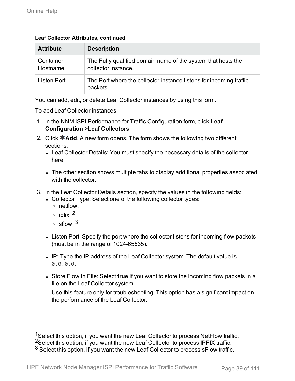#### **Leaf Collector Attributes, continued**

| <b>Attribute</b>      | <b>Description</b>                                                                  |
|-----------------------|-------------------------------------------------------------------------------------|
| Container<br>Hostname | The Fully qualified domain name of the system that hosts the<br>collector instance. |
| Listen Port           | The Port where the collector instance listens for incoming traffic<br>packets.      |

You can add, edit, or delete Leaf Collector instances by using this form.

To add Leaf Collector instances:

- 1. In the NNM iSPI Performance for Traffic Configuration form, click **Leaf Configuration >Leaf Collectors**.
- 2. Click **\*Add**. A new form opens. The form shows the following two different sections:
	- Leaf Collector Details: You must specify the necessary details of the collector here.
	- The other section shows multiple tabs to display additional properties associated with the collector
- 3. In the Leaf Collector Details section, specify the values in the following fields:
	- Collector Type: Select one of the following collector types:
		- $\circ$  netflow  $^1$
		- $\circ$  ipfix: <sup>2</sup>
		- $\circ$  sflow  $3$
	- Listen Port: Specify the port where the collector listens for incoming flow packets (must be in the range of 1024-65535).
	- IP: Type the IP address of the Leaf Collector system. The default value is 0.0.0.0.
	- **Store Flow in File: Select true** if you want to store the incoming flow packets in a file on the Leaf Collector system.

Use this feature only for troubleshooting. This option has a significant impact on the performance of the Leaf Collector.

<sup>1</sup>Select this option, if you want the new Leaf Collector to process NetFlow traffic. <sup>2</sup>Select this option, if you want the new Leaf Collector to process IPFIX traffic.  $3$  Select this option, if you want the new Leaf Collector to process sFlow traffic.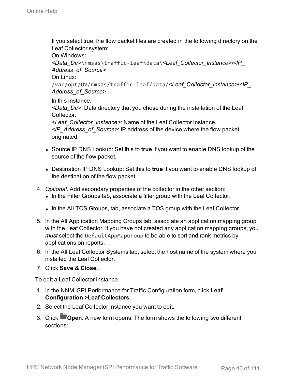If you select true, the flow packet files are created in the following directory on the Leaf Collector system:

On Windows:

```
<Data_Dir>\nmsas\traffic-leaf\data\<Leaf_Collector_Instance>\<IP_
Address_of_Source>
```
On Linux:

/var/opt/OV/nmsas/traffic-leaf/data/*<Leaf\_Collector\_Instance>*/*<IP\_ Address\_of\_Source>*

In this instance:

*<Data\_Dir>*: Data directory that you chose during the installation of the Leaf Collector.

*<Leaf\_Collector\_Instance>*: Name of the Leaf Collector instance.

*<IP\_Address\_of\_Source>*: IP address of the device where the flow packet originated.

- Source IP DNS Lookup: Set this to **true** if you want to enable DNS lookup of the source of the flow packet.
- **.** Destination IP DNS Lookup: Set this to true if you want to enable DNS lookup of the destination of the flow packet.
- 4. *Optional.* Add secondary properties of the collector in the other section:
	- In the Filter Groups tab, associate a filter group with the Leaf Collector.
	- In the All TOS Groups, tab, associate a TOS group with the Leaf Collector.
- 5. In the All Application Mapping Groups tab, associate an application mapping group with the Leaf Collector. If you have not created any application mapping groups, you *must* select the DefaultAppMapGroup to be able to sort and rank metrics by applications on reports.
- 6. In the All Leaf Collector Systems tab, select the host name of the system where you installed the Leaf Collector.
- 7. Click **Save & Close**.

To edit a Leaf Collector instance

- 1. In the NNM iSPI Performance for Traffic Configuration form, click **Leaf Configuration >Leaf Collectors**.
- 2. Select the Leaf Collector instance you want to edit.
- 3. Click **Open.** A new form opens. The form shows the following two different sections: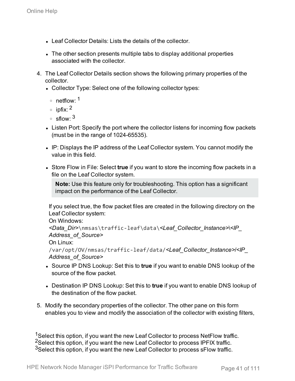- Leaf Collector Details: Lists the details of the collector.
- The other section presents multiple tabs to display additional properties associated with the collector.
- 4. The Leaf Collector Details section shows the following primary properties of the collector.
	- Collector Type: Select one of the following collector types:
		- $\circ$  netflow <sup>1</sup>
		- $\circ$  infix  $^2$
		- $\circ$  sflow  $3$
	- Listen Port: Specify the port where the collector listens for incoming flow packets (must be in the range of 1024-65535).
	- IP: Displays the IP address of the Leaf Collector system. You cannot modify the value in this field.
	- Store Flow in File: Select **true** if you want to store the incoming flow packets in a file on the Leaf Collector system.

**Note:** Use this feature only for troubleshooting. This option has a significant impact on the performance of the Leaf Collector.

If you select true, the flow packet files are created in the following directory on the Leaf Collector system:

On Windows:

```
<Data_Dir>\nmsas\traffic-leaf\data\<Leaf_Collector_Instance>\<IP_
Address_of_Source>
```

```
On Linux:
```

```
/var/opt/OV/nmsas/traffic-leaf/data/<Leaf_Collector_Instance>/<IP_
Address_of_Source>
```
- Source IP DNS Lookup: Set this to **true** if you want to enable DNS lookup of the source of the flow packet.
- **.** Destination IP DNS Lookup: Set this to true if you want to enable DNS lookup of the destination of the flow packet.
- 5. Modify the secondary properties of the collector. The other pane on this form enables you to view and modify the association of the collector with existing filters,

<sup>1</sup>Select this option, if you want the new Leaf Collector to process NetFlow traffic. <sup>2</sup>Select this option, if you want the new Leaf Collector to process IPFIX traffic. <sup>3</sup>Select this option, if you want the new Leaf Collector to process sFlow traffic.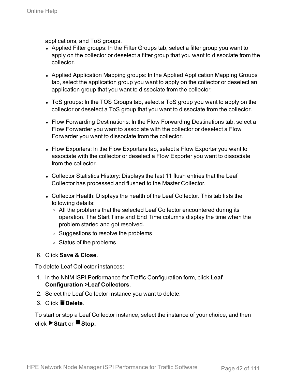applications, and ToS groups.

- Applied Filter groups: In the Filter Groups tab, select a filter group you want to apply on the collector or deselect a filter group that you want to dissociate from the collector.
- Applied Application Mapping groups: In the Applied Application Mapping Groups tab, select the application group you want to apply on the collector or deselect an application group that you want to dissociate from the collector.
- ToS groups: In the TOS Groups tab, select a ToS group you want to apply on the collector or deselect a ToS group that you want to dissociate from the collector.
- Flow Forwarding Destinations: In the Flow Forwarding Destinations tab, select a Flow Forwarder you want to associate with the collector or deselect a Flow Forwarder you want to dissociate from the collector.
- Flow Exporters: In the Flow Exporters tab, select a Flow Exporter you want to associate with the collector or deselect a Flow Exporter you want to dissociate from the collector.
- Collector Statistics History: Displays the last 11 flush entries that the Leaf Collector has processed and flushed to the Master Collector.
- Collector Health: Displays the health of the Leaf Collector. This tab lists the following details:
	- All the problems that the selected Leaf Collector encountered during its operation. The Start Time and End Time columns display the time when the problem started and got resolved.
	- **Suggestions to resolve the problems**
	- <sup>o</sup> Status of the problems

#### 6. Click **Save & Close**.

To delete Leaf Collector instances:

- 1. In the NNM iSPI Performance for Traffic Configuration form, click **Leaf Configuration >Leaf Collectors**.
- 2. Select the Leaf Collector instance you want to delete.
- 3. Click **Delete**.

To start or stop a Leaf Collector instance, select the instance of your choice, and then click **Start** or **Stop.**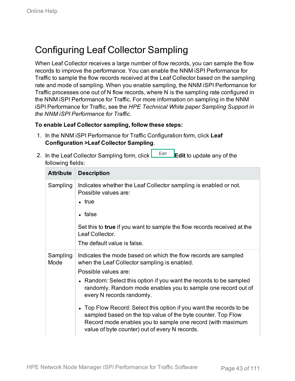## Configuring Leaf Collector Sampling

When Leaf Collector receives a large number of flow records, you can sample the flow records to improve the performance. You can enable the NNM iSPI Performance for Traffic to sample the flow records received at the Leaf Collector based on the sampling rate and mode of sampling. When you enable sampling, the NNM iSPI Performance for Traffic processes one out of N flow records, where N is the sampling rate configured in the NNM iSPI Performance for Traffic. For more information on sampling in the NNM iSPI Performance for Traffic, see the *HPE Technical White paper Sampling Support in the NNM iSPI Performance for Traffic*.

#### **To enable Leaf Collector sampling, follow these steps:**

- 1. In the NNM iSPI Performance for Traffic Configuration form, click **Leaf Configuration >Leaf Collector Sampling**.
- 2. In the Leaf Collector Sampling form, click **Edit Fig. 2.** Edit to update any of the following fields:

| <b>Attribute</b> | <b>Description</b>                                                                                                                                                                                                                                                                                                                                                                                                                                                                                                                                                |
|------------------|-------------------------------------------------------------------------------------------------------------------------------------------------------------------------------------------------------------------------------------------------------------------------------------------------------------------------------------------------------------------------------------------------------------------------------------------------------------------------------------------------------------------------------------------------------------------|
| Sampling         | Indicates whether the Leaf Collector sampling is enabled or not.<br>Possible values are:<br>• true<br>$\bullet$ false<br>Set this to true if you want to sample the flow records received at the<br>Leaf Collector.<br>The default value is false.                                                                                                                                                                                                                                                                                                                |
| Sampling<br>Mode | Indicates the mode based on which the flow records are sampled<br>when the Leaf Collector sampling is enabled.<br>Possible values are:<br>• Random: Select this option if you want the records to be sampled<br>randomly. Random mode enables you to sample one record out of<br>every N records randomly.<br>• Top Flow Record: Select this option if you want the records to be<br>sampled based on the top value of the byte counter. Top Flow<br>Record mode enables you to sample one record (with maximum<br>value of byte counter) out of every N records. |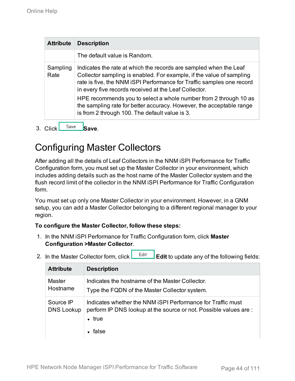| <b>Attribute</b> | <b>Description</b>                                                                                                                                                                                                                                                          |
|------------------|-----------------------------------------------------------------------------------------------------------------------------------------------------------------------------------------------------------------------------------------------------------------------------|
|                  | The default value is Random.                                                                                                                                                                                                                                                |
| Sampling<br>Rate | Indicates the rate at which the records are sampled when the Leaf<br>Collector sampling is enabled. For example, if the value of sampling<br>rate is five, the NNM iSPI Performance for Traffic samples one record<br>in every five records received at the Leaf Collector. |
|                  | HPE recommends you to select a whole number from 2 through 10 as<br>the sampling rate for better accuracy. However, the acceptable range<br>is from 2 through 100. The default value is 3.                                                                                  |

3. Click Save Save.

## Configuring Master Collectors

After adding all the details of Leaf Collectors in the NNM iSPI Performance for Traffic Configuration form, you must set up the Master Collector in your environment, which includes adding details such as the host name of the Master Collector system and the flush record limit of the collector in the NNM iSPI Performance for Traffic Configuration form.

You must set up only one Master Collector in your environment. However, in a GNM setup, you can add a Master Collector belonging to a different regional manager to your region.

#### **To configure the Master Collector, follow these steps:**

- 1. In the NNM iSPI Performance for Traffic Configuration form, click **Master Configuration >Master Collector**.
- 2. In the Master Collector form, click **L** Edit **Edit** to update any of the following fields:

| <b>Attribute</b>               | <b>Description</b>                                                                                                                               |
|--------------------------------|--------------------------------------------------------------------------------------------------------------------------------------------------|
| Master<br>Hostname             | Indicates the hostname of the Master Collector.<br>Type the FQDN of the Master Collector system.                                                 |
| Source IP<br><b>DNS Lookup</b> | Indicates whether the NNM iSPI Performance for Traffic must<br>perform IP DNS lookup at the source or not. Possible values are:<br>true<br>false |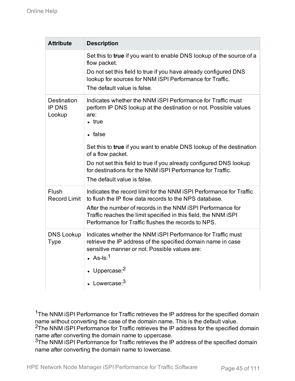| <b>Attribute</b>                       | <b>Description</b>                                                                                                                                                                                                                                                                                                     |
|----------------------------------------|------------------------------------------------------------------------------------------------------------------------------------------------------------------------------------------------------------------------------------------------------------------------------------------------------------------------|
|                                        | Set this to true if you want to enable DNS lookup of the source of a<br>flow packet.<br>Do not set this field to true if you have already configured DNS<br>lookup for sources for NNM iSPI Performance for Traffic.<br>The default value is false.                                                                    |
| Destination<br><b>IP DNS</b><br>Lookup | Indicates whether the NNM iSPI Performance for Traffic must<br>perform IP DNS lookup at the destination or not. Possible values<br>are:<br>$\bullet$ true<br>• false                                                                                                                                                   |
|                                        | Set this to true if you want to enable DNS lookup of the destination<br>of a flow packet.<br>Do not set this field to true if you already configured DNS lookup<br>for destinations for the NNM iSPI Performance for Traffic.<br>The default value is false.                                                           |
| Flush<br><b>Record Limit</b>           | Indicates the record limit for the NNM iSPI Performance for Traffic<br>to flush the IP flow data records to the NPS database.<br>After the number of records in the NNM iSPI Performance for<br>Traffic reaches the limit specified in this field, the NNM iSPI<br>Performance for Traffic flushes the records to NPS. |
| <b>DNS Lookup</b><br><b>Type</b>       | Indicates whether the NNM iSPI Performance for Traffic must<br>retrieve the IP address of the specified domain name in case<br>sensitive manner or not. Possible values are:<br>• $As-Is:1$<br>• Uppercase: $2$<br>• Lowercase: $3$                                                                                    |

<sup>1</sup>The NNM iSPI Performance for Traffic retrieves the IP address for the specified domain name without converting the case of the domain name. This is the default value.

<sup>2</sup>The NNM iSPI Performance for Traffic retrieves the IP address for the specified domain name after converting the domain name to uppercase.

<sup>3</sup>The NNM iSPI Performance for Traffic retrieves the IP address of the specified domain name after converting the domain name to lowercase.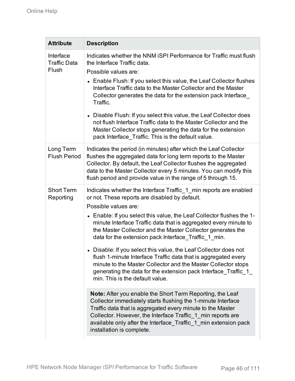| <b>Attribute</b>                          | <b>Description</b>                                                                                                                                                                                                                                                                                                                                                                                                                                                                                                                                                                                                                                                                                                                                                                                                                                                                                                                                                                                                                                                                           |
|-------------------------------------------|----------------------------------------------------------------------------------------------------------------------------------------------------------------------------------------------------------------------------------------------------------------------------------------------------------------------------------------------------------------------------------------------------------------------------------------------------------------------------------------------------------------------------------------------------------------------------------------------------------------------------------------------------------------------------------------------------------------------------------------------------------------------------------------------------------------------------------------------------------------------------------------------------------------------------------------------------------------------------------------------------------------------------------------------------------------------------------------------|
| Interface<br><b>Traffic Data</b><br>Flush | Indicates whether the NNM ISPI Performance for Traffic must flush<br>the Interface Traffic data.<br>Possible values are:<br>• Enable Flush: If you select this value, the Leaf Collector flushes<br>Interface Traffic data to the Master Collector and the Master<br>Collector generates the data for the extension pack Interface<br>Traffic.<br>• Disable Flush: If you select this value, the Leaf Collector does<br>not flush Interface Traffic data to the Master Collector and the<br>Master Collector stops generating the data for the extension<br>pack Interface Traffic. This is the default value.                                                                                                                                                                                                                                                                                                                                                                                                                                                                               |
| Long Term<br><b>Flush Period</b>          | Indicates the period (in minutes) after which the Leaf Collector<br>flushes the aggregated data for long term reports to the Master<br>Collector. By default, the Leaf Collector flushes the aggregated<br>data to the Master Collector every 5 minutes. You can modify this<br>flush period and provide value in the range of 5 through 15.                                                                                                                                                                                                                                                                                                                                                                                                                                                                                                                                                                                                                                                                                                                                                 |
| <b>Short Term</b><br>Reporting            | Indicates whether the Interface Traffic_1_min reports are enabled<br>or not. These reports are disabled by default.<br>Possible values are:<br>• Enable: If you select this value, the Leaf Collector flushes the 1-<br>minute Interface Traffic data that is aggregated every minute to<br>the Master Collector and the Master Collector generates the<br>data for the extension pack Interface Traffic 1 min.<br>• Disable: If you select this value, the Leaf Collector does not<br>flush 1-minute Interface Traffic data that is aggregated every<br>minute to the Master Collector and the Master Collector stops<br>generating the data for the extension pack Interface Traffic 1<br>min. This is the default value.<br><b>Note:</b> After you enable the Short Term Reporting, the Leaf<br>Collector immediately starts flushing the 1-minute Interface<br>Traffic data that is aggregated every minute to the Master<br>Collector. However, the Interface Traffic 1 min reports are<br>available only after the Interface Traffic 1 min extension pack<br>installation is complete. |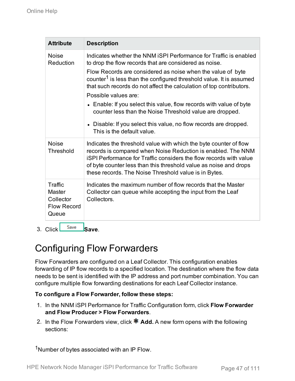| <b>Attribute</b>                                                     | <b>Description</b>                                                                                                                                                                                                                                                                                                                    |
|----------------------------------------------------------------------|---------------------------------------------------------------------------------------------------------------------------------------------------------------------------------------------------------------------------------------------------------------------------------------------------------------------------------------|
| <b>Noise</b><br>Reduction                                            | Indicates whether the NNM iSPI Performance for Traffic is enabled<br>to drop the flow records that are considered as noise.                                                                                                                                                                                                           |
|                                                                      | Flow Records are considered as noise when the value of byte<br>counter <sup>1</sup> is less than the configured threshold value. It is assumed<br>that such records do not affect the calculation of top contributors.                                                                                                                |
|                                                                      | Possible values are:                                                                                                                                                                                                                                                                                                                  |
|                                                                      | • Enable: If you select this value, flow records with value of byte<br>counter less than the Noise Threshold value are dropped.                                                                                                                                                                                                       |
|                                                                      | • Disable: If you select this value, no flow records are dropped.<br>This is the default value.                                                                                                                                                                                                                                       |
| <b>Noise</b><br><b>Threshold</b>                                     | Indicates the threshold value with which the byte counter of flow<br>records is compared when Noise Reduction is enabled. The NNM<br>iSPI Performance for Traffic considers the flow records with value<br>of byte counter less than this threshold value as noise and drops<br>these records. The Noise Threshold value is in Bytes. |
| Traffic<br><b>Master</b><br>Collector<br><b>Flow Record</b><br>Queue | Indicates the maximum number of flow records that the Master<br>Collector can queue while accepting the input from the Leaf<br>Collectors.                                                                                                                                                                                            |

3. Click Save Save.

## Configuring Flow Forwarders

Flow Forwarders are configured on a Leaf Collector. This configuration enables forwarding of IP flow records to a specified location. The destination where the flow data needs to be sent is identified with the IP address and port number combination. You can configure multiple flow forwarding destinations for each Leaf Collector instance.

#### **To configure a Flow Forwarder, follow these steps:**

- 1. In the NNM iSPI Performance for Traffic Configuration form, click **Flow Forwarder and Flow Producer > Flow Forwarders**.
- 2. In the Flow Forwarders view, click **Add.** A new form opens with the following sections:

1Number of bytes associated with an IP Flow.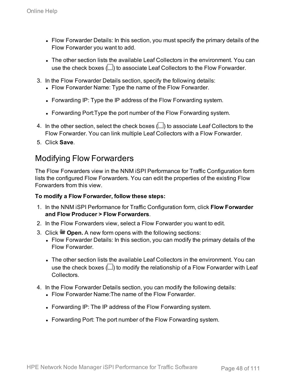- Flow Forwarder Details: In this section, you must specify the primary details of the Flow Forwarder you want to add.
- The other section lists the available Leaf Collectors in the environment. You can use the check boxes  $(\Box)$  to associate Leaf Collectors to the Flow Forwarder.
- 3. In the Flow Forwarder Details section, specify the following details:
	- Flow Forwarder Name: Type the name of the Flow Forwarder.
	- Forwarding IP: Type the IP address of the Flow Forwarding system.
	- Forwarding Port: Type the port number of the Flow Forwarding system.
- 4. In the other section, select the check boxes  $(\Box)$  to associate Leaf Collectors to the Flow Forwarder. You can link multiple Leaf Collectors with a Flow Forwarder.
- 5. Click **Save**.

### Modifying Flow Forwarders

The Flow Forwarders view in the NNM iSPI Performance for Traffic Configuration form lists the configured Flow Forwarders. You can edit the properties of the existing Flow Forwarders from this view.

#### **To modify a Flow Forwarder, follow these steps:**

- 1. In the NNM iSPI Performance for Traffic Configuration form, click **Flow Forwarder and Flow Producer > Flow Forwarders**.
- 2. In the Flow Forwarders view, select a Flow Forwarder you want to edit.
- 3. Click  $\blacksquare$  **Open.** A new form opens with the following sections:
	- Flow Forwarder Details: In this section, you can modify the primary details of the Flow Forwarder.
	- The other section lists the available Leaf Collectors in the environment. You can use the check boxes  $(\Box)$  to modify the relationship of a Flow Forwarder with Leaf **Collectors**
- 4. In the Flow Forwarder Details section, you can modify the following details:
	- Flow Forwarder Name: The name of the Flow Forwarder.
	- Forwarding IP: The IP address of the Flow Forwarding system.
	- Forwarding Port: The port number of the Flow Forwarding system.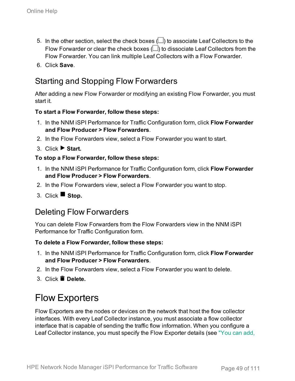- 5. In the other section, select the check boxes  $\Box$ ) to associate Leaf Collectors to the Flow Forwarder or clear the check boxes  $(\square)$  to dissociate Leaf Collectors from the Flow Forwarder. You can link multiple Leaf Collectors with a Flow Forwarder.
- 6. Click **Save**.

## Starting and Stopping Flow Forwarders

After adding a new Flow Forwarder or modifying an existing Flow Forwarder, you must start it.

#### **To start a Flow Forwarder, follow these steps:**

- 1. In the NNM iSPI Performance for Traffic Configuration form, click **Flow Forwarder and Flow Producer > Flow Forwarders**.
- 2. In the Flow Forwarders view, select a Flow Forwarder you want to start.
- 3. Click **Start.**

#### **To stop a Flow Forwarder, follow these steps:**

- 1. In the NNM iSPI Performance for Traffic Configuration form, click **Flow Forwarder and Flow Producer > Flow Forwarders**.
- 2. In the Flow Forwarders view, select a Flow Forwarder you want to stop.
- 3. Click **Stop.**

### Deleting Flow Forwarders

You can delete Flow Forwarders from the Flow Forwarders view in the NNM iSPI Performance for Traffic Configuration form.

#### **To delete a Flow Forwarder, follow these steps:**

- 1. In the NNM iSPI Performance for Traffic Configuration form, click **Flow Forwarder and Flow Producer > Flow Forwarders**.
- 2. In the Flow Forwarders view, select a Flow Forwarder you want to delete.
- 3. Click **Delete.**

## Flow Exporters

Flow Exporters are the nodes or devices on the network that host the flow collector interfaces. With every Leaf Collector instance, you must associate a flow collector interface that is capable of sending the traffic flow information. When you configure a Leaf Collector instance, you must specify the Flow Exporter details (see ["You](#page-35-0) can add,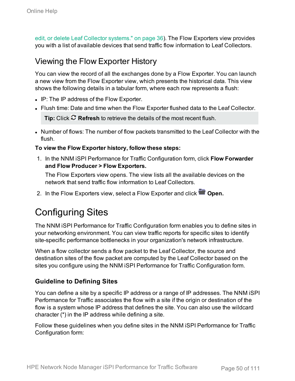edit, or delete Leaf Collector [systems."](#page-35-0) on page 36). The Flow Exporters view provides you with a list of available devices that send traffic flow information to Leaf Collectors.

### Viewing the Flow Exporter History

You can view the record of all the exchanges done by a Flow Exporter. You can launch a new view from the Flow Exporter view, which presents the historical data. This view shows the following details in a tabular form, where each row represents a flush:

- IP: The IP address of the Flow Exporter.
- Flush time: Date and time when the Flow Exporter flushed data to the Leaf Collector.

**Tip:** Click **Refresh** to retrieve the details of the most recent flush.

• Number of flows: The number of flow packets transmitted to the Leaf Collector with the flush.

#### **To view the Flow Exporter history, follow these steps:**

1. In the NNM iSPI Performance for Traffic Configuration form, click **Flow Forwarder and Flow Producer > Flow Exporters.**

The Flow Exporters view opens. The view lists all the available devices on the network that send traffic flow information to Leaf Collectors.

2. In the Flow Exporters view, select a Flow Exporter and click **Open.** 

## Configuring Sites

The NNM iSPI Performance for Traffic Configuration form enables you to define sites in your networking environment. You can view traffic reports for specific sites to identify site-specific performance bottlenecks in your organization's network infrastructure.

When a flow collector sends a flow packet to the Leaf Collector, the source and destination sites of the flow packet are computed by the Leaf Collector based on the sites you configure using the NNM iSPI Performance for Traffic Configuration form.

#### **Guideline to Defining Sites**

You can define a site by a specific IP address or a range of IP addresses. The NNM iSPI Performance for Traffic associates the flow with a site if the origin or destination of the flow is a system whose IP address that defines the site. You can also use the wildcard character (\*) in the IP address while defining a site.

Follow these guidelines when you define sites in the NNM iSPI Performance for Traffic Configuration form: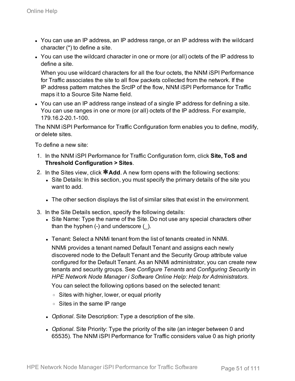- You can use an IP address, an IP address range, or an IP address with the wildcard character (\*) to define a site.
- You can use the wildcard character in one or more (or all) octets of the IP address to define a site.

When you use wildcard characters for all the four octets, the NNM iSPI Performance for Traffic associates the site to all flow packets collected from the network. If the IP address pattern matches the SrcIP of the flow, NNM iSPI Performance for Traffic maps it to a Source Site Name field.

• You can use an IP address range instead of a single IP address for defining a site. You can use ranges in one or more (or all) octets of the IP address. For example, 179.16.2-20.1-100.

The NNM iSPI Performance for Traffic Configuration form enables you to define, modify, or delete sites.

To define a new site:

- 1. In the NNM iSPI Performance for Traffic Configuration form, click **Site, ToS and Threshold Configuration > Sites**.
- 2. In the Sites view, click **\*Add**. A new form opens with the following sections:
	- Site Details: In this section, you must specify the primary details of the site you want to add.
	- The other section displays the list of similar sites that exist in the environment.
- 3. In the Site Details section, specify the following details:
	- Site Name: Type the name of the Site. Do not use any special characters other than the hyphen  $(-)$  and underscore  $($   $)$ .
	- <sup>l</sup> Tenant: Select a NNMi tenant from the list of tenants created in NNMi.

NNMi provides a tenant named Default Tenant and assigns each newly discovered node to the Default Tenant and the Security Group attribute value configured for the Default Tenant. As an NNMi administrator, you can create new tenants and security groups. See *Configure Tenants* and *Configuring Security* in *HPE Network Node Manager i Software Online Help: Help for Administrators*.

You can select the following options based on the selected tenant:

- <sup>o</sup> Sites with higher, lower, or equal priority
- <sup>o</sup> Sites in the same IP range
- *Optional.* Site Description: Type a description of the site.
- *Optional.* Site Priority: Type the priority of the site (an integer between 0 and 65535). The NNM iSPI Performance for Traffic considers value 0 as high priority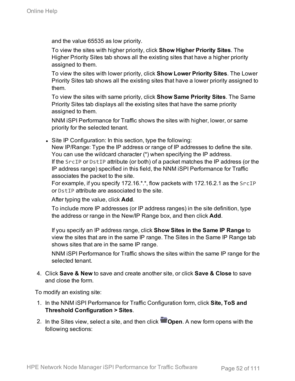and the value 65535 as low priority.

To view the sites with higher priority, click **Show Higher Priority Sites**. The Higher Priority Sites tab shows all the existing sites that have a higher priority assigned to them.

To view the sites with lower priority, click **Show Lower Priority Sites**. The Lower Priority Sites tab shows all the existing sites that have a lower priority assigned to them.

To view the sites with same priority, click **Show Same Priority Sites**. The Same Priority Sites tab displays all the existing sites that have the same priority assigned to them.

NNM iSPI Performance for Traffic shows the sites with higher, lower, or same priority for the selected tenant.

• Site IP Configuration: In this section, type the following: New IP/Range: Type the IP address or range of IP addresses to define the site. You can use the wildcard character (\*) when specifying the IP address. If the SrcIP or DstIP attribute (or both) of a packet matches the IP address (or the IP address range) specified in this field, the NNM iSPI Performance for Traffic associates the packet to the site.

For example, if you specify 172.16.\*.\*, flow packets with 172.16.2.1 as the SrcIP or DstIP attribute are associated to the site.

After typing the value, click **Add**.

To include more IP addresses (or IP address ranges) in the site definition, type the address or range in the New/IP Range box, and then click **Add**.

If you specify an IP address range, click **Show Sites in the Same IP Range** to view the sites that are in the same IP range. The Sites in the Same IP Range tab shows sites that are in the same IP range.

NNM iSPI Performance for Traffic shows the sites within the same IP range for the selected tenant.

4. Click **Save & New** to save and create another site, or click **Save & Close** to save and close the form.

To modify an existing site:

- 1. In the NNM iSPI Performance for Traffic Configuration form, click **Site, ToS and Threshold Configuration > Sites**.
- 2. In the Sites view, select a site, and then click **Open**. A new form opens with the following sections: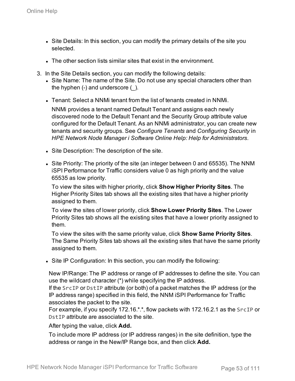- Site Details: In this section, you can modify the primary details of the site you selected.
- The other section lists similar sites that exist in the environment.
- 3. In the Site Details section, you can modify the following details:
	- Site Name: The name of the Site. Do not use any special characters other than the hyphen  $(-)$  and underscore  $($   $)$ .
	- <sup>l</sup> Tenant: Select a NNMi tenant from the list of tenants created in NNMi.

NNMi provides a tenant named Default Tenant and assigns each newly discovered node to the Default Tenant and the Security Group attribute value configured for the Default Tenant. As an NNMi administrator, you can create new tenants and security groups. See *Configure Tenants* and *Configuring Security* in *HPE Network Node Manager i Software Online Help: Help for Administrators*.

- Site Description: The description of the site.
- Site Priority: The priority of the site (an integer between 0 and 65535). The NNM iSPI Performance for Traffic considers value 0 as high priority and the value 65535 as low priority.

To view the sites with higher priority, click **Show Higher Priority Sites**. The Higher Priority Sites tab shows all the existing sites that have a higher priority assigned to them.

To view the sites of lower priority, click **Show Lower Priority Sites**. The Lower Priority Sites tab shows all the existing sites that have a lower priority assigned to them.

To view the sites with the same priority value, click **Show Same Priority Sites**. The Same Priority Sites tab shows all the existing sites that have the same priority assigned to them.

• Site IP Configuration: In this section, you can modify the following:

New IP/Range: The IP address or range of IP addresses to define the site. You can use the wildcard character (\*) while specifying the IP address.

If the SrcIP or DstIP attribute (or both) of a packet matches the IP address (or the IP address range) specified in this field, the NNM iSPI Performance for Traffic associates the packet to the site.

For example, if you specify 172.16.\*.\*, flow packets with 172.16.2.1 as the SrcIP or DstIP attribute are associated to the site.

After typing the value, click **Add.**

To include more IP address (or IP address ranges) in the site definition, type the address or range in the New/IP Range box, and then click **Add.**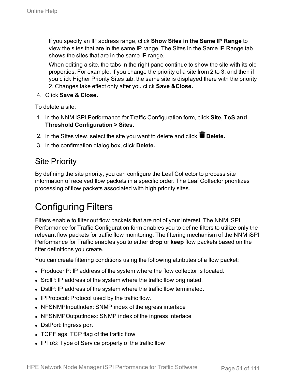If you specify an IP address range, click **Show Sites in the Same IP Range** to view the sites that are in the same IP range. The Sites in the Same IP Range tab shows the sites that are in the same IP range.

When editing a site, the tabs in the right pane continue to show the site with its old properties. For example, if you change the priority of a site from 2 to 3, and then if you click Higher Priority Sites tab, the same site is displayed there with the priority 2. Changes take effect only after you click **Save &Close.**

4. Click **Save & Close.**

To delete a site:

- 1. In the NNM iSPI Performance for Traffic Configuration form, click **Site, ToS and Threshold Configuration > Sites.**
- 2. In the Sites view, select the site you want to delete and click **Delete.**
- 3. In the confirmation dialog box, click **Delete.**

### Site Priority

By defining the site priority, you can configure the Leaf Collector to process site information of received flow packets in a specific order. The Leaf Collector prioritizes processing of flow packets associated with high priority sites.

## Configuring Filters

Filters enable to filter out flow packets that are not of your interest. The NNM iSPI Performance for Traffic Configuration form enables you to define filters to utilize only the relevant flow packets for traffic flow monitoring. The filtering mechanism of the NNM iSPI Performance for Traffic enables you to either **drop** or **keep** flow packets based on the filter definitions you create.

You can create filtering conditions using the following attributes of a flow packet:

- ProducerIP: IP address of the system where the flow collector is located.
- SrcIP: IP address of the system where the traffic flow originated.
- DstIP: IP address of the system where the traffic flow terminated.
- IPProtocol: Protocol used by the traffic flow.
- NFSNMPInputIndex: SNMP index of the egress interface
- NFSNMPOutputIndex: SNMP index of the ingress interface
- DstPort: Ingress port
- TCPFlags: TCP flag of the traffic flow
- IPToS: Type of Service property of the traffic flow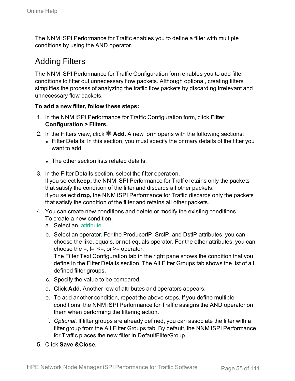The NNM iSPI Performance for Traffic enables you to define a filter with multiple conditions by using the AND operator.

## Adding Filters

The NNM iSPI Performance for Traffic Configuration form enables you to add filter conditions to filter out unnecessary flow packets. Although optional, creating filters simplifies the process of analyzing the traffic flow packets by discarding irrelevant and unnecessary flow packets.

#### **To add a new filter, follow these steps:**

- 1. In the NNM iSPI Performance for Traffic Configuration form, click **Filter Configuration > Filters.**
- 2. In the Filters view, click  $\ast$  Add. A new form opens with the following sections:
	- Filter Details: In this section, you must specify the primary details of the filter you want to add.
	- The other section lists related details.
- 3. In the Filter Details section, select the filter operation. If you select **keep,** the NNM iSPI Performance for Traffic retains only the packets that satisfy the condition of the filter and discards all other packets. If you select **drop,** the NNM iSPI Performance for Traffic discards only the packets that satisfy the condition of the filter and retains all other packets.
- 4. You can create new conditions and delete or modify the existing conditions. To create a new condition:
	- a. Select an [attribute](#page-62-0) .
	- b. Select an operator. For the ProducerIP, SrcIP, and DstIP attributes, you can choose the like, equals, or not-equals operator. For the other attributes, you can choose the  $=$ ,  $!=$ ,  $\leq$   $=$ , or  $>=$  operator.

The Filter Text Configuration tab in the right pane shows the condition that you define in the Filter Details section. The All Filter Groups tab shows the list of all defined filter groups.

- c. Specify the value to be compared.
- d. Click **Add**. Another row of attributes and operators appears.
- e. To add another condition, repeat the above steps. If you define multiple conditions, the NNM iSPI Performance for Traffic assigns the AND operator on them when performing the filtering action.
- f. *Optional.* If filter groups are already defined, you can associate the filter with a filter group from the All Filter Groups tab. By default, the NNM iSPI Performance for Traffic places the new filter in DefaultFilterGroup.
- 5. Click **Save &Close.**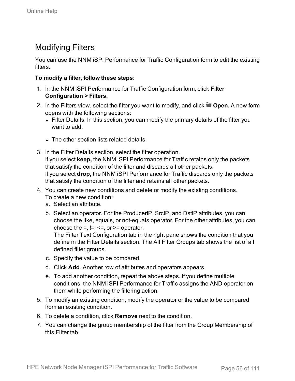## Modifying Filters

You can use the NNM iSPI Performance for Traffic Configuration form to edit the existing filters.

#### **To modify a filter, follow these steps:**

- 1. In the NNM iSPI Performance for Traffic Configuration form, click **Filter Configuration > Filters.**
- 2. In the Filters view, select the filter you want to modify, and click  $\blacksquare$  Open. A new form opens with the following sections:
	- $\cdot$  Filter Details: In this section, you can modify the primary details of the filter you want to add.
	- The other section lists related details.
- 3. In the Filter Details section, select the filter operation. If you select **keep,** the NNM iSPI Performance for Traffic retains only the packets that satisfy the condition of the filter and discards all other packets. If you select **drop,** the NNM iSPI Performance for Traffic discards only the packets that satisfy the condition of the filter and retains all other packets.
- 4. You can create new conditions and delete or modify the existing conditions.
	- To create a new condition:
	- a. Select an attribute.
	- b. Select an operator. For the ProducerIP, SrcIP, and DstIP attributes, you can choose the like, equals, or not-equals operator. For the other attributes, you can choose the  $=$ ,  $!=$ ,  $\leq$ , or  $>=$  operator.

The Filter Text Configuration tab in the right pane shows the condition that you define in the Filter Details section. The All Filter Groups tab shows the list of all defined filter groups.

- c. Specify the value to be compared.
- d. Click **Add**. Another row of attributes and operators appears.
- e. To add another condition, repeat the above steps. If you define multiple conditions, the NNM iSPI Performance for Traffic assigns the AND operator on them while performing the filtering action.
- 5. To modify an existing condition, modify the operator or the value to be compared from an existing condition.
- 6. To delete a condition, click **Remove** next to the condition.
- 7. You can change the group membership of the filter from the Group Membership of this Filter tab.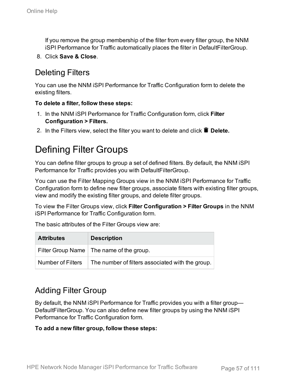If you remove the group membership of the filter from every filter group, the NNM iSPI Performance for Traffic automatically places the filter in DefaultFilterGroup.

8. Click **Save & Close**.

### Deleting Filters

You can use the NNM iSPI Performance for Traffic Configuration form to delete the existing filters.

#### **To delete a filter, follow these steps:**

- 1. In the NNM iSPI Performance for Traffic Configuration form, click **Filter Configuration > Filters.**
- 2. In the Filters view, select the filter you want to delete and click  $\blacksquare$  Delete.

## Defining Filter Groups

You can define filter groups to group a set of defined filters. By default, the NNM iSPI Performance for Traffic provides you with DefaultFilterGroup.

You can use the Filter Mapping Groups view in the NNM iSPI Performance for Traffic Configuration form to define new filter groups, associate filters with existing filter groups, view and modify the existing filter groups, and delete filter groups.

To view the Filter Groups view, click **Filter Configuration > Filter Groups** in the NNM iSPI Performance for Traffic Configuration form.

The basic attributes of the Filter Groups view are:

| <b>Attributes</b>        | <b>Description</b>                               |
|--------------------------|--------------------------------------------------|
|                          | Filter Group Name   The name of the group.       |
| <b>Number of Filters</b> | The number of filters associated with the group. |

### Adding Filter Group

By default, the NNM iSPI Performance for Traffic provides you with a filter group— DefaultFilterGroup. You can also define new filter groups by using the NNM iSPI Performance for Traffic Configuration form.

#### **To add a new filter group, follow these steps:**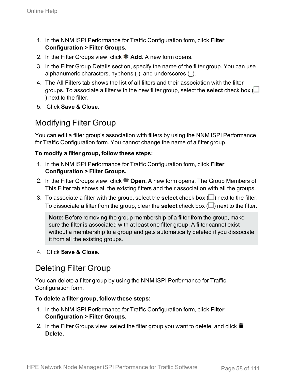- 1. In the NNM iSPI Performance for Traffic Configuration form, click **Filter Configuration > Filter Groups.**
- 2. In the Filter Groups view, click **\* Add.** A new form opens.
- 3. In the Filter Group Details section, specify the name of the filter group. You can use alphanumeric characters, hyphens (-), and underscores (\_).
- 4. The All Filters tab shows the list of all filters and their association with the filter groups. To associate a filter with the new filter group, select the **select** check box ( ) next to the filter.
- 5. Click **Save & Close.**

### Modifying Filter Group

You can edit a filter group's association with filters by using the NNM iSPI Performance for Traffic Configuration form. You cannot change the name of a filter group.

#### **To modify a filter group, follow these steps:**

- 1. In the NNM iSPI Performance for Traffic Configuration form, click **Filter Configuration > Filter Groups.**
- 2. In the Filter Groups view, click  **Open.** A new form opens. The Group Members of This Filter tab shows all the existing filters and their association with all the groups.
- 3. To associate a filter with the group, select the **select** check box ( $\Box$ ) next to the filter. To dissociate a filter from the group, clear the **select** check box  $(\square)$  next to the filter.

**Note:** Before removing the group membership of a filter from the group, make sure the filter is associated with at least one filter group. A filter cannot exist without a membership to a group and gets automatically deleted if you dissociate it from all the existing groups.

4. Click **Save & Close.**

## Deleting Filter Group

You can delete a filter group by using the NNM iSPI Performance for Traffic Configuration form.

#### **To delete a filter group, follow these steps:**

- 1. In the NNM iSPI Performance for Traffic Configuration form, click **Filter Configuration > Filter Groups.**
- 2. In the Filter Groups view, select the filter group you want to delete, and click  $\blacksquare$ **Delete.**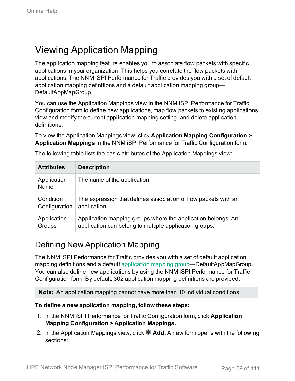## Viewing Application Mapping

The application mapping feature enables you to associate flow packets with specific applications in your organization. This helps you correlate the flow packets with applications. The NNM iSPI Performance for Traffic provides you with a set of default application mapping definitions and a default application mapping group— DefaultAppMapGroup.

You can use the Application Mappings view in the NNM iSPI Performance for Traffic Configuration form to define new applications, map flow packets to existing applications, view and modify the current application mapping setting, and delete application definitions.

To view the Application Mappings view, click **Application Mapping Configuration > Application Mappings** in the NNM iSPI Performance for Traffic Configuration form.

| <b>Attributes</b>   | <b>Description</b>                                              |
|---------------------|-----------------------------------------------------------------|
| Application<br>Name | The name of the application.                                    |
| Condition           | The expression that defines association of flow packets with an |
| Configuration       | application.                                                    |
| Application         | Application mapping groups where the application belongs. An    |
| Groups              | application can belong to multiple application groups.          |

The following table lists the basic attributes of the Application Mappings view:

### Defining New Application Mapping

The NNM iSPI Performance for Traffic provides you with a set of default application mapping definitions and a default [application](#page-64-0) mapping group—DefaultAppMapGroup. You can also define new applications by using the NNM iSPI Performance for Traffic Configuration form. By default, 302 application mapping definitions are provided.

**Note:** An application mapping cannot have more than 10 individual conditions.

#### **To define a new application mapping, follow these steps:**

- 1. In the NNM iSPI Performance for Traffic Configuration form, click **Application Mapping Configuration > Application Mappings.**
- 2. In the Application Mappings view, click **\* Add**. A new form opens with the following sections: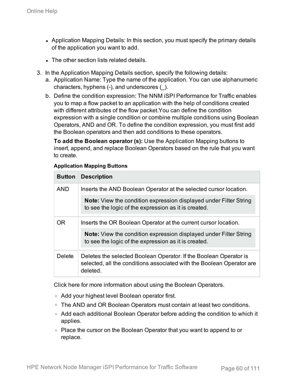- Application Mapping Details: In this section, you must specify the primary details of the application you want to add.
- The other section lists related details.
- 3. In the Application Mapping Details section, specify the following details:
	- a. Application Name: Type the name of the application. You can use alphanumeric characters, hyphens (-), and underscores (\_).
	- b. Define the condition expression: The NNM iSPI Performance for Traffic enables you to map a flow packet to an application with the help of conditions created with different attributes of the flow packet.You can define the condition expression with a single condition or combine multiple conditions using Boolean Operators, AND and OR. To define the condition expression, you must first add the Boolean operators and then add conditions to these operators.

**To add the Boolean operator (s):** Use the Application Mapping buttons to insert, append, and replace Boolean Operators based on the rule that you want to create.

| <b>Button</b> | <b>Description</b>                                                                                                                                     |
|---------------|--------------------------------------------------------------------------------------------------------------------------------------------------------|
| <b>AND</b>    | Inserts the AND Boolean Operator at the selected cursor location.                                                                                      |
|               | Note: View the condition expression displayed under Filter String<br>to see the logic of the expression as it is created.                              |
| OR            | Inserts the OR Boolean Operator at the current cursor location.                                                                                        |
|               | <b>Note:</b> View the condition expression displayed under Filter String<br>to see the logic of the expression as it is created.                       |
| <b>Delete</b> | Deletes the selected Boolean Operator. If the Boolean Operator is<br>selected, all the conditions associated with the Boolean Operator are<br>deleted. |

#### **Application Mapping Buttons**

Click here for more information about using the Boolean Operators.

- <sup>o</sup> Add your highest level Boolean operator first.
- $\circ$  The AND and OR Boolean Operators must contain at least two conditions.
- Add each additional Boolean Operator before adding the condition to which it applies.
- Place the cursor on the Boolean Operator that you want to append to or replace.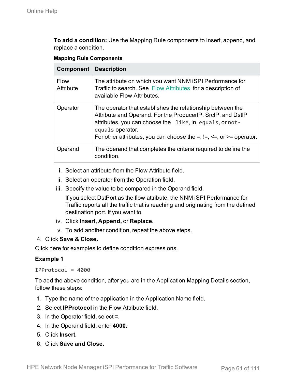**To add a condition:** Use the Mapping Rule components to insert, append, and replace a condition.

#### **Mapping Rule Components**

| <b>Component</b>         | <b>Description</b>                                                                                                                                                                                                                                                                            |
|--------------------------|-----------------------------------------------------------------------------------------------------------------------------------------------------------------------------------------------------------------------------------------------------------------------------------------------|
| <b>Flow</b><br>Attribute | The attribute on which you want NNM iSPI Performance for<br>Traffic to search. See Flow Attributes for a description of<br>available Flow Attributes.                                                                                                                                         |
| Operator                 | The operator that establishes the relationship between the<br>Attribute and Operand. For the ProducerIP, SrcIP, and DstIP<br>attributes, you can choose the like, in, equals, or not-<br>equals operator.<br>For other attributes, you can choose the $=$ , $!=$ , $\leq$ , or $>=$ operator. |
| Operand                  | The operand that completes the criteria required to define the<br>condition.                                                                                                                                                                                                                  |

- i. Select an attribute from the Flow Attribute field.
- ii. Select an operator from the Operation field.
- iii. Specify the value to be compared in the Operand field.

If you select DstPort as the flow attribute, the NNM iSPI Performance for Traffic reports all the traffic that is reaching and originating from the defined destination port. If you want to

- iv. Click **Insert, Append,** or **Replace.**
- v. To add another condition, repeat the above steps.

#### 4. Click **Save & Close.**

Click here for examples to define condition expressions.

#### **Example 1**

IPProtocol = 4000

To add the above condition, after you are in the Application Mapping Details section, follow these steps:

- 1. Type the name of the application in the Application Name field.
- 2. Select **IPProtocol** in the Flow Attribute field.
- 3. In the Operator field, select **=**.
- 4. In the Operand field, enter **4000.**
- 5. Click **Insert.**
- 6. Click **Save and Close.**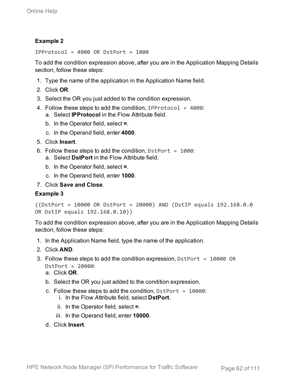#### **Example 2**

IPProtocol = 4000 OR DstPort = 1000

To add the condition expression above, after you are in the Application Mapping Details section, follow these steps:

- 1. Type the name of the application in the Application Name field.
- 2. Click **OR**.
- 3. Select the OR you just added to the condition expression.
- 4. Follow these steps to add the condition, IPP rotocol =  $4000$ : a. Select **IPProtocol** in the Flow Attribute field.
	- b. In the Operator field, select **=**.
	- c. In the Operand field, enter **4000**.
- 5. Click **Insert**.
- 6. Follow these steps to add the condition,  $DstPort = 1000$ : a. Select **DstPort** in the Flow Attribute field.
	- b. In the Operator field, select **=**.
	- c. In the Operand field, enter **1000**.
- 7. Click **Save and Close**.

#### **Example 3**

```
((DstPort = 10000 OR DstPort = 20000) AND (DstIP equals 192.168.0.0
OR DstIP equals 192.168.0.10))
```
To add the condition expression above, after you are in the Application Mapping Details section, follow these steps:

- 1. In the Application Name field, type the name of the application.
- 2. Click **AND**.
- 3. Follow these steps to add the condition expression, DstPort = 10000 OR DstPort = 20000:
	- a. Click **OR**.
	- b. Select the OR you just added to the condition expression.
	- c. Follow these steps to add the condition,  $DstPort = 10000$ :
		- i. In the Flow Attribute field, select **DstPort**.
		- ii. In the Operator field, select **=**.
		- iii. In the Operand field, enter **10000**.
	- d. Click **Insert**.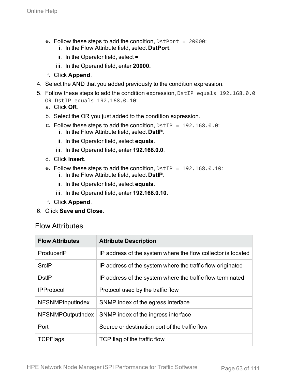- e. Follow these steps to add the condition,  $DstPort = 20000$ :
	- i. In the Flow Attribute field, select **DstPort**.
	- ii. In the Operator field, select **=**
	- iii. In the Operand field, enter **20000.**
- f. Click **Append**.
- 4. Select the AND that you added previously to the condition expression.
- 5. Follow these steps to add the condition expression, DstIP equals 192.168.0.0 OR DstIP equals 192.168.0.10:
	- a. Click **OR**.
	- b. Select the OR you just added to the condition expression.
	- c. Follow these steps to add the condition,  $DstIP = 192.168.0.0$ : i. In the Flow Attribute field, select **DstIP**.
		- ii. In the Operator field, select **equals**.
		- iii. In the Operand field, enter **192.168.0.0**.
	- d. Click **Insert**.
	- e. Follow these steps to add the condition,  $D_{\text{st}}$  = 192.168.0.10:
		- i. In the Flow Attribute field, select **DstIP**.
		- ii. In the Operator field, select **equals**.
		- iii. In the Operand field, enter **192.168.0.10**.
	- f. Click **Append**.
- <span id="page-62-0"></span>6. Click **Save and Close**.

#### Flow Attributes

| <b>Flow Attributes</b>   | <b>Attribute Description</b>                                 |
|--------------------------|--------------------------------------------------------------|
| ProducerIP               | IP address of the system where the flow collector is located |
| <b>SrcIP</b>             | IP address of the system where the traffic flow originated   |
| <b>DstIP</b>             | IP address of the system where the traffic flow terminated   |
| <b>IPProtocol</b>        | Protocol used by the traffic flow                            |
| <b>NFSNMPInputIndex</b>  | SNMP index of the egress interface                           |
| <b>NFSNMPOutputIndex</b> | SNMP index of the ingress interface                          |
| Port                     | Source or destination port of the traffic flow               |
| <b>TCPFlags</b>          | TCP flag of the traffic flow                                 |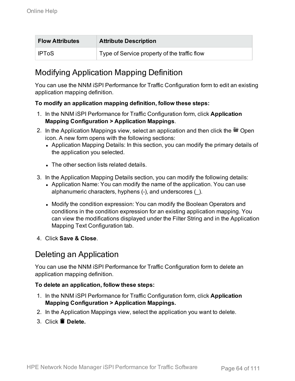| <b>Flow Attributes</b> | <b>Attribute Description</b>                 |
|------------------------|----------------------------------------------|
| <b>IPToS</b>           | Type of Service property of the traffic flow |

## Modifying Application Mapping Definition

You can use the NNM iSPI Performance for Traffic Configuration form to edit an existing application mapping definition.

#### **To modify an application mapping definition, follow these steps:**

- 1. In the NNM iSPI Performance for Traffic Configuration form, click **Application Mapping Configuration > Application Mappings**.
- 2. In the Application Mappings view, select an application and then click the  $\blacksquare$  Open icon. A new form opens with the following sections:
	- Application Mapping Details: In this section, you can modify the primary details of the application you selected.
	- The other section lists related details.
- 3. In the Application Mapping Details section, you can modify the following details:
	- Application Name: You can modify the name of the application. You can use alphanumeric characters, hyphens (-), and underscores (\_).
	- Modify the condition expression: You can modify the Boolean Operators and conditions in the condition expression for an existing application mapping. You can view the modifications displayed under the Filter String and in the Application Mapping Text Configuration tab.
- 4. Click **Save & Close**.

### Deleting an Application

You can use the NNM iSPI Performance for Traffic Configuration form to delete an application mapping definition.

#### **To delete an application, follow these steps:**

- 1. In the NNM iSPI Performance for Traffic Configuration form, click **Application Mapping Configuration > Application Mappings.**
- 2. In the Application Mappings view, select the application you want to delete.
- 3. Click **Delete.**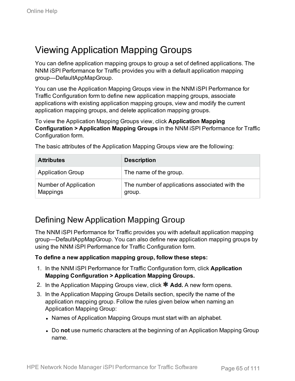## <span id="page-64-0"></span>Viewing Application Mapping Groups

You can define application mapping groups to group a set of defined applications. The NNM iSPI Performance for Traffic provides you with a default application mapping group—DefaultAppMapGroup.

You can use the Application Mapping Groups view in the NNM iSPI Performance for Traffic Configuration form to define new application mapping groups, associate applications with existing application mapping groups, view and modify the current application mapping groups, and delete application mapping groups.

To view the Application Mapping Groups view, click **Application Mapping Configuration > Application Mapping Groups** in the NNM iSPI Performance for Traffic Configuration form.

| <b>Attributes</b>                        | <b>Description</b>                                       |
|------------------------------------------|----------------------------------------------------------|
| <b>Application Group</b>                 | The name of the group.                                   |
| Number of Application<br><b>Mappings</b> | The number of applications associated with the<br>group. |

The basic attributes of the Application Mapping Groups view are the following:

### Defining New Application Mapping Group

The NNM iSPI Performance for Traffic provides you with adefault application mapping group—DefaultAppMapGroup. You can also define new application mapping groups by using the NNM iSPI Performance for Traffic Configuration form.

#### **To define a new application mapping group, follow these steps:**

- 1. In the NNM iSPI Performance for Traffic Configuration form, click **Application Mapping Configuration > Application Mapping Groups.**
- 2. In the Application Mapping Groups view, click **\* Add.** A new form opens.
- 3. In the Application Mapping Groups Details section, specify the name of the application mapping group. Follow the rules given below when naming an Application Mapping Group:
	- Names of Application Mapping Groups must start with an alphabet.
	- Do not use numeric characters at the beginning of an Application Mapping Group name.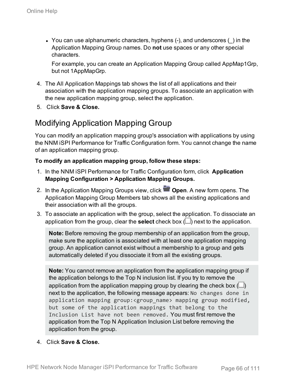• You can use alphanumeric characters, hyphens  $(-)$ , and underscores  $($ ) in the Application Mapping Group names. Do **not** use spaces or any other special characters.

For example, you can create an Application Mapping Group called AppMap1Grp, but not 1AppMapGrp.

- 4. The All Application Mappings tab shows the list of all applications and their association with the application mapping groups. To associate an application with the new application mapping group, select the application.
- 5. Click **Save & Close.**

## Modifying Application Mapping Group

You can modify an application mapping group's association with applications by using the NNM iSPI Performance for Traffic Configuration form. You cannot change the name of an application mapping group.

#### **To modify an application mapping group, follow these steps:**

- 1. In the NNM iSPI Performance for Traffic Configuration form, click **Application Mapping Configuration > Application Mapping Groups.**
- 2. In the Application Mapping Groups view, click **Open**. A new form opens. The Application Mapping Group Members tab shows all the existing applications and their association with all the groups.
- 3. To associate an application with the group, select the application. To dissociate an application from the group, clear the **select** check box  $(\Box)$  next to the application.

**Note:** Before removing the group membership of an application from the group, make sure the application is associated with at least one application mapping group. An application cannot exist without a membership to a group and gets automatically deleted if you dissociate it from all the existing groups.

**Note:** You cannot remove an application from the application mapping group if the application belongs to the Top N inclusion list. If you try to remove the application from the application mapping group by clearing the check box  $(\Box)$ next to the application, the following message appears: No changes done in application mapping group:<group\_name> mapping group modified, but some of the application mappings that belong to the Inclusion List have not been removed. You must first remove the application from the Top N Application Inclusion List before removing the application from the group.

4. Click **Save & Close.**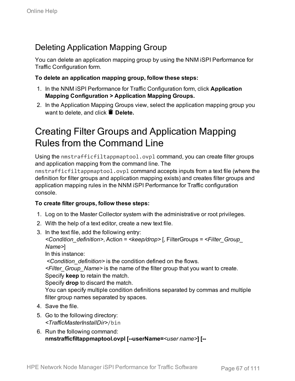## Deleting Application Mapping Group

You can delete an application mapping group by using the NNM iSPI Performance for Traffic Configuration form.

#### **To delete an application mapping group, follow these steps:**

- 1. In the NNM iSPI Performance for Traffic Configuration form, click **Application Mapping Configuration > Application Mapping Groups.**
- 2. In the Application Mapping Groups view, select the application mapping group you want to delete, and click **Delete.**

## Creating Filter Groups and Application Mapping Rules from the Command Line

Using the nmstrafficfiltappmaptool.ovpl command, you can create filter groups and application mapping from the command line. The

nmstrafficfiltappmaptool.ovpl command accepts inputs from a text file (where the definition for filter groups and application mapping exists) and creates filter groups and application mapping rules in the NNM iSPI Performance for Traffic configuration console.

#### **To create filter groups, follow these steps:**

- 1. Log on to the Master Collector system with the administrative or root privileges.
- 2. With the help of a text editor, create a new text file.
- 3. In the text file, add the following entry:

*<Condition\_definition>*, Action = *<keep/drop>* [, FilterGroups = *<Filter\_Group\_ Name>*]

In this instance:

*<Condition\_definition>* is the condition defined on the flows.

*<Filter\_Group\_Name>* is the name of the filter group that you want to create. Specify **keep** to retain the match.

Specify **drop** to discard the match.

You can specify multiple condition definitions separated by commas and multiple filter group names separated by spaces.

- 4. Save the file.
- 5. Go to the following directory: *<TrafficMasterInstallDir>*/bin
- 6. Run the following command: **nmstrafficfiltappmaptool.ovpl [--userName=***<user name>***] [--**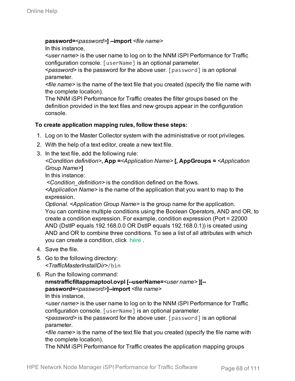#### **password=***<password>***] --import** *<file name>*

In this instance,

<*user name*> is the user name to log on to the NNM iSPI Performance for Traffic configuration console. [userName] is an optional parameter.

<*password*> is the password for the above user. [password] is an optional parameter.

*<file name>* is the name of the text file that you created (specify the file name with the complete location).

The NNM iSPI Performance for Traffic creates the filter groups based on the definition provided in the text files and new groups appear in the configuration console.

#### **To create application mapping rules, follow these steps:**

- 1. Log on to the Master Collector system with the administrative or root privileges.
- 2. With the help of a text editor, create a new text file.
- 3. In the text file, add the following rule:

*<Condition definition>***, App =***<Application Name>* **[, AppGroups =** *<Application Group Name>***]**

In this instance:

*<Condition\_definition>* is the condition defined on the flows.

*<Application Name>* is the name of the application that you want to map to the expression.

*Optional. <Application Group Name>* is the group name for the application. You can combine multiple conditions using the Boolean Operators, AND and OR, to create a condition expression. For example, condition expression (Port = 22000 AND (DstIP equals 192.168.0.0 OR DstIP equals 192.168.0.1)) is created using AND and OR to combine three conditions. To see a list of all attributes with which you can create a condition, click [here](#page-62-0) .

- 4. Save the file.
- 5. Go to the following directory: *<TrafficMasterInstallDir>*/bin
- 6. Run the following command:

```
nmstrafficfiltappmaptool.ovpl [--userName=<user name> ][--
password=<password>]--import <file name>
In this instance,
```
*<user name>* is the user name to log on to the NNM iSPI Performance for Traffic configuration console. [userName] is an optional parameter.

*<password>* is the password for the above user. [password] is an optional parameter.

*<file name>* is the name of the text file that you created (specify the file name with the complete location).

The NNM iSPI Performance for Traffic creates the application mapping groups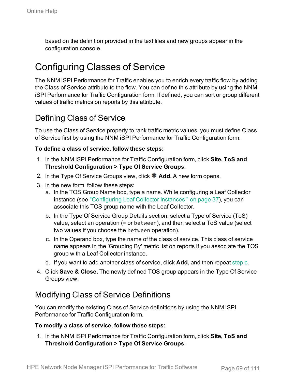based on the definition provided in the text files and new groups appear in the configuration console.

## Configuring Classes of Service

The NNM iSPI Performance for Traffic enables you to enrich every traffic flow by adding the Class of Service attribute to the flow. You can define this attribute by using the NNM iSPI Performance for Traffic Configuration form. If defined, you can sort or group different values of traffic metrics on reports by this attribute.

### Defining Class of Service

To use the Class of Service property to rank traffic metric values, you must define Class of Service first by using the NNM iSPI Performance for Traffic Configuration form.

#### **To define a class of service, follow these steps:**

- 1. In the NNM iSPI Performance for Traffic Configuration form, click **Site, ToS and Threshold Configuration > Type Of Service Groups.**
- 2. In the Type Of Service Groups view, click **\* Add.** A new form opens.
- 3. In the new form, follow these steps:
	- a. In the TOS Group Name box, type a name. While configuring a Leaf Collector instance (see ["Configuring](#page-36-0) Leaf Collector Instances " on page 37), you can associate this TOS group name with the Leaf Collector.
	- b. In the Type Of Service Group Details section, select a Type of Service (ToS) value, select an operation (= or between), and then select a ToS value (select two values if you choose the between operation).
	- c. In the Operand box, type the name of the class of service. This class of service name appears in the 'Grouping By' metric list on reports if you associate the TOS group with a Leaf Collector instance.
	- d. If you want to add another class of service, click **Add,** and then repeat [step](#page-68-0) c.
- <span id="page-68-0"></span>4. Click **Save & Close.** The newly defined TOS group appears in the Type Of Service Groups view.

### Modifying Class of Service Definitions

You can modify the existing Class of Service definitions by using the NNM iSPI Performance for Traffic Configuration form.

#### **To modify a class of service, follow these steps:**

1. In the NNM iSPI Performance for Traffic Configuration form, click **Site, ToS and Threshold Configuration > Type Of Service Groups.**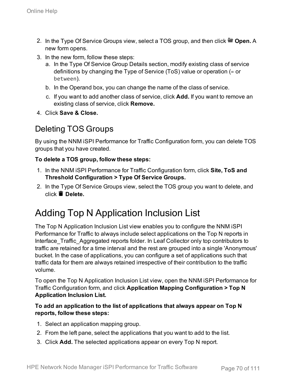- 2. In the Type Of Service Groups view, select a TOS group, and then click **Open.** A new form opens.
- 3. In the new form, follow these steps:
	- a. In the Type Of Service Group Details section, modify existing class of service definitions by changing the Type of Service (ToS) value or operation (= or between).
	- b. In the Operand box, you can change the name of the class of service.
	- c. If you want to add another class of service, click **Add.** If you want to remove an existing class of service, click **Remove.**
- 4. Click **Save & Close.**

## Deleting TOS Groups

By using the NNM iSPI Performance for Traffic Configuration form, you can delete TOS groups that you have created.

#### **To delete a TOS group, follow these steps:**

- 1. In the NNM iSPI Performance for Traffic Configuration form, click **Site, ToS and Threshold Configuration > Type Of Service Groups.**
- 2. In the Type Of Service Groups view, select the TOS group you want to delete, and click **Delete.**

## Adding Top N Application Inclusion List

The Top N Application Inclusion List view enables you to configure the NNM iSPI Performance for Traffic to always include select applications on the Top N reports in Interface Traffic Aggregated reports folder. In Leaf Collector only top contributors to traffic are retained for a time interval and the rest are grouped into a single 'Anonymous' bucket. In the case of applications, you can configure a set of applications such that traffic data for them are always retained irrespective of their contribution to the traffic volume.

To open the Top N Application Inclusion List view, open the NNM iSPI Performance for Traffic Configuration form, and click **Application Mapping Configuration > Top N Application Inclusion List.**

#### **To add an application to the list of applications that always appear on Top N reports, follow these steps:**

- 1. Select an application mapping group.
- 2. From the left pane, select the applications that you want to add to the list.
- 3. Click **Add.** The selected applications appear on every Top N report.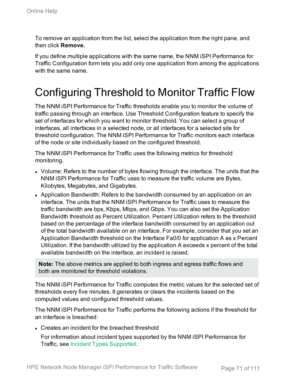To remove an application from the list, select the application from the right pane, and then click **Remove.**

If you define multiple applications with the same name, the NNM iSPI Performance for Traffic Configuration form lets you add only one application from among the applications with the same name.

# Configuring Threshold to Monitor Traffic Flow

The NNM iSPI Performance for Traffic thresholds enable you to monitor the volume of traffic passing through an interface. Use Threshold Configuration feature to specify the set of interfaces for which you want to monitor threshold. You can select a group of interfaces, all interfaces in a selected node, or all interfaces for a selected site for threshold configuration. The NNM iSPI Performance for Traffic monitors each interface of the node or site individually based on the configured threshold.

The NNM iSPI Performance for Traffic uses the following metrics for threshold monitoring.

- Volume: Refers to the number of bytes flowing through the interface. The units that the NNM iSPI Performance for Traffic uses to measure the traffic volume are Bytes, Kilobytes, Megabytes, and Gigabytes.
- Application Bandwidth: Refers to the bandwidth consumed by an application on an interface. The units that the NNM iSPI Performance for Traffic uses to measure the traffic bandwidth are bps, Kbps, Mbps, and Gbps. You can also set the Application Bandwidth threshold as Percent Utilization. Percent Utilization refers to the threshold based on the percentage of the interface bandwidth consumed by an application out of the total bandwidth available on an interface. For example, consider that you set an Application Bandwidth threshold on the Interface Fa0/0 for application A as x Percent Utilization. If the bandwidth utilized by the application A exceeds x percent of the total available bandwidth on the interface, an incident is raised.

**Note:** The above metrics are applied to both ingress and egress traffic flows and both are monitored for threshold violations.

The NNM iSPI Performance for Traffic computes the metric values for the selected set of thresholds every five minutes. It generates or clears the incidents based on the computed values and configured threshold values.

The NNM iSPI Performance for Traffic performs the following actions if the threshold for an interface is breached:

• Creates an incident for the breached threshold

For information about incident types supported by the NNM iSPI Performance for Traffic, see Incident Types [Supported.](#page-93-0)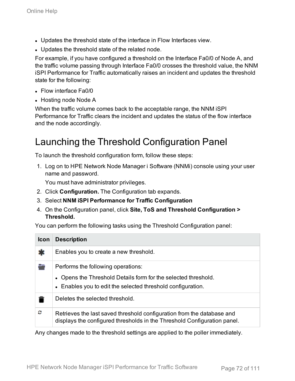- Updates the threshold state of the interface in Flow Interfaces view.
- Updates the threshold state of the related node.

For example, if you have configured a threshold on the Interface Fa0/0 of Node A, and the traffic volume passing through Interface Fa0/0 crosses the threshold value, the NNM iSPI Performance for Traffic automatically raises an incident and updates the threshold state for the following:

- $\cdot$  Flow interface Fa0/0
- Hosting node Node A

When the traffic volume comes back to the acceptable range, the NNM iSPI Performance for Traffic clears the incident and updates the status of the flow interface and the node accordingly.

## Launching the Threshold Configuration Panel

To launch the threshold configuration form, follow these steps:

1. Log on to HPE Network Node Manager i Software (NNMi) console using your user name and password.

You must have administrator privileges.

- 2. Click **Configuration.** The Configuration tab expands.
- 3. Select **NNM iSPI Performance for Traffic Configuration**
- 4. On the Configuration panel, click **Site, ToS and Threshold Configuration > Threshold.**

You can perform the following tasks using the Threshold Configuration panel:

| <b>Icon</b> | <b>Description</b>                                                                                                                                                  |
|-------------|---------------------------------------------------------------------------------------------------------------------------------------------------------------------|
| *           | Enables you to create a new threshold.                                                                                                                              |
| ÷           | Performs the following operations:<br>• Opens the Threshold Details form for the selected threshold.<br>• Enables you to edit the selected threshold configuration. |
|             | Deletes the selected threshold.                                                                                                                                     |
| c           | Retrieves the last saved threshold configuration from the database and<br>displays the configured thresholds in the Threshold Configuration panel.                  |

Any changes made to the threshold settings are applied to the poller immediately.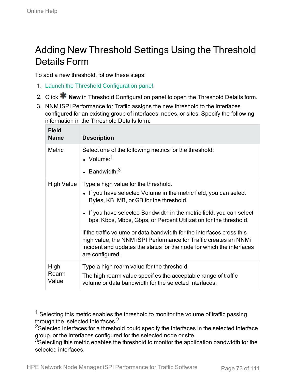## Adding New Threshold Settings Using the Threshold Details Form

To add a new threshold, follow these steps:

- 1. Launch the Threshold [Configuration](#page-71-0) panel.
- 2. Click **\*** New in Threshold Configuration panel to open the Threshold Details form.
- 3. NNM iSPI Performance for Traffic assigns the new threshold to the interfaces configured for an existing group of interfaces, nodes, or sites. Specify the following information in the Threshold Details form:

|  | Field<br><b>Name</b>   | <b>Description</b>                                                                                                                                                                                                                    |
|--|------------------------|---------------------------------------------------------------------------------------------------------------------------------------------------------------------------------------------------------------------------------------|
|  | <b>Metric</b>          | Select one of the following metrics for the threshold:<br>$\cdot$ Volume: <sup>1</sup>                                                                                                                                                |
|  |                        | • Bandwidth: $3$                                                                                                                                                                                                                      |
|  | High Value             | Type a high value for the threshold.<br>• If you have selected Volume in the metric field, you can select<br>Bytes, KB, MB, or GB for the threshold.                                                                                  |
|  |                        | • If you have selected Bandwidth in the metric field, you can select<br>bps, Kbps, Mbps, Gbps, or Percent Utilization for the threshold.                                                                                              |
|  |                        | If the traffic volume or data bandwidth for the interfaces cross this<br>high value, the NNM ISPI Performance for Traffic creates an NNMI<br>incident and updates the status for the node for which the interfaces<br>are configured. |
|  | High<br>Rearm<br>Value | Type a high rearm value for the threshold.<br>The high rearm value specifies the acceptable range of traffic<br>volume or data bandwidth for the selected interfaces.                                                                 |

 $<sup>1</sup>$  Selecting this metric enables the threshold to monitor the volume of traffic passing</sup> through the selected interfaces.<sup>2</sup>

<sup>2</sup>Selected interfaces for a threshold could specify the interfaces in the selected interface group, or the interfaces configured for the selected node or site.

 $3$ Selecting this metric enables the threshold to monitor the application bandwidth for the selected interfaces.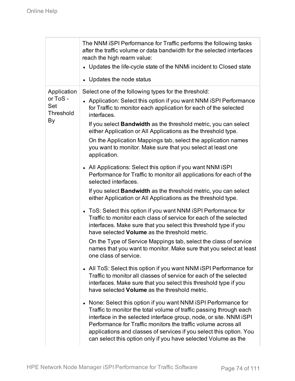|                              | The NNM iSPI Performance for Traffic performs the following tasks<br>after the traffic volume or data bandwidth for the selected interfaces<br>reach the high rearm value:<br>• Updates the life-cycle state of the NNMi incident to Closed state<br>• Updates the node status                                                                                                                                        |
|------------------------------|-----------------------------------------------------------------------------------------------------------------------------------------------------------------------------------------------------------------------------------------------------------------------------------------------------------------------------------------------------------------------------------------------------------------------|
| Application                  | Select one of the following types for the threshold:                                                                                                                                                                                                                                                                                                                                                                  |
| or ToS -<br>Set<br>Threshold | • Application: Select this option if you want NNM iSPI Performance<br>for Traffic to monitor each application for each of the selected<br>interfaces.                                                                                                                                                                                                                                                                 |
| By                           | If you select <b>Bandwidth</b> as the threshold metric, you can select<br>either Application or All Applications as the threshold type.                                                                                                                                                                                                                                                                               |
|                              | On the Application Mappings tab, select the application names<br>you want to monitor. Make sure that you select at least one<br>application.                                                                                                                                                                                                                                                                          |
|                              | • All Applications: Select this option if you want NNM iSPI<br>Performance for Traffic to monitor all applications for each of the<br>selected interfaces.                                                                                                                                                                                                                                                            |
|                              | If you select <b>Bandwidth</b> as the threshold metric, you can select<br>either Application or All Applications as the threshold type.                                                                                                                                                                                                                                                                               |
|                              | ToS: Select this option if you want NNM iSPI Performance for<br>$\bullet$<br>Traffic to monitor each class of service for each of the selected<br>interfaces. Make sure that you select this threshold type if you<br>have selected <b>Volume</b> as the threshold metric.                                                                                                                                            |
|                              | On the Type of Service Mappings tab, select the class of service<br>names that you want to monitor. Make sure that you select at least<br>one class of service.                                                                                                                                                                                                                                                       |
|                              | All ToS: Select this option if you want NNM iSPI Performance for<br>Traffic to monitor all classes of service for each of the selected<br>interfaces. Make sure that you select this threshold type if you<br>have selected Volume as the threshold metric.                                                                                                                                                           |
|                              | None: Select this option if you want NNM iSPI Performance for<br>Traffic to monitor the total volume of traffic passing through each<br>interface in the selected interface group, node, or site. NNM ISPI<br>Performance for Traffic monitors the traffic volume across all<br>applications and classes of services if you select this option. You<br>can select this option only if you have selected Volume as the |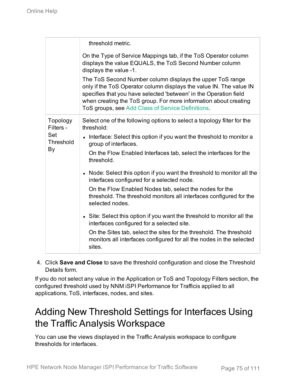|                       | threshold metric.                                                                                                                                                                                                                                                                                                              |
|-----------------------|--------------------------------------------------------------------------------------------------------------------------------------------------------------------------------------------------------------------------------------------------------------------------------------------------------------------------------|
|                       | On the Type of Service Mappings tab, if the ToS Operator column<br>displays the value EQUALS, the ToS Second Number column<br>displays the value -1.                                                                                                                                                                           |
|                       | The ToS Second Number column displays the upper ToS range<br>only if the ToS Operator column displays the value IN. The value IN<br>specifies that you have selected 'between' in the Operation field<br>when creating the ToS group. For more information about creating<br>ToS groups, see Add Class of Service Definitions. |
| Topology<br>Filters - | Select one of the following options to select a topology filter for the<br>threshold:                                                                                                                                                                                                                                          |
| Set<br>Threshold      | Interface: Select this option if you want the threshold to monitor a<br>group of interfaces.                                                                                                                                                                                                                                   |
| By                    | On the Flow Enabled Interfaces tab, select the interfaces for the<br>threshold.                                                                                                                                                                                                                                                |
|                       | • Node: Select this option if you want the threshold to monitor all the<br>interfaces configured for a selected node.                                                                                                                                                                                                          |
|                       | On the Flow Enabled Nodes tab, select the nodes for the<br>threshold. The threshold monitors all interfaces configured for the<br>selected nodes.                                                                                                                                                                              |
|                       | • Site: Select this option if you want the threshold to monitor all the<br>interfaces configured for a selected site.                                                                                                                                                                                                          |
|                       | On the Sites tab, select the sites for the threshold. The threshold<br>monitors all interfaces configured for all the nodes in the selected<br>sites.                                                                                                                                                                          |

4. Click **Save and Close** to save the threshold configuration and close the Threshold Details form.

If you do not select any value in the Application or ToS and Topology Filters section, the configured threshold used by NNM iSPI Performance for Trafficis applied to all applications, ToS, interfaces, nodes, and sites.

### Adding New Threshold Settings for Interfaces Using the Traffic Analysis Workspace

You can use the views displayed in the Traffic Analysis workspace to configure thresholds for interfaces.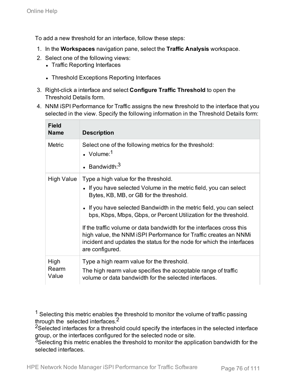To add a new threshold for an interface, follow these steps:

- 1. In the **Workspaces** navigation pane, select the **Traffic Analysis** workspace.
- 2. Select one of the following views:
	- Traffic Reporting Interfaces
	- Threshold Exceptions Reporting Interfaces
- 3. Right-click a interface and select **Configure Traffic Threshold** to open the Threshold Details form.
- 4. NNM iSPI Performance for Traffic assigns the new threshold to the interface that you selected in the view. Specify the following information in the Threshold Details form:

| <b>Field</b><br><b>Name</b> | <b>Description</b>                                                                                                                                                                                                                    |
|-----------------------------|---------------------------------------------------------------------------------------------------------------------------------------------------------------------------------------------------------------------------------------|
| <b>Metric</b>               | Select one of the following metrics for the threshold:<br>• Volume: $1$                                                                                                                                                               |
|                             | • Bandwidth: $3$                                                                                                                                                                                                                      |
| High Value                  | Type a high value for the threshold.<br>• If you have selected Volume in the metric field, you can select<br>Bytes, KB, MB, or GB for the threshold.                                                                                  |
|                             | • If you have selected Bandwidth in the metric field, you can select<br>bps, Kbps, Mbps, Gbps, or Percent Utilization for the threshold.                                                                                              |
|                             | If the traffic volume or data bandwidth for the interfaces cross this<br>high value, the NNM ISPI Performance for Traffic creates an NNMI<br>incident and updates the status for the node for which the interfaces<br>are configured. |
| High<br>Rearm<br>Value      | Type a high rearm value for the threshold.<br>The high rearm value specifies the acceptable range of traffic<br>volume or data bandwidth for the selected interfaces.                                                                 |

 $<sup>1</sup>$  Selecting this metric enables the threshold to monitor the volume of traffic passing</sup> through the selected interfaces.2

<sup>2</sup>Selected interfaces for a threshold could specify the interfaces in the selected interface group, or the interfaces configured for the selected node or site.

 $3$ Selecting this metric enables the threshold to monitor the application bandwidth for the selected interfaces.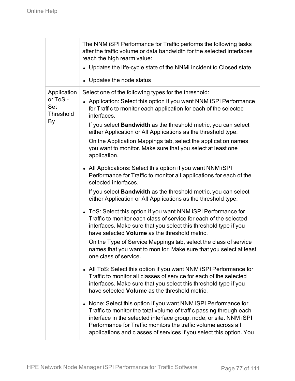|                              | The NNM iSPI Performance for Traffic performs the following tasks<br>after the traffic volume or data bandwidth for the selected interfaces<br>reach the high rearm value:<br>• Updates the life-cycle state of the NNMi incident to Closed state<br>• Updates the node status                                                                      |
|------------------------------|-----------------------------------------------------------------------------------------------------------------------------------------------------------------------------------------------------------------------------------------------------------------------------------------------------------------------------------------------------|
| Application                  | Select one of the following types for the threshold:                                                                                                                                                                                                                                                                                                |
| or ToS -<br>Set<br>Threshold | • Application: Select this option if you want NNM iSPI Performance<br>for Traffic to monitor each application for each of the selected<br>interfaces.                                                                                                                                                                                               |
| By                           | If you select <b>Bandwidth</b> as the threshold metric, you can select<br>either Application or All Applications as the threshold type.                                                                                                                                                                                                             |
|                              | On the Application Mappings tab, select the application names<br>you want to monitor. Make sure that you select at least one<br>application.                                                                                                                                                                                                        |
|                              | • All Applications: Select this option if you want NNM iSPI<br>Performance for Traffic to monitor all applications for each of the<br>selected interfaces.                                                                                                                                                                                          |
|                              | If you select <b>Bandwidth</b> as the threshold metric, you can select<br>either Application or All Applications as the threshold type.                                                                                                                                                                                                             |
|                              | • ToS: Select this option if you want NNM iSPI Performance for<br>Traffic to monitor each class of service for each of the selected<br>interfaces. Make sure that you select this threshold type if you<br>have selected Volume as the threshold metric.                                                                                            |
|                              | On the Type of Service Mappings tab, select the class of service<br>names that you want to monitor. Make sure that you select at least<br>one class of service.                                                                                                                                                                                     |
|                              | All ToS: Select this option if you want NNM iSPI Performance for<br>$\bullet$<br>Traffic to monitor all classes of service for each of the selected<br>interfaces. Make sure that you select this threshold type if you<br>have selected Volume as the threshold metric.                                                                            |
|                              | None: Select this option if you want NNM iSPI Performance for<br>Traffic to monitor the total volume of traffic passing through each<br>interface in the selected interface group, node, or site. NNM ISPI<br>Performance for Traffic monitors the traffic volume across all<br>applications and classes of services if you select this option. You |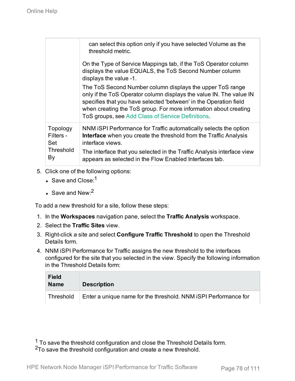|                                                        | can select this option only if you have selected Volume as the<br>threshold metric.                                                                                                                                                                                                                                            |
|--------------------------------------------------------|--------------------------------------------------------------------------------------------------------------------------------------------------------------------------------------------------------------------------------------------------------------------------------------------------------------------------------|
|                                                        | On the Type of Service Mappings tab, if the ToS Operator column<br>displays the value EQUALS, the ToS Second Number column<br>displays the value -1.                                                                                                                                                                           |
|                                                        | The ToS Second Number column displays the upper ToS range<br>only if the ToS Operator column displays the value IN. The value IN<br>specifies that you have selected 'between' in the Operation field<br>when creating the ToS group. For more information about creating<br>ToS groups, see Add Class of Service Definitions. |
| Topology<br>Filters -<br>Set<br><b>Threshold</b><br>By | NNM ISPI Performance for Traffic automatically selects the option<br><b>Interface</b> when you create the threshold from the Traffic Analysis<br>interface views.<br>The interface that you selected in the Traffic Analysis interface view<br>appears as selected in the Flow Enabled Interfaces tab.                         |

- 5. Click one of the following options:
	- $\cdot$  Save and Close:<sup>1</sup>
	- $\cdot$  Save and New:<sup>2</sup>

To add a new threshold for a site, follow these steps:

- 1. In the **Workspaces** navigation pane, select the **Traffic Analysis** workspace.
- 2. Select the **Traffic Sites** view.
- 3. Right-click a site and select **Configure Traffic Threshold** to open the Threshold Details form.
- 4. NNM iSPI Performance for Traffic assigns the new threshold to the interfaces configured for the site that you selected in the view. Specify the following information in the Threshold Details form:

| <b>Field</b><br><b>Name</b> | <b>Description</b>                                              |
|-----------------------------|-----------------------------------------------------------------|
| Threshold                   | Enter a unique name for the threshold. NNM iSPI Performance for |

 $1$  To save the threshold configuration and close the Threshold Details form. 2To save the threshold configuration and create a new threshold.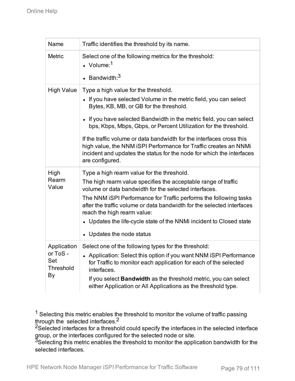| Name                                        | Traffic identifies the threshold by its name.                                                                                                                                                                                         |
|---------------------------------------------|---------------------------------------------------------------------------------------------------------------------------------------------------------------------------------------------------------------------------------------|
| <b>Metric</b>                               | Select one of the following metrics for the threshold:<br>$\bullet$ Volume: <sup>1</sup>                                                                                                                                              |
|                                             | • Bandwidth: $3$                                                                                                                                                                                                                      |
| <b>High Value</b>                           | Type a high value for the threshold.<br>• If you have selected Volume in the metric field, you can select<br>Bytes, KB, MB, or GB for the threshold.                                                                                  |
|                                             | • If you have selected Bandwidth in the metric field, you can select<br>bps, Kbps, Mbps, Gbps, or Percent Utilization for the threshold.                                                                                              |
|                                             | If the traffic volume or data bandwidth for the interfaces cross this<br>high value, the NNM iSPI Performance for Traffic creates an NNMi<br>incident and updates the status for the node for which the interfaces<br>are configured. |
| High                                        | Type a high rearm value for the threshold.                                                                                                                                                                                            |
| Rearm<br>Value                              | The high rearm value specifies the acceptable range of traffic<br>volume or data bandwidth for the selected interfaces.                                                                                                               |
|                                             | The NNM iSPI Performance for Traffic performs the following tasks                                                                                                                                                                     |
|                                             | after the traffic volume or data bandwidth for the selected interfaces<br>reach the high rearm value:                                                                                                                                 |
|                                             | • Updates the life-cycle state of the NNMi incident to Closed state                                                                                                                                                                   |
|                                             | • Updates the node status                                                                                                                                                                                                             |
| Application<br>or ToS -<br>Set<br>Threshold | Select one of the following types for the threshold:<br>• Application: Select this option if you want NNM iSPI Performance<br>for Traffic to monitor each application for each of the selected<br>interfaces.                         |
| By                                          | If you select <b>Bandwidth</b> as the threshold metric, you can select<br>either Application or All Applications as the threshold type.                                                                                               |

 $1$  Selecting this metric enables the threshold to monitor the volume of traffic passing through the selected interfaces.2

<sup>2</sup>Selected interfaces for a threshold could specify the interfaces in the selected interface group, or the interfaces configured for the selected node or site.

 $3$ Selecting this metric enables the threshold to monitor the application bandwidth for the selected interfaces.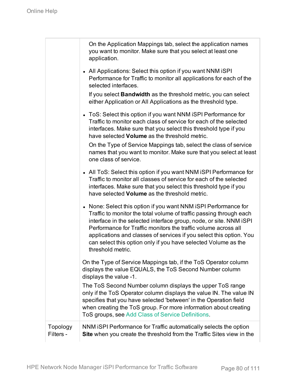|                       | On the Application Mappings tab, select the application names<br>you want to monitor. Make sure that you select at least one<br>application.                                                                                                                                                                                                                                                                                                 |
|-----------------------|----------------------------------------------------------------------------------------------------------------------------------------------------------------------------------------------------------------------------------------------------------------------------------------------------------------------------------------------------------------------------------------------------------------------------------------------|
|                       | • All Applications: Select this option if you want NNM iSPI<br>Performance for Traffic to monitor all applications for each of the<br>selected interfaces.                                                                                                                                                                                                                                                                                   |
|                       | If you select <b>Bandwidth</b> as the threshold metric, you can select<br>either Application or All Applications as the threshold type.                                                                                                                                                                                                                                                                                                      |
|                       | • ToS: Select this option if you want NNM iSPI Performance for<br>Traffic to monitor each class of service for each of the selected<br>interfaces. Make sure that you select this threshold type if you<br>have selected Volume as the threshold metric.                                                                                                                                                                                     |
|                       | On the Type of Service Mappings tab, select the class of service<br>names that you want to monitor. Make sure that you select at least<br>one class of service.                                                                                                                                                                                                                                                                              |
|                       | • All ToS: Select this option if you want NNM iSPI Performance for<br>Traffic to monitor all classes of service for each of the selected<br>interfaces. Make sure that you select this threshold type if you<br>have selected <b>Volume</b> as the threshold metric.                                                                                                                                                                         |
|                       | • None: Select this option if you want NNM iSPI Performance for<br>Traffic to monitor the total volume of traffic passing through each<br>interface in the selected interface group, node, or site. NNM ISPI<br>Performance for Traffic monitors the traffic volume across all<br>applications and classes of services if you select this option. You<br>can select this option only if you have selected Volume as the<br>threshold metric. |
|                       | On the Type of Service Mappings tab, if the ToS Operator column<br>displays the value EQUALS, the ToS Second Number column<br>displays the value -1.                                                                                                                                                                                                                                                                                         |
|                       | The ToS Second Number column displays the upper ToS range<br>only if the ToS Operator column displays the value IN. The value IN<br>specifies that you have selected 'between' in the Operation field<br>when creating the ToS group. For more information about creating<br>ToS groups, see Add Class of Service Definitions.                                                                                                               |
| Topology<br>Filters - | NNM ISPI Performance for Traffic automatically selects the option<br>Site when you create the threshold from the Traffic Sites view in the                                                                                                                                                                                                                                                                                                   |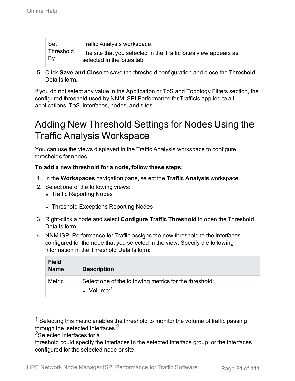| Set       | Traffic Analysis workspace.                                     |
|-----------|-----------------------------------------------------------------|
| Threshold | The site that you selected in the Traffic Sites view appears as |
| By        | selected in the Sites tab.                                      |

5. Click **Save and Close** to save the threshold configuration and close the Threshold Details form.

If you do not select any value in the Application or ToS and Topology Filters section, the configured threshold used by NNM iSPI Performance for Trafficis applied to all applications, ToS, interfaces, nodes, and sites.

## Adding New Threshold Settings for Nodes Using the Traffic Analysis Workspace

You can use the views displayed in the Traffic Analysis workspace to configure thresholds for nodes.

#### **To add a new threshold for a node, follow these steps:**

- 1. In the **Workspaces** navigation pane, select the **Traffic Analysis** workspace.
- 2. Select one of the following views:
	- Traffic Reporting Nodes
	- Threshold Exceptions Reporting Nodes
- 3. Right-click a node and select **Configure Traffic Threshold** to open the Threshold Details form.
- 4. NNM iSPI Performance for Traffic assigns the new threshold to the interfaces configured for the node that you selected in the view. Specify the following information in the Threshold Details form:

| <b>Field</b><br><b>Name</b> | <b>Description</b>                                                      |
|-----------------------------|-------------------------------------------------------------------------|
| <b>Metric</b>               | Select one of the following metrics for the threshold:<br>• Volume: $1$ |

 $<sup>1</sup>$  Selecting this metric enables the threshold to monitor the volume of traffic passing</sup> through the selected interfaces.<sup>2</sup>

2Selected interfaces for a

threshold could specify the interfaces in the selected interface group, or the interfaces configured for the selected node or site.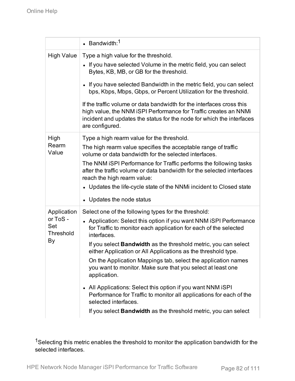|                                                   | $\cdot$ Bandwidth: <sup>1</sup>                                                                                                                                                                                                                                                                                                                                                                                                                                                                                                                                                                                                                                                                                                           |
|---------------------------------------------------|-------------------------------------------------------------------------------------------------------------------------------------------------------------------------------------------------------------------------------------------------------------------------------------------------------------------------------------------------------------------------------------------------------------------------------------------------------------------------------------------------------------------------------------------------------------------------------------------------------------------------------------------------------------------------------------------------------------------------------------------|
| <b>High Value</b>                                 | Type a high value for the threshold.<br>• If you have selected Volume in the metric field, you can select<br>Bytes, KB, MB, or GB for the threshold.<br>• If you have selected Bandwidth in the metric field, you can select<br>bps, Kbps, Mbps, Gbps, or Percent Utilization for the threshold.<br>If the traffic volume or data bandwidth for the interfaces cross this<br>high value, the NNM iSPI Performance for Traffic creates an NNMi<br>incident and updates the status for the node for which the interfaces<br>are configured.                                                                                                                                                                                                 |
| High<br>Rearm<br>Value                            | Type a high rearm value for the threshold.<br>The high rearm value specifies the acceptable range of traffic<br>volume or data bandwidth for the selected interfaces.<br>The NNM iSPI Performance for Traffic performs the following tasks<br>after the traffic volume or data bandwidth for the selected interfaces<br>reach the high rearm value:<br>• Updates the life-cycle state of the NNMi incident to Closed state<br>• Updates the node status                                                                                                                                                                                                                                                                                   |
| Application<br>or ToS -<br>Set<br>Threshold<br>By | Select one of the following types for the threshold:<br>• Application: Select this option if you want NNM iSPI Performance<br>for Traffic to monitor each application for each of the selected<br>interfaces.<br>If you select <b>Bandwidth</b> as the threshold metric, you can select<br>either Application or All Applications as the threshold type.<br>On the Application Mappings tab, select the application names<br>you want to monitor. Make sure that you select at least one<br>application.<br>• All Applications: Select this option if you want NNM iSPI<br>Performance for Traffic to monitor all applications for each of the<br>selected interfaces.<br>If you select Bandwidth as the threshold metric, you can select |

<sup>1</sup>Selecting this metric enables the threshold to monitor the application bandwidth for the selected interfaces.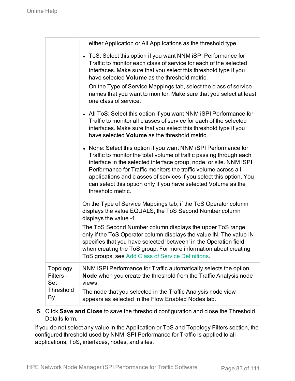|                              | either Application or All Applications as the threshold type.                                                                                                                                                                                                                                                                                                                                                                                |
|------------------------------|----------------------------------------------------------------------------------------------------------------------------------------------------------------------------------------------------------------------------------------------------------------------------------------------------------------------------------------------------------------------------------------------------------------------------------------------|
|                              | • ToS: Select this option if you want NNM iSPI Performance for<br>Traffic to monitor each class of service for each of the selected<br>interfaces. Make sure that you select this threshold type if you<br>have selected <b>Volume</b> as the threshold metric.                                                                                                                                                                              |
|                              | On the Type of Service Mappings tab, select the class of service<br>names that you want to monitor. Make sure that you select at least<br>one class of service.                                                                                                                                                                                                                                                                              |
|                              | • All ToS: Select this option if you want NNM iSPI Performance for<br>Traffic to monitor all classes of service for each of the selected<br>interfaces. Make sure that you select this threshold type if you<br>have selected <b>Volume</b> as the threshold metric.                                                                                                                                                                         |
|                              | • None: Select this option if you want NNM iSPI Performance for<br>Traffic to monitor the total volume of traffic passing through each<br>interface in the selected interface group, node, or site. NNM iSPI<br>Performance for Traffic monitors the traffic volume across all<br>applications and classes of services if you select this option. You<br>can select this option only if you have selected Volume as the<br>threshold metric. |
|                              | On the Type of Service Mappings tab, if the ToS Operator column<br>displays the value EQUALS, the ToS Second Number column<br>displays the value -1.                                                                                                                                                                                                                                                                                         |
|                              | The ToS Second Number column displays the upper ToS range<br>only if the ToS Operator column displays the value IN. The value IN<br>specifies that you have selected 'between' in the Operation field<br>when creating the ToS group. For more information about creating<br>ToS groups, see Add Class of Service Definitions.                                                                                                               |
| Topology<br>Filters -<br>Set | NNM ISPI Performance for Traffic automatically selects the option<br>Node when you create the threshold from the Traffic Analysis node<br>views.                                                                                                                                                                                                                                                                                             |
| <b>Threshold</b><br>By       | The node that you selected in the Traffic Analysis node view<br>appears as selected in the Flow Enabled Nodes tab.                                                                                                                                                                                                                                                                                                                           |

5. Click **Save and Close** to save the threshold configuration and close the Threshold Details form.

If you do not select any value in the Application or ToS and Topology Filters section, the configured threshold used by NNM iSPI Performance for Traffic is applied to all applications, ToS, interfaces, nodes, and sites.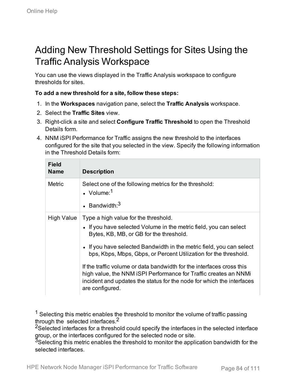## Adding New Threshold Settings for Sites Using the Traffic Analysis Workspace

You can use the views displayed in the Traffic Analysis workspace to configure thresholds for sites.

#### **To add a new threshold for a site, follow these steps:**

- 1. In the **Workspaces** navigation pane, select the **Traffic Analysis** workspace.
- 2. Select the **Traffic Sites** view.
- 3. Right-click a site and select **Configure Traffic Threshold** to open the Threshold Details form.
- 4. NNM iSPI Performance for Traffic assigns the new threshold to the interfaces configured for the site that you selected in the view. Specify the following information in the Threshold Details form:

| <b>Field</b><br><b>Name</b> | <b>Description</b>                                                                                                                                                                                                                    |
|-----------------------------|---------------------------------------------------------------------------------------------------------------------------------------------------------------------------------------------------------------------------------------|
| <b>Metric</b>               | Select one of the following metrics for the threshold:<br>$\cdot$ Volume: <sup>1</sup>                                                                                                                                                |
|                             | $\cdot$ Bandwidth $3$                                                                                                                                                                                                                 |
| High Value                  | Type a high value for the threshold.<br>• If you have selected Volume in the metric field, you can select<br>Bytes, KB, MB, or GB for the threshold.                                                                                  |
|                             | • If you have selected Bandwidth in the metric field, you can select<br>bps, Kbps, Mbps, Gbps, or Percent Utilization for the threshold.                                                                                              |
|                             | If the traffic volume or data bandwidth for the interfaces cross this<br>high value, the NNM ISPI Performance for Traffic creates an NNMI<br>incident and updates the status for the node for which the interfaces<br>are configured. |

 $1$  Selecting this metric enables the threshold to monitor the volume of traffic passing through the selected interfaces.<sup>2</sup>

<sup>2</sup>Selected interfaces for a threshold could specify the interfaces in the selected interface group, or the interfaces configured for the selected node or site.

<sup>3</sup>Selecting this metric enables the threshold to monitor the application bandwidth for the selected interfaces.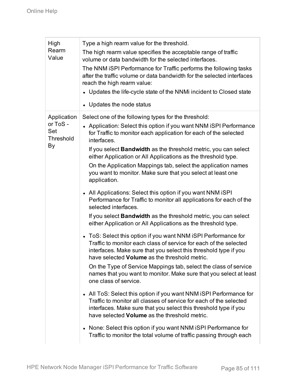| High<br>Rearm<br>Value                                   | Type a high rearm value for the threshold.<br>The high rearm value specifies the acceptable range of traffic<br>volume or data bandwidth for the selected interfaces.<br>The NNM iSPI Performance for Traffic performs the following tasks<br>after the traffic volume or data bandwidth for the selected interfaces<br>reach the high rearm value:<br>• Updates the life-cycle state of the NNMi incident to Closed state<br>• Updates the node status                                                                                                                                                                                                                                                                                                                                                                                                                                                                                                                                                                                                                                                                                                                                                                                                                                                                                                                                                                                                                                                                                                                                                                                                               |
|----------------------------------------------------------|-----------------------------------------------------------------------------------------------------------------------------------------------------------------------------------------------------------------------------------------------------------------------------------------------------------------------------------------------------------------------------------------------------------------------------------------------------------------------------------------------------------------------------------------------------------------------------------------------------------------------------------------------------------------------------------------------------------------------------------------------------------------------------------------------------------------------------------------------------------------------------------------------------------------------------------------------------------------------------------------------------------------------------------------------------------------------------------------------------------------------------------------------------------------------------------------------------------------------------------------------------------------------------------------------------------------------------------------------------------------------------------------------------------------------------------------------------------------------------------------------------------------------------------------------------------------------------------------------------------------------------------------------------------------------|
| Application<br>or ToS -<br>Set<br><b>Threshold</b><br>By | Select one of the following types for the threshold:<br>• Application: Select this option if you want NNM iSPI Performance<br>for Traffic to monitor each application for each of the selected<br>interfaces.<br>If you select <b>Bandwidth</b> as the threshold metric, you can select<br>either Application or All Applications as the threshold type.<br>On the Application Mappings tab, select the application names<br>you want to monitor. Make sure that you select at least one<br>application.<br>• All Applications: Select this option if you want NNM iSPI<br>Performance for Traffic to monitor all applications for each of the<br>selected interfaces.<br>If you select <b>Bandwidth</b> as the threshold metric, you can select<br>either Application or All Applications as the threshold type.<br>ToS: Select this option if you want NNM iSPI Performance for<br>Traffic to monitor each class of service for each of the selected<br>interfaces. Make sure that you select this threshold type if you<br>have selected <b>Volume</b> as the threshold metric.<br>On the Type of Service Mappings tab, select the class of service<br>names that you want to monitor. Make sure that you select at least<br>one class of service.<br>• All ToS: Select this option if you want NNM iSPI Performance for<br>Traffic to monitor all classes of service for each of the selected<br>interfaces. Make sure that you select this threshold type if you<br>have selected <b>Volume</b> as the threshold metric.<br>None: Select this option if you want NNM iSPI Performance for<br>Traffic to monitor the total volume of traffic passing through each |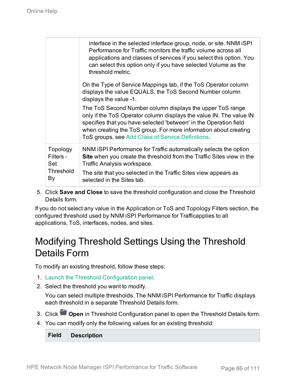|                                                 | interface in the selected interface group, node, or site. NNM iSPI<br>Performance for Traffic monitors the traffic volume across all<br>applications and classes of services if you select this option. You<br>can select this option only if you have selected Volume as the<br>threshold metric.                             |
|-------------------------------------------------|--------------------------------------------------------------------------------------------------------------------------------------------------------------------------------------------------------------------------------------------------------------------------------------------------------------------------------|
|                                                 | On the Type of Service Mappings tab, if the ToS Operator column<br>displays the value EQUALS, the ToS Second Number column<br>displays the value -1.                                                                                                                                                                           |
|                                                 | The ToS Second Number column displays the upper ToS range<br>only if the ToS Operator column displays the value IN. The value IN<br>specifies that you have selected 'between' in the Operation field<br>when creating the ToS group. For more information about creating<br>ToS groups, see Add Class of Service Definitions. |
| Topology<br>Filters -<br>Set<br>Threshold<br>By | NNM ISPI Performance for Traffic automatically selects the option<br><b>Site</b> when you create the threshold from the Traffic Sites view in the<br>Traffic Analysis workspace.<br>The site that you selected in the Traffic Sites view appears as<br>selected in the Sites tab.                                              |

5. Click **Save and Close** to save the threshold configuration and close the Threshold Details form.

If you do not select any value in the Application or ToS and Topology Filters section, the configured threshold used by NNM iSPI Performance for Trafficapplies to all applications, ToS, interfaces, nodes, and sites.

## Modifying Threshold Settings Using the Threshold Details Form

To modify an existing threshold, follow these steps:

- 1. Launch the Threshold [Configuration](#page-71-0) panel.
- 2. Select the threshold you want to modify.

You can select multiple thresholds. The NNM iSPI Performance for Traffic displays each threshold in a separate Threshold Details form.

- 3. Click **Open** in Threshold Configuration panel to open the Threshold Details form.
- 4. You can modify only the following values for an existing threshold:

**Field Description**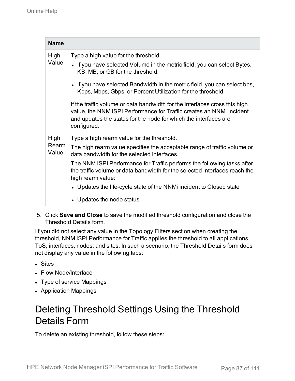| <b>Name</b>    |                                                                                                                                                                                                                                       |
|----------------|---------------------------------------------------------------------------------------------------------------------------------------------------------------------------------------------------------------------------------------|
| High<br>Value  | Type a high value for the threshold.<br>• If you have selected Volume in the metric field, you can select Bytes,<br>KB, MB, or GB for the threshold.                                                                                  |
|                | • If you have selected Bandwidth in the metric field, you can select bps,<br>Kbps, Mbps, Gbps, or Percent Utilization for the threshold.                                                                                              |
|                | If the traffic volume or data bandwidth for the interfaces cross this high<br>value, the NNM iSPI Performance for Traffic creates an NNMi incident<br>and updates the status for the node for which the interfaces are<br>configured. |
| High           | Type a high rearm value for the threshold.                                                                                                                                                                                            |
| Rearm<br>Value | The high rearm value specifies the acceptable range of traffic volume or<br>data bandwidth for the selected interfaces.                                                                                                               |
|                | The NNM ISPI Performance for Traffic performs the following tasks after<br>the traffic volume or data bandwidth for the selected interfaces reach the<br>high rearm value:                                                            |
|                | • Updates the life-cycle state of the NNMi incident to Closed state                                                                                                                                                                   |
|                | Updates the node status                                                                                                                                                                                                               |

5. Click **Save and Close** to save the modified threshold configuration and close the Threshold Details form.

Iif you did not select any value in the Topology Filters section when creating the threshold, NNM iSPI Performance for Traffic applies the threshold to all applications, ToS, interfaces, nodes, and sites. In such a scenario, the Threshold Details form does not display any value in the following tabs:

- Sites
- Flow Node/Interface
- Type of service Mappings
- Application Mappings

## Deleting Threshold Settings Using the Threshold Details Form

To delete an existing threshold, follow these steps: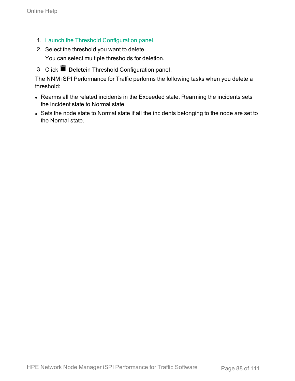- 1. Launch the Threshold [Configuration](#page-71-0) panel.
- 2. Select the threshold you want to delete.

You can select multiple thresholds for deletion.

3. Click **Delete**in Threshold Configuration panel.

The NNM iSPI Performance for Traffic performs the following tasks when you delete a threshold:

- Rearms all the related incidents in the Exceeded state. Rearming the incidents sets the incident state to Normal state.
- Sets the node state to Normal state if all the incidents belonging to the node are set to the Normal state.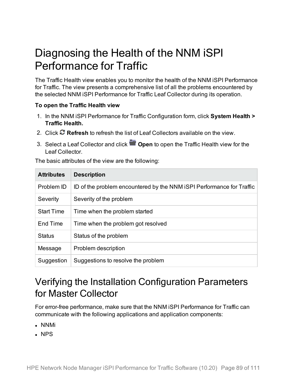## Diagnosing the Health of the NNM iSPI Performance for Traffic

The Traffic Health view enables you to monitor the health of the NNM iSPI Performance for Traffic. The view presents a comprehensive list of all the problems encountered by the selected NNM iSPI Performance for Traffic Leaf Collector during its operation.

#### **To open the Traffic Health view**

- 1. In the NNM iSPI Performance for Traffic Configuration form, click **System Health > Traffic Health.**
- 2. Click **Refresh** to refresh the list of Leaf Collectors available on the view.
- 3. Select a Leaf Collector and click **Open** to open the Traffic Health view for the Leaf Collector.

The basic attributes of the view are the following:

| <b>Attributes</b> | <b>Description</b>                                                    |
|-------------------|-----------------------------------------------------------------------|
| Problem ID        | ID of the problem encountered by the NNM ISPI Performance for Traffic |
| Severity          | Severity of the problem                                               |
| <b>Start Time</b> | Time when the problem started                                         |
| End Time          | Time when the problem got resolved                                    |
| <b>Status</b>     | Status of the problem                                                 |
| Message           | Problem description                                                   |
| Suggestion        | Suggestions to resolve the problem                                    |

### Verifying the Installation Configuration Parameters for Master Collector

For error-free performance, make sure that the NNM iSPI Performance for Traffic can communicate with the following applications and application components:

- NNMi
- $\cdot$  NPS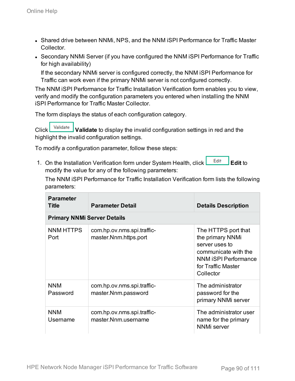- Shared drive between NNMi, NPS, and the NNM iSPI Performance for Traffic Master Collector.
- Secondary NNMi Server (if you have configured the NNM iSPI Performance for Traffic for high availability)

If the secondary NNMi server is configured correctly, the NNM iSPI Performance for Traffic can work even if the primary NNMi server is not configured correctly.

The NNM iSPI Performance for Traffic Installation Verification form enables you to view, verify and modify the configuration parameters you entered when installing the NNM iSPI Performance for Traffic Master Collector.

The form displays the status of each configuration category.

Click **Validate** to display the invalid configuration settings in red and the highlight the invalid configuration settings.

To modify a configuration parameter, follow these steps:

1. On the Installation Verification form under System Health, click **Edit Falle** Edit to modify the value for any of the following parameters:

The NNM iSPI Performance for Traffic Installation Verification form lists the following parameters:

| <b>Parameter</b><br><b>Title</b>   | <b>Parameter Detail</b>                             | <b>Details Description</b>                                                                                                                          |
|------------------------------------|-----------------------------------------------------|-----------------------------------------------------------------------------------------------------------------------------------------------------|
| <b>Primary NNMi Server Details</b> |                                                     |                                                                                                                                                     |
| NNM HTTPS<br>Port                  | com.hp.ov.nms.spi.traffic-<br>master.Nnm.https.port | The HTTPS port that<br>the primary NNMi<br>server uses to<br>communicate with the<br><b>NNM iSPI Performance</b><br>for Traffic Master<br>Collector |
| <b>NNM</b><br>Password             | com.hp.ov.nms.spi.traffic-<br>master.Nnm.password   | The administrator<br>password for the<br>primary NNMi server                                                                                        |
| <b>NNM</b><br>Username             | com.hp.ov.nms.spi.traffic-<br>master.Nnm.username   | The administrator user<br>name for the primary<br><b>NNMi</b> server                                                                                |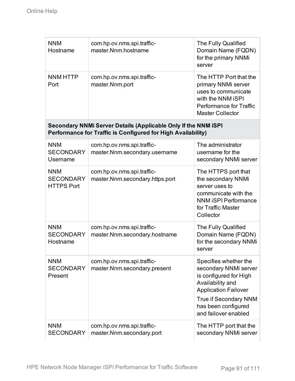| <b>NNM</b><br>Hostname                                                                                                         | com.hp.ov.nms.spi.traffic-<br>master.Nnm.hostname             | The Fully Qualified<br>Domain Name (FQDN)<br>for the primary NNMi<br>server                                                                                                                         |
|--------------------------------------------------------------------------------------------------------------------------------|---------------------------------------------------------------|-----------------------------------------------------------------------------------------------------------------------------------------------------------------------------------------------------|
| <b>NNM HTTP</b><br>Port                                                                                                        | com.hp.ov.nms.spi.traffic-<br>master.Nnm.port                 | The HTTP Port that the<br>primary NNMi server<br>uses to communicate<br>with the NNM iSPI<br>Performance for Traffic<br><b>Master Collector</b>                                                     |
| Secondary NNMi Server Details (Applicable Only If the NNM iSPI<br>Performance for Traffic is Configured for High Availability) |                                                               |                                                                                                                                                                                                     |
| <b>NNM</b><br><b>SECONDARY</b><br>Username                                                                                     | com.hp.ov.nms.spi.traffic-<br>master.Nnm.secondary.username   | The administrator<br>username for the<br>secondary NNMi server                                                                                                                                      |
| <b>NNM</b><br><b>SECONDARY</b><br><b>HTTPS Port</b>                                                                            | com.hp.ov.nms.spi.traffic-<br>master.Nnm.secondary.https.port | The HTTPS port that<br>the secondary NNMi<br>server uses to<br>communicate with the<br><b>NNM iSPI Performance</b><br>for Traffic Master<br>Collector                                               |
| <b>NNM</b><br><b>SECONDARY</b><br>Hostname                                                                                     | com.hp.ov.nms.spi.traffic-<br>master.Nnm.secondary.hostname   | The Fully Qualified<br>Domain Name (FQDN)<br>for the secondary NNMi<br>server                                                                                                                       |
| <b>NNM</b><br><b>SECONDARY</b><br>Present                                                                                      | com.hp.ov.nms.spi.traffic-<br>master.Nnm.secondary.present    | Specifies whether the<br>secondary NNMi server<br>is configured for High<br>Availability and<br><b>Application Failover</b><br>True if Secondary NNM<br>has been configured<br>and failover enabled |
| <b>NNM</b><br><b>SECONDARY</b>                                                                                                 | com.hp.ov.nms.spi.traffic-<br>master.Nnm.secondary.port       | The HTTP port that the<br>secondary NNMi server                                                                                                                                                     |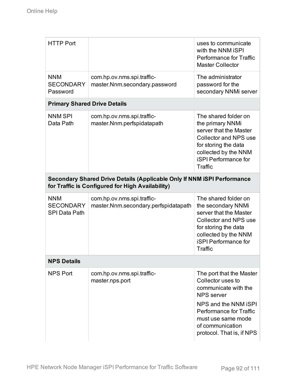| <b>HTTP Port</b>                                                                                                            |                                                                    | uses to communicate<br>with the NNM iSPI<br>Performance for Traffic<br><b>Master Collector</b>                                                                                                 |
|-----------------------------------------------------------------------------------------------------------------------------|--------------------------------------------------------------------|------------------------------------------------------------------------------------------------------------------------------------------------------------------------------------------------|
| <b>NNM</b><br><b>SECONDARY</b><br>Password                                                                                  | com.hp.ov.nms.spi.traffic-<br>master.Nnm.secondary.password        | The administrator<br>password for the<br>secondary NNMi server                                                                                                                                 |
| <b>Primary Shared Drive Details</b>                                                                                         |                                                                    |                                                                                                                                                                                                |
| <b>NNM SPI</b><br>Data Path                                                                                                 | com.hp.ov.nms.spi.traffic-<br>master.Nnm.perfspidatapath           | The shared folder on<br>the primary NNMi<br>server that the Master<br>Collector and NPS use<br>for storing the data<br>collected by the NNM<br><b>iSPI Performance for</b><br>Traffic          |
| Secondary Shared Drive Details (Applicable Only If NNM iSPI Performance<br>for Traffic is Configured for High Availability) |                                                                    |                                                                                                                                                                                                |
| <b>NNM</b><br><b>SECONDARY</b><br><b>SPI Data Path</b>                                                                      | com.hp.ov.nms.spi.traffic-<br>master.Nnm.secondary.perfspidatapath | The shared folder on<br>the secondary NNMi<br>server that the Master<br><b>Collector and NPS use</b><br>for storing the data<br>collected by the NNM<br><b>iSPI</b> Performance for<br>Traffic |
| <b>NPS Details</b>                                                                                                          |                                                                    |                                                                                                                                                                                                |
| NPS Port                                                                                                                    | com.hp.ov.nms.spi.traffic-<br>master.nps.port                      | The port that the Master<br>Collector uses to<br>communicate with the<br><b>NPS</b> server<br>NPS and the NNM ISPI<br>Performance for Traffic<br>must use same mode<br>of communication        |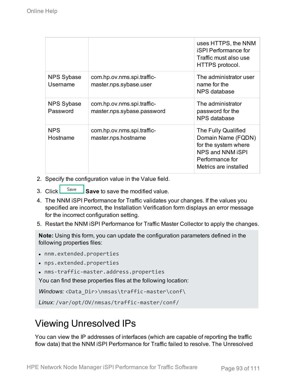|                               |                                                          | uses HTTPS, the NNM<br><b>iSPI Performance for</b><br>Traffic must also use<br>HTTPS protocol.                                    |
|-------------------------------|----------------------------------------------------------|-----------------------------------------------------------------------------------------------------------------------------------|
| <b>NPS Sybase</b><br>Username | com.hp.ov.nms.spi.traffic-<br>master.nps.sybase.user     | The administrator user<br>name for the<br>NPS database                                                                            |
| <b>NPS Sybase</b><br>Password | com.hp.ov.nms.spi.traffic-<br>master.nps.sybase.password | The administrator<br>password for the<br>NPS database                                                                             |
| <b>NPS</b><br>Hostname        | com.hp.ov.nms.spi.traffic-<br>master.nps.hostname        | The Fully Qualified<br>Domain Name (FQDN)<br>for the system where<br>NPS and NNM iSPI<br>Performance for<br>Metrics are installed |

- 2. Specify the configuration value in the Value field.
- 3. Click  $\frac{\text{Save}}{\text{Save}}$  **Save** to save the modified value.
- 4. The NNM iSPI Performance for Traffic validates your changes. If the values you specified are incorrect, the Installation Verification form displays an error message for the incorrect configuration setting.
- 5. Restart the NNM iSPI Performance for Traffic Master Collector to apply the changes.

**Note:** Using this form, you can update the configuration parameters defined in the following properties files:

- nnm.extended.properties
- nps.extended.properties
- nms-traffic-master.address.properties

You can find these properties files at the following location:

*Windows:* <Data\_Dir>\nmsas\traffic-master\conf\

*Linux:* /var/opt/OV/nmsas/traffic-master/conf/

### Viewing Unresolved IPs

You can view the IP addresses of interfaces (which are capable of reporting the traffic flow data) that the NNM iSPI Performance for Traffic failed to resolve. The Unresolved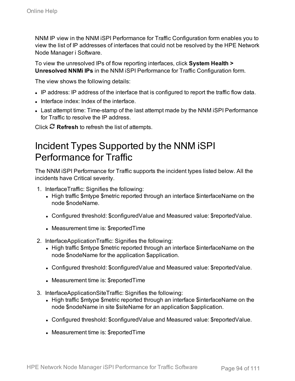NNM IP view in the NNM iSPI Performance for Traffic Configuration form enables you to view the list of IP addresses of interfaces that could not be resolved by the HPE Network Node Manager i Software.

To view the unresolved IPs of flow reporting interfaces, click **System Health > Unresolved NNMi IPs** in the NNM iSPI Performance for Traffic Configuration form.

The view shows the following details:

- IP address: IP address of the interface that is configured to report the traffic flow data.
- Interface index: Index of the interface.
- Last attempt time: Time-stamp of the last attempt made by the NNM iSPI Performance for Traffic to resolve the IP address.

Click **Refresh** to refresh the list of attempts.

### Incident Types Supported by the NNM iSPI Performance for Traffic

The NNM iSPI Performance for Traffic supports the incident types listed below. All the incidents have Critical severity.

- 1. InterfaceTraffic: Signifies the following:
	- High traffic \$mtype \$metric reported through an interface \$interfaceName on the node \$nodeName.
	- Configured threshold: \$configuredValue and Measured value: \$reportedValue.
	- Measurement time is: \$reportedTime
- 2. InterfaceApplicationTraffic: Signifies the following:
	- High traffic \$mtype \$metric reported through an interface \$interfaceName on the node \$nodeName for the application \$application.
	- Configured threshold: \$configuredValue and Measured value: \$reportedValue.
	- Measurement time is: \$reportedTime
- 3. InterfaceApplicationSiteTraffic: Signifies the following:
	- High traffic \$mtype \$metric reported through an interface \$interfaceName on the node \$nodeName in site \$siteName for an application \$application.
	- Configured threshold: \$configuredValue and Measured value: \$reportedValue.
	- Measurement time is: \$reportedTime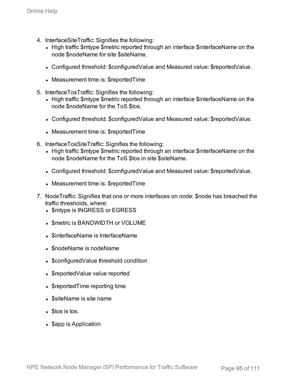- 4. InterfaceSiteTraffic: Signifies the following:
	- High traffic \$mtype \$metric reported through an interface \$interfaceName on the node \$nodeName for site \$siteName.
	- Configured threshold: \$configuredValue and Measured value: \$reportedValue.
	- Measurement time is: \$reportedTime
- 5. InterfaceTosTraffic: Signifies the following:
	- High traffic \$mtype \$metric reported through an interface \$interfaceName on the node \$nodeName for the ToS \$tos.
	- Configured threshold: \$configuredValue and Measured value: \$reportedValue.
	- Measurement time is: \$reportedTime
- 6. InterfaceTosSiteTraffic: Signifies the following:
	- High traffic \$mtype \$metric reported through an interface \$interfaceName on the node \$nodeName for the ToS \$tos in site \$siteName.
	- Configured threshold: \$configuredValue and Measured value: \$reportedValue.
	- Measurement time is: \$reportedTime
- 7. NodeTraffic: Signifies that one or more interfaces on node: \$node has breached the traffic thresholds, where:
	- \$mtype is INGRESS or EGRESS
	- Smetric is BANDWIDTH or VOLUME
	- $\bullet$  \$interfaceName is InterfaceName
	- \$nodeName is nodeName
	- \$configuredValue threshold condition
	- \$reportedValue value reported
	- SreportedTime reporting time
	- $\bullet$  \$siteName is site name
	- $\blacksquare$   $\blacksquare$  Stos is tos.
	- \$app is Application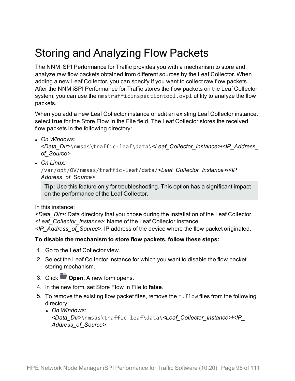## Storing and Analyzing Flow Packets

The NNM iSPI Performance for Traffic provides you with a mechanism to store and analyze raw flow packets obtained from different sources by the Leaf Collector. When adding a new Leaf Collector, you can specify if you want to collect raw flow packets. After the NNM iSPI Performance for Traffic stores the flow packets on the Leaf Collector system, you can use the nmstrafficinspectiontool.ovpl utility to analyze the flow packets.

When you add a new Leaf Collector instance or edit an existing Leaf Collector instance, select **true** for the Store Flow in the File field. The Leaf Collector stores the received flow packets in the following directory:

<sup>l</sup> *On Windows:*

```
<Data_Dir>\nmsas\traffic-leaf\data\<Leaf_Collector_Instance>\<IP_Address_
of_Source>
```
<sup>l</sup> *On Linux:*

```
/var/opt/OV/nmsas/traffic-leaf/data/<Leaf_Collector_Instance>/<IP_
Address_of_Source>
```
**Tip:** Use this feature only for troubleshooting. This option has a significant impact on the performance of the Leaf Collector.

In this instance:

*<Data\_Dir>*: Data directory that you chose during the installation of the Leaf Collector. *<Leaf\_Collector\_Instance>*: Name of the Leaf Collector instance *<IP\_Address\_of\_Source>*: IP address of the device where the flow packet originated.

#### **To disable the mechanism to store flow packets, follow these steps:**

- 1. Go to the Leaf Collector view.
- 2. Select the Leaf Collector instance for which you want to disable the flow packet storing mechanism.
- 3. Click **Open**. A new form opens.
- 4. In the new form, set Store Flow in File to **false**.
- 5. To remove the existing flow packet files, remove the \*.flow files from the following directory:
	- <sup>l</sup> *On Windows: <Data\_Dir>*\nmsas\traffic-leaf\data\*<Leaf\_Collector\_Instance>\<IP\_ Address\_of\_Source>*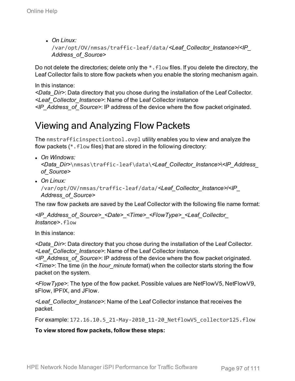<sup>l</sup> *On Linux:* /var/opt/OV/nmsas/traffic-leaf/data/*<Leaf\_Collector\_Instance>*/*<IP\_ Address\_of\_Source>*

Do not delete the directories; delete only the  $*$ . flow files. If you delete the directory, the Leaf Collector fails to store flow packets when you enable the storing mechanism again.

#### In this instance:

*<Data\_Dir>*: Data directory that you chose during the installation of the Leaf Collector. *<Leaf\_Collector\_Instance>*: Name of the Leaf Collector instance *<IP\_Address\_of\_Source>*: IP address of the device where the flow packet originated.

## Viewing and Analyzing Flow Packets

The nmstrafficinspectiontool.ovpl utility enables you to view and analyze the flow packets (\*.flow files) that are stored in the following directory:

<sup>l</sup> *On Windows:*

*<Data\_Dir>*\nmsas\traffic-leaf\data\*<Leaf\_Collector\_Instance>*\*<IP\_Address\_ of\_Source>*

<sup>l</sup> *On Linux:*

/var/opt/OV/nmsas/traffic-leaf/data/*<Leaf\_Collector\_Instance>*/*<IP\_ Address\_of\_Source>*

The raw flow packets are saved by the Leaf Collector with the following file name format:

*<IP\_Address\_of\_Source>*\_*<Date>*\_*<Time>*\_*<FlowType>*\_*<Leaf\_Collector\_ Instance>*.flow

In this instance:

*<Data\_Dir>*: Data directory that you chose during the installation of the Leaf Collector. *<Leaf\_Collector\_Instance>*: Name of the Leaf Collector instance.

*<IP\_Address\_of\_Source>*: IP address of the device where the flow packet originated. *<Time>*: The time (in the *hour\_minute* format) when the collector starts storing the flow packet on the system.

*<FlowType>*: The type of the flow packet. Possible values are NetFlowV5, NetFlowV9, sFlow, IPFIX, and JFlow.

*<Leaf\_Collector\_Instance>*: Name of the Leaf Collector instance that receives the packet.

For example: 172.16.10.5\_21-May-2010\_11-20\_NetflowV5\_collector125.flow

**To view stored flow packets, follow these steps:**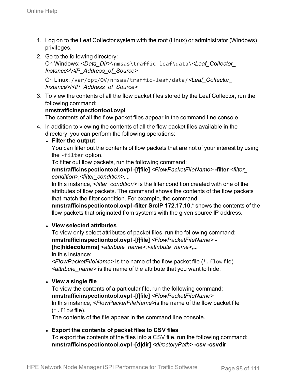- 1. Log on to the Leaf Collector system with the root (Linux) or administrator (Windows) privileges.
- 2. Go to the following directory: On Windows: *<Data\_Dir>*\nmsas\traffic-leaf\data\*<Leaf\_Collector\_ Instance>*\*<IP\_Address\_of\_Source>*

On Linux: /var/opt/OV/nmsas/traffic-leaf/data/*<Leaf\_Collector\_ Instance>*/*<IP\_Address\_of\_Source>*

3. To view the contents of all the flow packet files stored by the Leaf Collector, run the following command:

#### **nmstrafficinspectiontool.ovpl**

The contents of all the flow packet files appear in the command line console.

- 4. In addition to viewing the contents of all the flow packet files available in the directory, you can perform the following operations:
	- <sup>l</sup> **Filter the output**

You can filter out the contents of flow packets that are not of your interest by using the -filter option.

To filter out flow packets, run the following command:

**nmstrafficinspectiontool.ovpl -[f|file]** *<FlowPacketFileName>* **-filter** *<filter\_ condition>,<filter\_condition>,...*

In this instance, *<filter condition>* is the filter condition created with one of the attributes of flow packets. The command shows the contents of the flow packets that match the filter condition. For example, the command

**nmstrafficinspectiontool.ovpl -filter SrcIP 172.17.10.\*** shows the contents of the flow packets that originated from systems with the given source IP address.

#### <sup>l</sup> **View selected attributes**

To view only select attributes of packet files, run the following command: **nmstrafficinspectiontool.ovpl -[f|file]** *<FlowPacketFileName>* **- [hc|hidecolumns]** *<attribute\_name>,<attribute\_name>,***...** In this instance:

*<FlowPacketFileName>* is the name of the flow packet file (\*.flow file)*. <attribute\_name>* is the name of the attribute that you want to hide.

<sup>l</sup> **View a single file**

To view the contents of a particular file, run the following command: **nmstrafficinspectiontool.ovpl -[f|file]** *<FlowPacketFileName>* In this instance, *<FlowPacketFileName>*is the name of the flow packet file  $(* .$  flow file).

The contents of the file appear in the command line console.

#### <sup>l</sup> **Export the contents of packet files to CSV files**

To export the contents of the files into a CSV file, run the following command: **nmstrafficinspectiontool.ovpl -[d|dir]** *<directoryPath>* **-csv -csvdir**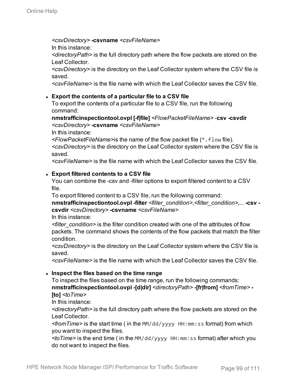*<csvDirectory>* **-csvname** *<csvFileName>*

In this instance:

*<directoryPath>* is the full directory path where the flow packets are stored on the Leaf Collector.

*<csvDirectory>* is the directory on the Leaf Collector system where the CSV file is saved.

*<csvFileName>* is the file name with which the Leaf Collector saves the CSV file.

#### <sup>l</sup> **Export the contents of a particular file to a CSV file**

To export the contents of a particular file to a CSV file, run the following command:

**nmstrafficinspectiontool.ovpl [-f|file]** *<FlowPacketFileName>* -**csv -csvdir** *<csvDirectory>* **-csvname** *<csvFileName>*

In this instance:

*<FlowPacketFileName>*is the name of the flow packet file (\*.flow file). *<csvDirectory>* is the directory on the Leaf Collector system where the CSV file is saved.

*<csvFileName>* is the file name with which the Leaf Collector saves the CSV file.

#### <sup>l</sup> **Export filtered contents to a CSV file**

You can combine the -csv and -filter options to export filtered content to a CSV file.

To export filtered content to a CSV file, run the following command:

**nmstrafficinspectiontool.ovpl -filter** *<filter\_condition>,<filter\_condition>,...* **-csv csvdir** *<csvDirectory>* **-csvname** *<csvFileName>*

In this instance:

*<filter\_condition>* is the filter condition created with one of the attributes of flow packets. The command shows the contents of the flow packets that match the filter condition.

*<csvDirectory>* is the directory on the Leaf Collector system where the CSV file is saved.

*<csvFileName>* is the file name with which the Leaf Collector saves the CSV file.

#### <sup>l</sup> **Inspect the files based on the time range**

To inspect the files based on the time range, run the following commands: **nmstrafficinspectiontool.ovpl -[d|dir]** *<directoryPath>* **-[fr|from]** *<fromTime>* **- [to]** *<toTime>*

In this instance:

*<directoryPath>* is the full directory path where the flow packets are stored on the Leaf Collector*.*

*<fromTime>* is the start time ( in the MM/dd/yyyy HH:mm:ss format) from which you want to inspect the files.

*<toTime>* is the end time ( in the MM/dd/yyyy HH:mm:ss format) after which you do not want to inspect the files.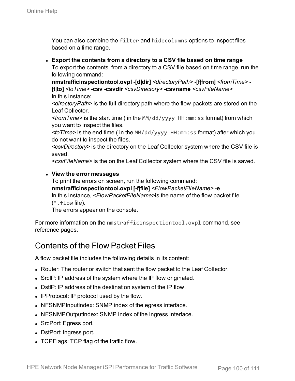You can also combine the filter and hidecolumns options to inspect files based on a time range.

<sup>l</sup> **Export the contents from a directory to a CSV file based on time range** To export the contents from a directory to a CSV file based on time range, run the following command:

**nmstrafficinspectiontool.ovpl -[d|dir]** *<directoryPath>* **-[f|from]** *<fromTime>* **- [t|to]** *<toTime>* **-csv -csvdir** *<csvDirectory>* **-csvname** *<csvFileName>* In this instance:

*<directoryPath>* is the full directory path where the flow packets are stored on the Leaf Collector.

*<fromTime>* is the start time ( in the MM/dd/yyyy HH:mm:ss format) from which you want to inspect the files.

*<toTime>* is the end time ( in the MM/dd/yyyy HH:mm:ss format) after which you do not want to inspect the files.

*<csvDirectory>* is the directory on the Leaf Collector system where the CSV file is saved.

*<csvFileName>* is the on the Leaf Collector system where the CSV file is saved.

#### <sup>l</sup> **View the error messages**

To print the errors on screen, run the following command: **nmstrafficinspectiontool.ovpl [-f|file]** *<FlowPacketFileName>* -**e** In this instance, *<FlowPacketFileName>*is the name of the flow packet file  $(*.$  flow file).

The errors appear on the console.

For more information on the nmstrafficinspectiontool.ovpl command, see reference pages.

### Contents of the Flow Packet Files

A flow packet file includes the following details in its content:

- Router: The router or switch that sent the flow packet to the Leaf Collector.
- SrcIP: IP address of the system where the IP flow originated.
- DstIP: IP address of the destination system of the IP flow.
- IPProtocol: IP protocol used by the flow.
- NFSNMPInputIndex: SNMP index of the egress interface.
- NFSNMPOutputIndex: SNMP index of the ingress interface.
- SrcPort: Egress port.
- DstPort: Ingress port.
- TCPFlags: TCP flag of the traffic flow.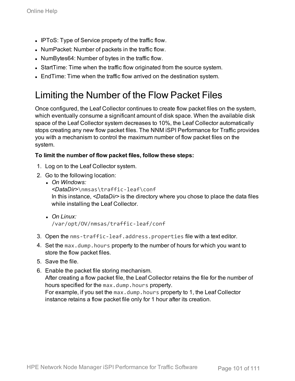- IPToS: Type of Service property of the traffic flow.
- NumPacket: Number of packets in the traffic flow.
- NumBytes64: Number of bytes in the traffic flow.
- StartTime: Time when the traffic flow originated from the source system.
- EndTime: Time when the traffic flow arrived on the destination system.

### Limiting the Number of the Flow Packet Files

Once configured, the Leaf Collector continues to create flow packet files on the system, which eventually consume a significant amount of disk space. When the available disk space of the Leaf Collector system decreases to 10%, the Leaf Collector automatically stops creating any new flow packet files. The NNM iSPI Performance for Traffic provides you with a mechanism to control the maximum number of flow packet files on the system.

#### **To limit the number of flow packet files, follow these steps:**

- 1. Log on to the Leaf Collector system.
- 2. Go to the following location:
	- <sup>l</sup> *On Windows:*

*<DataDir>*\nmsas\traffic-leaf\conf In this instance, *<DataDir>* is the directory where you chose to place the data files while installing the Leaf Collector.

- <sup>l</sup> *On Linux:* /var/opt/OV/nmsas/traffic-leaf/conf
- 3. Open the nms-traffic-leaf.address.properties file with a text editor.
- 4. Set the max.dump.hours property to the number of hours for which you want to store the flow packet files.
- 5. Save the file.
- 6. Enable the packet file storing mechanism. After creating a flow packet file, the Leaf Collector retains the file for the number of hours specified for the max.dump.hours property. For example, if you set the max.dump.hours property to 1, the Leaf Collector instance retains a flow packet file only for 1 hour after its creation.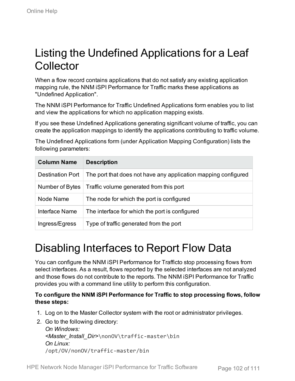## Listing the Undefined Applications for a Leaf Collector

When a flow record contains applications that do not satisfy any existing application mapping rule, the NNM iSPI Performance for Traffic marks these applications as "Undefined Application".

The NNM iSPI Performance for Traffic Undefined Applications form enables you to list and view the applications for which no application mapping exists.

If you see these Undefined Applications generating significant volume of traffic, you can create the application mappings to identify the applications contributing to traffic volume.

The Undefined Applications form (under Application Mapping Configuration) lists the following parameters:

| <b>Column Name</b>      | <b>Description</b>                                             |
|-------------------------|----------------------------------------------------------------|
| <b>Destination Port</b> | The port that does not have any application mapping configured |
| Number of Bytes         | Traffic volume generated from this port                        |
| Node Name               | The node for which the port is configured                      |
| Interface Name          | The interface for which the port is configured                 |
| Ingress/Egress          | Type of traffic generated from the port                        |

# Disabling Interfaces to Report Flow Data

You can configure the NNM iSPI Performance for Trafficto stop processing flows from select interfaces. As a result, flows reported by the selected interfaces are not analyzed and those flows do not contribute to the reports. The NNM iSPI Performance for Traffic provides you with a command line utility to perform this configuration.

#### **To configure the NNM iSPI Performance for Traffic to stop processing flows, follow these steps:**

- 1. Log on to the Master Collector system with the root or administrator privileges.
- 2. Go to the following directory: *On Windows: <Master\_Install\_Dir>*\nonOV\traffic-master\bin *On Linux:* /opt/OV/nonOV/traffic-master/bin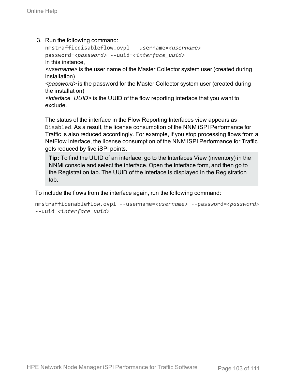3. Run the following command:

```
nmstrafficdisableflow.ovpl --username=<username> --
password=<password> --uuid=<interface_uuid>
In this instance,
```
*<username>* is the user name of the Master Collector system user (created during installation)

*<password>* is the password for the Master Collector system user (created during the installation)

*<Interface\_UUID>* is the UUID of the flow reporting interface that you want to exclude.

The status of the interface in the Flow Reporting Interfaces view appears as Disabled. As a result, the license consumption of the NNM iSPI Performance for Traffic is also reduced accordingly. For example, if you stop processing flows from a NetFlow interface, the license consumption of the NNM iSPI Performance for Traffic gets reduced by five iSPI points.

**Tip:** To find the UUID of an interface, go to the Interfaces View (inventory) in the NNMi console and select the interface. Open the Interface form, and then go to the Registration tab. The UUID of the interface is displayed in the Registration tab.

To include the flows from the interface again, run the following command:

```
nmstrafficenableflow.ovpl --username=<username> --password=<password>
--uuid=<interface_uuid>
```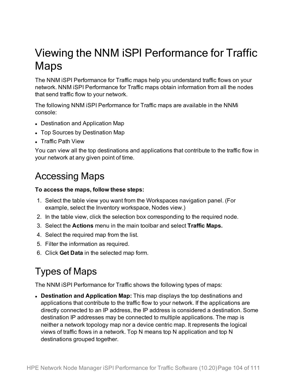## Viewing the NNM iSPI Performance for Traffic Maps

The NNM iSPI Performance for Traffic maps help you understand traffic flows on your network. NNM iSPI Performance for Traffic maps obtain information from all the nodes that send traffic flow to your network.

The following NNM iSPI Performance for Traffic maps are available in the NNMi console:

- Destination and Application Map
- Top Sources by Destination Map
- Traffic Path View

You can view all the top destinations and applications that contribute to the traffic flow in your network at any given point of time.

## Accessing Maps

#### **To access the maps, follow these steps:**

- 1. Select the table view you want from the Workspaces navigation panel. (For example, select the Inventory workspace, Nodes view.)
- 2. In the table view, click the selection box corresponding to the required node.
- 3. Select the **Actions** menu in the main toolbar and select **Traffic Maps.**
- 4. Select the required map from the list.
- 5. Filter the information as required.
- 6. Click **Get Data** in the selected map form.

## Types of Maps

The NNM iSPI Performance for Traffic shows the following types of maps:

**• Destination and Application Map:** This map displays the top destinations and applications that contribute to the traffic flow to your network. If the applications are directly connected to an IP address, the IP address is considered a destination. Some destination IP addresses may be connected to multiple applications. The map is neither a network topology map nor a device centric map. It represents the logical views of traffic flows in a network. Top N means top N application and top N destinations grouped together.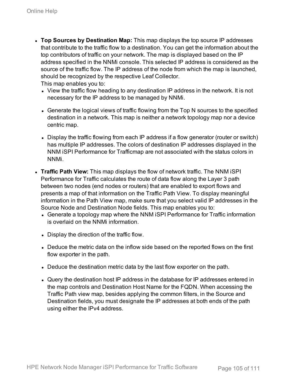<sup>l</sup> **Top Sources by Destination Map:** This map displays the top source IP addresses that contribute to the traffic flow to a destination. You can get the information about the top contributors of traffic on your network. The map is displayed based on the IP address specified in the NNMi console. This selected IP address is considered as the source of the traffic flow. The IP address of the node from which the map is launched, should be recognized by the respective Leaf Collector.

This map enables you to:

- View the traffic flow heading to any destination IP address in the network. It is not necessary for the IP address to be managed by NNMi.
- Generate the logical views of traffic flowing from the Top N sources to the specified destination in a network. This map is neither a network topology map nor a device centric map.
- Display the traffic flowing from each IP address if a flow generator (router or switch) has multiple IP addresses. The colors of destination IP addresses displayed in the NNM iSPI Performance for Trafficmap are not associated with the status colors in NNMi.
- **. Traffic Path View:** This map displays the flow of network traffic. The NNM iSPI Performance for Traffic calculates the route of data flow along the Layer 3 path between two nodes (end nodes or routers) that are enabled to export flows and presents a map of that information on the Traffic Path View. To display meaningful information in the Path View map, make sure that you select valid IP addresses in the Source Node and Destination Node fields. This map enables you to:
	- Generate a topology map where the NNM iSPI Performance for Traffic information is overlaid on the NNMi information.
	- Display the direction of the traffic flow.
	- Deduce the metric data on the inflow side based on the reported flows on the first flow exporter in the path.
	- Deduce the destination metric data by the last flow exporter on the path.
	- Query the destination host IP address in the database for IP addresses entered in the map controls and Destination Host Name for the FQDN. When accessing the Traffic Path view map, besides applying the common filters, in the Source and Destination fields, you must designate the IP addresses at both ends of the path using either the IPv4 address.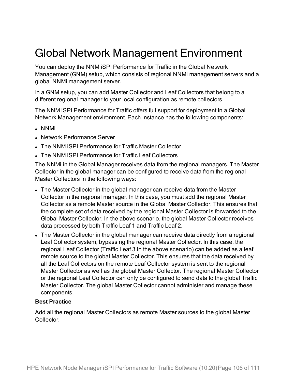## Global Network Management Environment

You can deploy the NNM iSPI Performance for Traffic in the Global Network Management (GNM) setup, which consists of regional NNMi management servers and a global NNMi management server.

In a GNM setup, you can add Master Collector and Leaf Collectors that belong to a different regional manager to your local configuration as remote collectors.

The NNM iSPI Performance for Traffic offers full support for deployment in a Global Network Management environment. Each instance has the following components:

- <sup>l</sup> NNMi
- Network Performance Server
- . The NNM iSPI Performance for Traffic Master Collector
- The NNM iSPI Performance for Traffic Leaf Collectors

The NNMi in the Global Manager receives data from the regional managers. The Master Collector in the global manager can be configured to receive data from the regional Master Collectors in the following ways:

- The Master Collector in the global manager can receive data from the Master Collector in the regional manager. In this case, you must add the regional Master Collector as a remote Master source in the Global Master Collector. This ensures that the complete set of data received by the regional Master Collector is forwarded to the Global Master Collector. In the above scenario, the global Master Collector receives data processed by both Traffic Leaf 1 and Traffic Leaf 2.
- The Master Collector in the global manager can receive data directly from a regional Leaf Collector system, bypassing the regional Master Collector. In this case, the regional Leaf Collector (Traffic Leaf 3 in the above scenario) can be added as a leaf remote source to the global Master Collector. This ensures that the data received by all the Leaf Collectors on the remote Leaf Collector system is sent to the regional Master Collector as well as the global Master Collector. The regional Master Collector or the regional Leaf Collector can only be configured to send data to the global Traffic Master Collector. The global Master Collector cannot administer and manage these components.

#### **Best Practice**

Add all the regional Master Collectors as remote Master sources to the global Master Collector.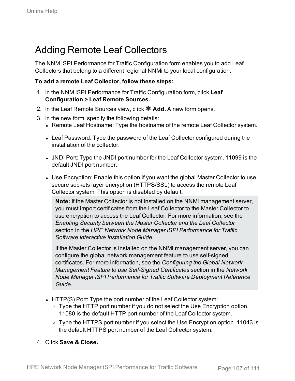## Adding Remote Leaf Collectors

The NNM iSPI Performance for Traffic Configuration form enables you to add Leaf Collectors that belong to a different regional NNMi to your local configuration.

#### **To add a remote Leaf Collector, follow these steps:**

- 1. In the NNM iSPI Performance for Traffic Configuration form, click **Leaf Configuration > Leaf Remote Sources.**
- 2. In the Leaf Remote Sources view, click **\* Add.** A new form opens.
- 3. In the new form, specify the following details:
	- Remote Leaf Hostname: Type the hostname of the remote Leaf Collector system.
	- Leaf Password: Type the password of the Leaf Collector configured during the installation of the collector.
	- JNDI Port: Type the JNDI port number for the Leaf Collector system. 11099 is the default JNDI port number.
	- Use Encryption: Enable this option if you want the global Master Collector to use secure sockets layer encryption (HTTPS/SSL) to access the remote Leaf Collector system. This option is disabled by default.

**Note:** If the Master Collector is not installed on the NNMi management server, you must import certificates from the Leaf Collector to the Master Collector to use encryption to access the Leaf Collector. For more information, see the *Enabling Security between the Master Collector and the Leaf Collector* section in the *HPE Network Node Manager iSPI Performance for Traffic Software Interactive Installation Guide*.

If the Master Collector is installed on the NNMi management server, you can configure the global network management feature to use self-signed certificates. For more information, see the *Configuring the Global Network Management Feature to use Self-Signed Certificates* section in the *Network Node Manager iSPI Performance for Traffic Software Deployment Reference Guide*.

- HTTP(S) Port: Type the port number of the Leaf Collector system:
	- Type the HTTP port number if you do not select the Use Encryption option. 11080 is the default HTTP port number of the Leaf Collector system.
	- Type the HTTPS port number if you select the Use Encryption option. 11043 is the default HTTPS port number of the Leaf Collector system.
- 4. Click **Save & Close.**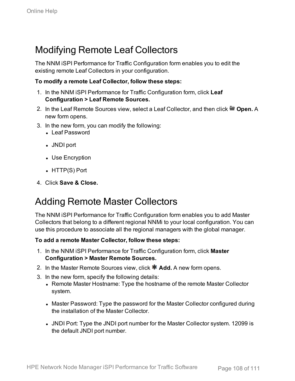## Modifying Remote Leaf Collectors

The NNM iSPI Performance for Traffic Configuration form enables you to edit the existing remote Leaf Collectors in your configuration.

#### **To modify a remote Leaf Collector, follow these steps:**

- 1. In the NNM iSPI Performance for Traffic Configuration form, click **Leaf Configuration > Leaf Remote Sources.**
- 2. In the Leaf Remote Sources view, select a Leaf Collector, and then click **Open.** A new form opens.
- 3. In the new form, you can modify the following:
	- <sup>l</sup> Leaf Password
	- JNDI port
	- Use Encryption
	- $\bullet$  HTTP(S) Port
- 4. Click **Save & Close.**

### Adding Remote Master Collectors

The NNM iSPI Performance for Traffic Configuration form enables you to add Master Collectors that belong to a different regional NNMi to your local configuration. You can use this procedure to associate all the regional managers with the global manager.

#### **To add a remote Master Collector, follow these steps:**

- 1. In the NNM iSPI Performance for Traffic Configuration form, click **Master Configuration > Master Remote Sources.**
- 2. In the Master Remote Sources view, click **\* Add.** A new form opens.
- 3. In the new form, specify the following details:
	- Remote Master Hostname: Type the hostname of the remote Master Collector system.
	- Master Password: Type the password for the Master Collector configured during the installation of the Master Collector.
	- JNDI Port: Type the JNDI port number for the Master Collector system. 12099 is the default JNDI port number.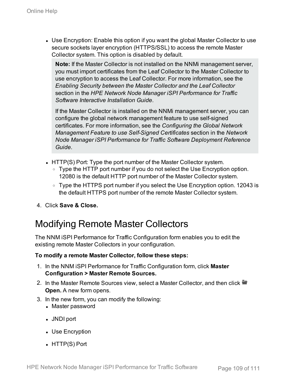• Use Encryption: Enable this option if you want the global Master Collector to use secure sockets layer encryption (HTTPS/SSL) to access the remote Master Collector system. This option is disabled by default.

**Note:** If the Master Collector is not installed on the NNMi management server, you must import certificates from the Leaf Collector to the Master Collector to use encryption to access the Leaf Collector. For more information, see the *Enabling Security between the Master Collector and the Leaf Collector* section in the *HPE Network Node Manager iSPI Performance for Traffic Software Interactive Installation Guide*.

If the Master Collector is installed on the NNMi management server, you can configure the global network management feature to use self-signed certificates. For more information, see the *Configuring the Global Network Management Feature to use Self-Signed Certificates* section in the *Network Node Manager iSPI Performance for Traffic Software Deployment Reference Guide*.

- HTTP(S) Port: Type the port number of the Master Collector system.
	- Type the HTTP port number if you do not select the Use Encryption option. 12080 is the default HTTP port number of the Master Collector system.
	- Type the HTTPS port number if you select the Use Encryption option. 12043 is the default HTTPS port number of the remote Master Collector system.
- 4. Click **Save & Close.**

## Modifying Remote Master Collectors

The NNM iSPI Performance for Traffic Configuration form enables you to edit the existing remote Master Collectors in your configuration.

## **To modify a remote Master Collector, follow these steps:**

- 1. In the NNM iSPI Performance for Traffic Configuration form, click **Master Configuration > Master Remote Sources.**
- 2. In the Master Remote Sources view, select a Master Collector, and then click **Open.** A new form opens.
- 3. In the new form, you can modify the following:
	- Master password
	- JNDI port
	- Use Encryption
	- $\bullet$  HTTP(S) Port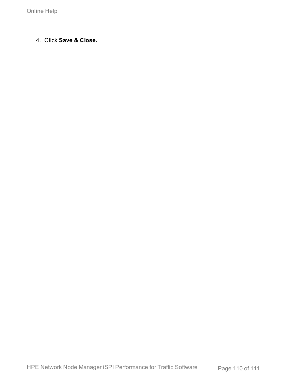4. Click **Save & Close.**